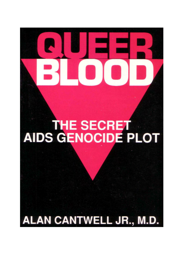# Z THE SECRET<br>AIDS GENOCIDE PLOT ALAN CANTWELL JR., M.D.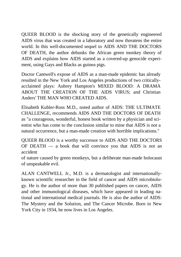QUEER BLOOD is the shocking story of the genetically engineered AIDS virus that was created in a laboratory and now threatens the entire world. In this well-documented sequel to AIDS AND THE DOCTORS OF DEATH, the author debunks the African green monkey theory of AIDS and explains how AIDS started as a covered-up genocide experiment, using Gays and Blacks as guinea pigs.

Doctor Cantwell's expose of AIDS as a man-made epidemic has already resulted in the New York and Los Angeles productions of two criticallyacclaimed plays: Aubrey Hampton's MIXED BLOOD: A DRAMA ABOUT THE CREATION OF THE AIDS VIRUS; and Christian Anders' THE MAN WHO CREATED AIDS.

Elisabeth Kubler-Ross M.D., noted author of AIDS: THE ULTIMATE CHALLENGE, recommends AIDS AND THE DOCTORS OF DEATH as "a courageous, wonderful, honest book written by a physician and scientist who has come to the conclusion similar to mine that AIDS is not a natural occurrence, but a man-made creation with horrible implications."

QUEER BLOOD is a worthy successor to AIDS AND THE DOCTORS OF DEATH — a book that will convince you that AIDS is not an accident

of nature caused by green monkeys, but a deliberate man-made holocaust of unspeakable evil.

ALAN CANTWELL Jr., M.D. is a dermatologist and internationallyknown scientific researcher in the field of cancer and AIDS microbiology. He is the author of more than 30 published papers on cancer, AIDS and other immunological diseases, which have appeared in leading national and international medical journals. He is also the author of AIDS: The Mystery and the Solution, and The Cancer Microbe. Born in New York City in 1934, he now lives in Los Angeles.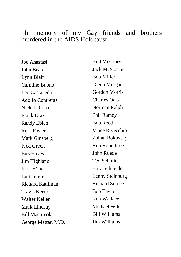#### In memory of my Gay friends and brothers murdered in the AIDS Holocaust

Joe Anastasi John Beard Lynn Blair Carmine Buono Leo Castaneda Adolfo Contreras Nick de Caro Frank Diaz Randy Eblen Russ Foster Mark Ginsberg Fred Green Buz Hayes Jim Highland Kirk H'Jad Burt Jergle Richard Kaufman Travis Keeton Walter Keller Mark Lindsay Bill Mastricola George Mattar, M.D. Rod McCrory Jack McSparin Bob Miller Glenn Morgan Gordon Morris Charles Oats Norman Ralph Phil Ramey Bob Reed Vince Rivecchio Zoltan Rokovsky Ron Roundtree John Ruede Ted Schmitt Fritz Schneider Lenny Steinburg Richard Surdez Bob Taylor Ron Wallace Michael Wiles Bill Williams Jim Williams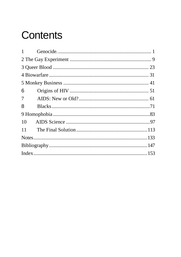# **Contents**

| $1 \qquad \qquad$ |  |  |
|-------------------|--|--|
|                   |  |  |
|                   |  |  |
|                   |  |  |
|                   |  |  |
| 6                 |  |  |
| 7                 |  |  |
| 8                 |  |  |
|                   |  |  |
| 10                |  |  |
| 11                |  |  |
|                   |  |  |
|                   |  |  |
|                   |  |  |
|                   |  |  |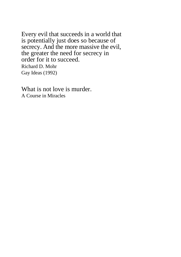Every evil that succeeds in a world that is potentially just does so because of secrecy. And the more massive the evil, the greater the need for secrecy in order for it to succeed. Richard D. Mohr Gay Ideas (1992)

What is not love is murder. A Course in Miracles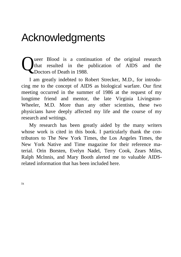### Acknowledgments

ueer Blood is a continuation of the original research that resulted in the publication of AIDS and the Doctors of Death in 1988. Q

I am greatly indebted to Robert Strecker, M.D., for introducing me to the concept of AIDS as biological warfare. Our first meeting occurred in the summer of 1986 at the request of my longtime friend and mentor, the late Virginia Livingston-Wheeler, M.D. More than any other scientists, these two physicians have deeply affected my life and the course of my research and writings.

My research has been greatly aided by the many writers whose work is cited in this book. I particularly thank the contributors to The New York Times, the Los Angeles Times, the New York Native and Time magazine for their reference material. Orin Borsten, Evelyn Nadel, Terry Cook, Zears Miles, Ralph Mclnnis, and Mary Booth alerted me to valuable AIDSrelated information that has been included here.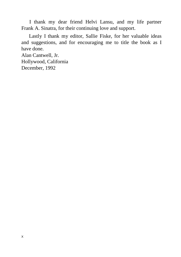I thank my dear friend Helvi Lansu, and my life partner Frank A. Sinatra, for their continuing love and support.

Lastly I thank my editor, Sallie Fiske, for her valuable ideas and suggestions, and for encouraging me to title the book as I have done.

Alan Cantwell, Jr. Hollywood, California December, 1992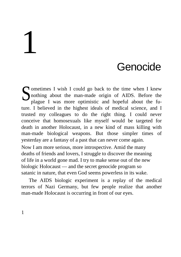# 1

### **Genocide**

 $\bigcap$  ometimes I wish I could go back to the time when I knew nothing about the man-made origin of AIDS. Before the plague I was more optimistic and hopeful about the future. I believed in the highest ideals of medical science, and I trusted my colleagues to do the right thing. I could never conceive that homosexuals like myself would be targeted for death in another Holocaust, in a new kind of mass killing with man-made biological weapons. But those simpler times of yesterday are a fantasy of a past that can never come again. S

Now I am more serious, more introspective. Amid the many deaths of friends and lovers, I struggle to discover the meaning of life in a world gone mad. I try to make sense out of the new biologic Holocaust — and the secret genocide program so satanic in nature, that even God seems powerless in its wake.

The AIDS biologic experiment is a replay of the medical terrors of Nazi Germany, but few people realize that another man-made Holocaust is occurring in front of our eyes.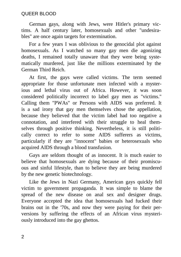German gays, along with Jews, were Hitler's primary victims. A half century later, homosexuals and other "undesirables" are once again targets for extermination.

For a few years I was oblivious to the genocidal plot against homosexuals. As I watched so many gay men die agonizing deaths, I remained totally unaware that they were being systematically murdered, just like the millions exterminated by the German Third Reich.

At first, the gays were called victims. The term seemed appropriate for those unfortunate men infected with a mysterious and lethal virus out of Africa. However, it was soon considered politically incorrect to label gay men as "victims." Calling them "PWAs" or Persons with AIDS was preferred. It is a sad irony that gay men themselves chose the appellation, because they believed that the victim label had too negative a connotation, and interfered with their struggle to heal themselves through positive thinking. Nevertheless, it is still politically correct to refer to some AIDS sufferers as victims, particularly if they are "innocent" babies or heterosexuals who acquired AIDS through a blood transfusion.

Gays are seldom thought of as innocent. It is much easier to believe that homosexuals are dying because of their promiscuous and sinful lifestyle, than to believe they are being murdered by the new genetic biotechnology.

Like the Jews in Nazi Germany, American gays quickly fell victim to government propaganda. It was simple to blame the spread of the new disease on anal sex and designer drugs. Everyone accepted the idea that homosexuals had fucked their brains out in the '70s, and now they were paying for their perversions by suffering the effects of an African virus mysteriously introduced into the gay ghettos.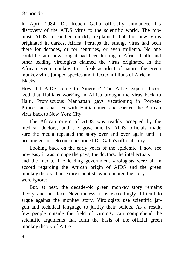#### Genocide

In April 1984, Dr. Robert Gallo officially announced his discovery of the AIDS virus to the scientific world. The topmost AIDS researcher quickly explained that the new virus originated in darkest Africa. Perhaps the strange virus had been there for decades, or for centuries, or even millenia. No one could be sure how long it had been lurking in Africa. Gallo and other leading virologists claimed the virus originated in the African green monkey. In a freak accident of nature, the green monkey virus jumped species and infected millions of African Blacks.

How did AIDS come to America? The AIDS experts theorized that Haitians working in Africa brought the virus back to Haiti. Promiscuous Manhattan gays vacationing in Port-au-Prince had anal sex with Haitian men and carried the African virus back to New York City.

The African origin of AIDS was readily accepted by the medical doctors; and the government's AIDS officials made sure the media repeated the story over and over again until it became gospel. No one questioned Dr. Gallo's official story.

Looking back on the early years of the epidemic, I now see how easy it was to dupe the gays, the doctors, the intellectuals and the media. The leading government virologists were all in accord regarding the African origin of AIDS and the green monkey theory. Those rare scientists who doubted the story were ignored.

But, at best, the decade-old green monkey story remains theory and not fact. Nevertheless, it is exceedingly difficult to argue against the monkey story. Virologists use scientific jargon and technical language to justify their beliefs. As a result, few people outside the field of virology can comprehend the scientific arguments that form the basis of the official green monkey theory of AIDS.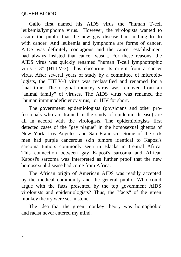Gallo first named his AIDS virus the "human T-cell leukemia/lymphoma virus." However, the virologists wanted to assure the public that the new gay disease had nothing to do with cancer. And leukemia and lymphoma are forms of cancer. AIDS was definitely contagious and the cancer establishment had always insisted that cancer wasn't. For these reasons, the AIDS virus was quickly renamed "human T-cell lymphotrophic virus - 3" (HTLV-3), thus obscuring its origin from a cancer virus. After several years of study by a committee of microbiologists, the HTLV-3 virus was reclassified and renamed for a final time. The original monkey virus was removed from an "animal family" of viruses. The AIDS virus was renamed the "human immunodeficiency virus," or HIV for short.

The government epidemiologists (physicians and other professionals who are trained in the study of epidemic disease) are all in accord with the virologists. The epidemiologists first detected cases of the "gay plague" in the homosexual ghettos of New York, Los Angeles, and San Francisco. Some of the sick men had purple cancerous skin tumors identical to Kaposi's sarcoma tumors commonly seen in Blacks in Central Africa. This connection between gay Kaposi's sarcoma and African Kaposi's sarcoma was interpreted as further proof that the new homosexual disease had come from Africa.

The African origin of American AIDS was readily accepted by the medical community and the general public. Who could argue with the facts presented by the top government AIDS virologists and epidemiologists? Thus, the "facts" of the green monkey theory were set in stone.

The idea that the green monkey theory was homophobic and racist never entered my mind.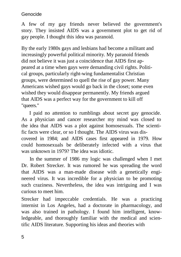#### Genocide

A few of my gay friends never believed the government's story. They insisted AIDS was a government plot to get rid of gay people. I thought this idea was paranoid.

By the early 1980s gays and lesbians had become a militant and increasingly powerful political minority. My paranoid friends did not believe it was just a coincidence that AIDS first appeared at a time when gays were demanding civil rights. Political groups, particularly right-wing fundamentalist Christian groups, were determined to quell the rise of gay power. Many Americans wished gays would go back in the closet; some even wished they would disappear permanently. My friends argued that AIDS was a perfect way for the government to kill off "queers."

I paid no attention to rumblings about secret gay genocide. As a physician and cancer researcher my mind was closed to the idea that AIDS was a plot against homosexuals. The scientific facts were clear, or so I thought. The AIDS virus was discovered in 1984; and AIDS cases first appeared in 1979. How could homosexuals be deliberately infected with a virus that was unknown in 1979? The idea was idiotic.

In the summer of 1986 my logic was challenged when I met Dr. Robert Strecker. It was rumored he was spreading the word that AIDS was a man-made disease with a genetically engineered virus. It was incredible for a physician to be promoting such craziness. Nevertheless, the idea was intriguing and I was curious to meet him.

Strecker had impeccable credentials. He was a practicing internist in Los Angeles, had a doctorate in pharmacology, and was also trained in pathology. I found him intelligent, knowledgeable, and thoroughly familiar with the medical and scientific AIDS literature. Supporting his ideas and theories with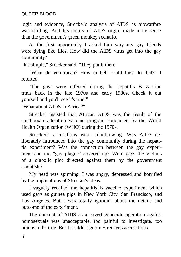logic and evidence, Strecker's analysis of AIDS as biowarfare was chilling. And his theory of AIDS origin made more sense than the government's green monkey scenario.

At the first opportunity I asked him why my gay friends were dying like flies. How did the AIDS virus get into the gay community?

"It's simple," Strecker said. "They put it there."

"What do you mean? How in hell could they do that?" I retorted.

"The gays were infected during the hepatitis B vaccine trials back in the late 1970s and early 1980s. Check it out yourself and you'll see it's true!"

"What about AIDS in Africa?"

Strecker insisted that African AIDS was the result of the smallpox eradication vaccine program conducted by the World Health Organization (WHO) during the 1970s.

Strecker's accusations were mindblowing. Was AIDS deliberately introduced into the gay community during the hepatitis experiment? Was the connection between the gay experiment and the "gay plague" covered up? Were gays the victims of a diabolic plot directed against them by the government scientists?

My head was spinning. I was angry, depressed and horrified by the implications of Strecker's ideas.

I vaguely recalled the hepatitis B vaccine experiment which used gays as guinea pigs in New York City, San Francisco, and Los Angeles. But I was totally ignorant about the details and outcome of the experiment.

The concept of AIDS as a covert genocide operation against homosexuals was unacceptable, too painful to investigate, too odious to be true. But I couldn't ignore Strecker's accusations.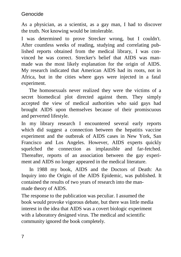#### Genocide

As a physician, as a scientist, as a gay man, I had to discover the truth. Not knowing would be intolerable.

I was determined to prove Strecker wrong, but I couldn't. After countless weeks of reading, studying and correlating published reports obtained from the medical library, I was convinced he was correct. Strecker's belief that AIDS was manmade was the most likely explanation for the origin of AIDS. My research indicated that American AIDS had its roots, not in Africa, but in the cities where gays were injected in a fatal experiment.

The homosexuals never realized they were the victims of a secret biomedical plot directed against them. They simply accepted the view of medical authorities who said gays had brought AIDS upon themselves because of their promiscuous and perverted lifestyle.

In my library research I encountered several early reports which did suggest a connection between the hepatitis vaccine experiment and the outbreak of AIDS cases in New York, San Francisco and Los Angeles. However, AIDS experts quickly squelched the connection as implausible and far-fetched. Thereafter, reports of an association between the gay experiment and AIDS no longer appeared in the medical literature.

In 1988 my book, AIDS and the Doctors of Death: An Inquiry into the Origin of the AIDS Epidemic, was published. It contained the results of two years of research into the manmade theory of AIDS.

The response to the publication was peculiar. I assumed the book would provoke vigorous debate, but there was little media interest in the idea that AIDS was a covert biologic experiment with a laboratory designed virus. The medical and scientific community ignored the book completely.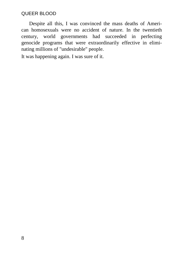Despite all this, I was convinced the mass deaths of American homosexuals were no accident of nature. In the twentieth century, world governments had succeeded in perfecting genocide programs that were extraordinarily effective in eliminating millions of "undesirable" people.

It was happening again. I was sure of it.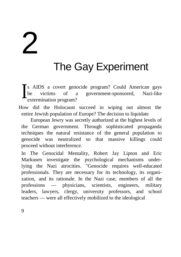# 2

## The Gay Experiment

s AIDS a covert genocide program? Could American gays be victims of a government-sponsored, Nazi-like extermination program? I

How did the Holocaust succeed in wiping out almost the entire Jewish population of Europe? The decision to liquidate

European Jewry was secretly authorized at the highest levels of the German government. Through sophisticated propaganda techniques the natural resistance of the general population to genocide was neutralized so that massive killings could proceed without interference.

In The Genocidal Mentality, Robert Jay Lipton and Eric Markusen investigate the psychological mechanisms underlying the Nazi atrocities. "Genocide requires well-educated professionals. They are necessary for its technology, its organization, and its rationale. In the Nazi case, members of all the professions — physicians, scientists, engineers, military leaders, lawyers, clergy, university professors, and school teachers — were all effectively mobilized to the ideological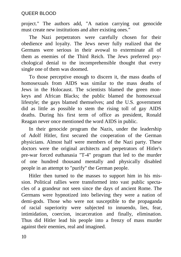project." The authors add, "A nation carrying out genocide must create new institutions and alter existing ones."

The Nazi perpetrators were carefully chosen for their obedience and loyalty. The Jews never fully realized that the Germans were serious in their avowal to exterminate all of them as enemies of the Third Reich. The Jews preferred psychological denial to the incomprehensible thought that every single one of them was doomed.

To those perceptive enough to discern it, the mass deaths of homosexuals from AIDS was similar to the mass deaths of Jews in the Holocaust. The scientists blamed the green monkeys and African Blacks; the public blamed the homosexual lifestyle; the gays blamed themselves; and the U.S. government did as little as possible to stem the rising toll of gay AIDS deaths. During his first term of office as president, Ronald Reagan never once mentioned the word AIDS in public.

In their genocide program the Nazis, under the leadership of Adolf Hitler, first secured the cooperation of the German physicians. Almost half were members of the Nazi party. These doctors were the original architects and perpetrators of Hitler's pre-war forced euthanasia "T-4" program that led to the murder of one hundred thousand mentally and physically disabled people in an attempt to "purify" the German people.

Hitler then turned to the masses to support him in his mission. Political rallies were transformed into vast public spectacles of a grandeur not seen since the days of ancient Rome. The Germans were hypnotized into believing they were a nation of demi-gods. Those who were not susceptible to the propaganda of racial superiority were subjected to innuendo, lies, fear, intimidation, coercion, incarceration and finally, elimination. Thus did Hitler lead his people into a frenzy of mass murder against their enemies, real and imagined.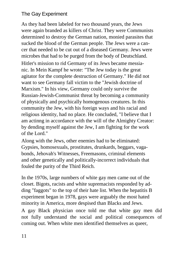#### The Gay Experiment

As they had been labeled for two thousand years, the Jews were again branded as killers of Christ. They were Communists determined to destroy the German nation, monied parasites that sucked the blood of the German people. The Jews were a cancer that needed to be cut out of a diseased Germany. Jews were microbes that had to be purged from the body of Deutschland. Hitler's mission to rid Germany of its Jews became messianic. In Mein Kampf he wrote: "The Jew today is the great agitator for the complete destruction of Germany." He did not want to see Germany fall victim to the "Jewish doctrine of Marxism." In his view, Germany could only survive the Russian-Jewish-Communist threat by becoming a community of physically and psychically homogenous creatures. In this community the Jew, with his foreign ways and his racial and religious identity, had no place. He concluded, "I believe that I am actinng in accordance with the will of the Almighty Creator: by dending myself against the Jew, I am fighting for the work of the Lord."

Along with the Jews, other enemies had to be eliminated: Gypsies, homosexuals, prostitutes, drunkards, beggars, vagabonds, Jehovah's Witnesses, Freemasons, criminal elements and other genetically and politically-incorrect individuals that fouled the purity of the Third Reich.

In the 1970s, large numbers of white gay men came out of the closet. Bigots, racists and white supremacists responded by adding "faggots" to the top of their hate list. When the hepatitis B experiment began in 1978, gays were arguably the most hated minority in America, more despised than Blacks and Jews.

A gay Black physician once told me that white gay men did not fully understand the social and political consequences of coming out. When white men identified themselves as queer,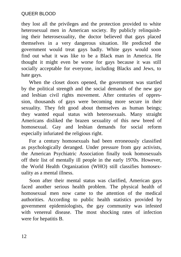they lost all the privileges and the protection provided to white heterosexual men in American society. By publicly relinquishing their heterosexuality, the doctor believed that gays placed themselves in a very dangerous situation. He predicted the government would treat gays badly. White gays would soon find out what it was like to be a Black man in America. He thought it might even be worse for gays because it was still socially acceptable for everyone, including Blacks and Jews, to hate gays.

When the closet doors opened, the government was startled by the political strength and the social demands of the new gay and lesbian civil rights movement. After centuries of oppression, thousands of gays were becoming more secure in their sexuality. They felt good about themselves as human beings; they wanted equal status with heterosexuals. Many straight Americans disliked the brazen sexuality of this new breed of homosexual. Gay and lesbian demands for social reform especially infuriated the religious right.

For a century homosexuals had been erroneously classified as psychologically deranged. Under pressure from gay activists, the American Psychiatric Association finally took homosexuals off their list of mentally ill people in the early 1970s. However, the World Health Organization (WHO) still classifies homosexuality as a mental illness.

Soon after their mental status was clarified, American gays faced another serious health problem. The physical health of homosexual men now came to the attention of the medical authorities. According to public health statistics provided by government epidemiologists, the gay community was infested with venereal disease. The most shocking rates of infection were for hepatitis B.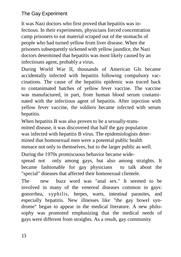#### The Gay Experiment

It was Nazi doctors who first proved that hepatitis was infectious. In their experiments, physicians forced concentration camp prisoners to eat material scraped out of the stomachs of people who had turned yellow from liver disease. When the prisoners subsequently sickened with yellow jaundice, the Nazi doctors determined that hepatitis was most likely caused by an infectiouns agent, probably a virus.

During World War II, thousands of American GIs became accidentally infected with hepatitis following compulsory vaccinations. The cause of the hepatitis epidemic was traced back to contanimated batches of yellow fever vaccine. The vaccine was manufactured, in part, from human blood serum contaminated with the infectious agent of hepatitis. After injection with yellow fever vaccine, the soldiers became infected with serum hepatitis.

When hepatitis B was also proven to be a sexually-transmitted disease, it was discovered that half the gay population was infected with hepatitis B virus. The epidemiologists determined that homosexual men were a potential public health menace not only to themselves, but to the larger public as well.

During the 1970s promiscuous behavior became wide-

spread not only among gays, but also among straights. It became fashionable for gay physicians to talk about the "special" diseases that affected their homosexual clientele.

The new buzz word was "anal sex." It seemed to be involved in many of the venereal diseases common in gays: gonorrhea, syphilis, herpes, warts, intestinal parasites, and especially hepatitis. New illnesses like "the gay bowel syndrome" began to appear in the medical literature. A new philosophy was promoted emphasizing that the medical needs of gays were different from straights. As a result, gay community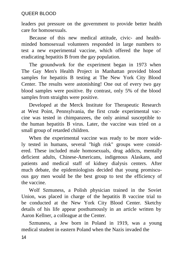leaders put pressure on the government to provide better health care for homosexuals.

Because of this new medical attitude, civic- and healthminded homosexual volunteers responded in large numbers to test a new experimental vaccine, which offered the hope of eradicating hepatitis B from the gay population.

The groundwork for the experiment began in 1973 when The Gay Men's Health Project in Manhattan provided blood samples for hepatitis B testing at The New York City Blood Center. The results were astonishing! One out of every two gay blood samples were positive. By contrast, only 5% of the blood samples from straights were positive.

Developed at the Merck Institute for Therapeutic Research at West Point, Pennsylvania, the first crude experimental vaccine was tested in chimpanzees, the only animal susceptible to the human hepatitis B virus. Later, the vaccine was tried on a small group of retarded children.

When the experimental vaccine was ready to be more widely tested in humans, several "high risk" groups were considered. These included male homosexuals, drug addicts, mentally deficient adults, Chinese-Americans, indigenous Alaskans, and patients and medical staff of kidney dialysis centers. After much debate, the epidemiologists decided that young promiscuous gay men would be the best group to test the efficiency of the vaccine.

Wolf Szmuness, a Polish physician trained in the Soviet Union, was placed in charge of the hepatitis B vaccine trial to be conducted at the New York City Blood Center. Sketchy details of his life appear posthumously in an article written by Aaron Kellner, a colleague at the Center.

Szmuness, a Jew born in Poland in 1919, was a young medical student in eastern Poland when the Nazis invaded the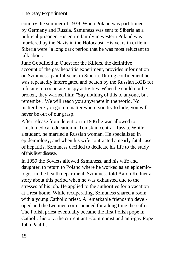#### The Gay Experiment

country the summer of 1939. When Poland was partitioned by Germany and Russia, Szmuness was sent to Siberia as a political prisoner. His entire family in western Poland was murdered by the Nazis in the Holocaust. His years in exile in Siberia were "a long dark period that he was most reluctant to talk about."

June Goodfield in Quest for the Killers, the definitive account of the gay hepatitis experiment, provides information on Szmuness' painful years in Siberia. During confinement he was repeatedly interrogated and beaten by the Russian KGB for refusing to cooperate in spy activities. When he could not be broken, they warned him: "Say nothing of this to anyone, but remember. We will reach you anywhere in the world. No matter here you go, no matter where you try to hide, you will never be out of our grasp."

After release from detention in 1946 he was allowed to finish medical education in Tomsk in central Russia. While a student, he married a Russian woman. He specialized in epidemiology, and when his wife contracted a nearly fatal case of hepatitis, Szmuness decided to dedicate his life to the study of this liver disease.

In 1959 the Soviets allowed Szmuness, and his wife and daughter, to return to Poland where he worked as an epidemiologist in the health department. Szmuness told Aaron Kellner a story about this period when he was exhausted due to the stresses of his job. He applied to the authorities for a vacation at a rest home. While recuperating, Szmuness shared a room with a young Catholic priest. A remarkable friendship developed and the two men corresponded for a long time thereafter. The Polish priest eventually became the first Polish pope in Catholic history: the current anti-Communist and anti-gay Pope John Paul II.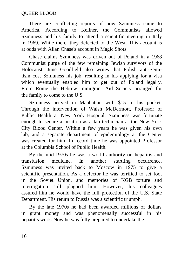There are conflicting reports of how Szmuness came to America. According to Kellner, the Communists allowed Szmuness and his family to attend a scientific meeting in Italy in 1969. While there, they defected to the West. This account is at odds with Allan Chase's account in Magic Shots.

Chase claims Szmuness was driven out of Poland in a 1968 Communist purge of the few remaining Jewish survivors of the Holocaust. June Goodfield also writes that Polish anti-Semitism cost Szmuness his job, resulting in his applying for a visa which eventually enabled him to get out of Poland legally. From Rome the Hebrew Immigrant Aid Society arranged for the family to come to the U.S.

Szmuness arrived in Manhattan with \$15 in his pocket. Through the intervention of Walsh McDermott, Professor of Public Health at New York Hospital, Szmuness was fortunate enough to secure a position as a lab technician at the New York City Blood Center. Within a few years he was given his own lab, and a separate department of epidemiology at the Center was created for him. In record time he was appointed Professor at the Columbia School of Public Health.

By the mid-1970s he was a world authority on hepatitis and transfusion medicine. In another startling occurrence, Szmuness was invited back to Moscow in 1975 to give a scientific presentation. As a defector he was terrified to set foot in the Soviet Union, and memories of KGB torture and interrogation still plagued him. However, his colleagues assured him he would have the full protection of the U.S. State Department. His return to Russia was a scientific triumph.

By the late 1970s he had been awarded millions of dollars in grant money and was phenomenally successful in his hepatitis work. Now he was fully prepared to undertake the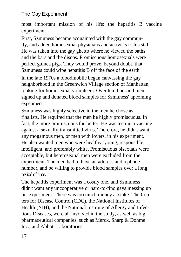#### The Gay Experiment

most important mission of his life: the hepatitis B vaccine experiment.

First, Szmuness became acquainted with the gay community, and added homosexual physicians and activists to his staff. He was taken into the gay ghetto where he viewed the baths and the bars and the discos. Promiscuous homosexuals were perfect guinea pigs. They would prove, beyond doubt, that Szmuness could wipe hepatitis B off the face of the earth.

In the late 1970s a bloodmobile began canvassing the gay neighborhood in the Greenwich Village section of Manhattan, looking for homosexual volunteers. Over ten thousand men signed up and donated blood samples for Szmuness' upcoming experiment.

Szmuness was highly selective in the men he chose as finalists. He required that the men be highly promiscuous. In fact, the more promiscuous the better. He was testing a vaccine against a sexually-transmitted virus. Therefore, he didn't want any mogamous men, or men with lovers, in his experiment. He also wanted men who were healthy, young, responsible, intelligent, and preferably white. Promiscuous bisexuals were acceptable, but heterosexual men were excluded from the experiment. The men had to have an address and a phone number, and be willing to provide blood samples over a long period of time.

The hepatitis experiment was a costly one, and Szmuness didn't want any uncooperative or hard-to-find gays messing up his experiment. There was too much money at stake. The Centers for Disease Control (CDC), the National Institutes of Health (NIH), and the National Institute of Allergy and Infectious Diseases, were all involved in the study, as well as big pharmaceutical companies, such as Merck, Sharp & Dohme Inc., and Abbott Laboratories.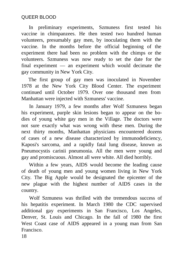In preliminary experiments, Szmuness first tested his vaccine in chimpanzees. He then tested two hundred human volunteers, presumably gay men, by inoculating them with the vaccine. In the months before the official beginning of the experiment there had been no problem with the chimps or the volunteers. Szmuness was now ready to set the date for the final experiment — an experiment which would decimate the gay community in New York City.

The first group of gay men was inoculated in November 1978 at the New York City Blood Center. The experiment continued until October 1979. Over one thousand men from Manhattan were injected with Szmuness' vaccine.

In January 1979, a few months after Wolf Szmuness began his experiment, purple skin lesions began to appear on the bodies of young white gay men in the Village. The doctors were not sure exactly what was wrong with these men. During the next thirty months, Manhattan physicians encountered dozens of cases of a new disease characterized by immunodeficiency, Kaposi's sarcoma, and a rapidly fatal lung disease, known as Pneumocystis carinii pneumonia. All the men were young and gay and promiscuous. Almost all were white. All died horribly.

Within a few years, AIDS would become the leading cause of death of young men and young women living in New York City. The Big Apple would be designated the epicenter of the new plague with the highest number of AIDS cases in the country.

Wolf Szmuness was thrilled with the tremendous success of his hepatitis experiment. In March 1980 the CDC supervised additional gay experiments in San Francisco, Los Angeles, Denver, St. Louis and Chicago. In the fall of 1980 the first West Coast case of AIDS appeared in a young man from San Francisco.

18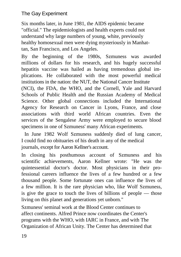#### The Gay Experiment

Six months later, in June 1981, the AIDS epidemic became "official." The epidemiologists and health experts could not understand why large numbers of young, white, previously healthy homosexual men were dying mysteriously in Manhattan, San Francisco, and Los Angeles.

By the beginning of the 1980s, Szmuness was awarded millions of dollars for his research, and his hugely successful hepatitis vaccine was hailed as having tremendous global implications. He collaborated with the most powerful medical institutions in the nation: the NUT, the National Cancer Institute

(NCI), the FDA, the WHO, and the Cornell, Yale and Harvard Schools of Public Health and the Russian Academy of Medical Science. Other global connections included the International Agency for Research on Cancer in Lyons, France, and close associations with third world African countries. Even the services of the Sengalese Army were employed to secure blood specimens in one of Szmuness' many African experiments.

In June 1982 Wolf Szmuness suddenly died of lung cancer, I could find no obituaries of his death in any of the medical journals, except for Aaron Kellner's account.

In closing his posthumous account of Szmuness and his scientific achievements, Aaron Kellner wrote: "He was the quintessential doctor's doctor. Most physicians in their professional careers influence the lives of a few hundred or a few thousand people. Some fortunate ones can influence the lives of a few million. It is the rare physician who, like Wolf Szmuness, is give the grace to touch the lives of billions of people — those living on this planet and generations yet unborn."

Szmuness' seminal work at the Blood Center continues to affect continents. Alfred Prince now coordinates the Center's programs with the WHO, with IARC in France, and with The Organization of African Unity. The Center has determined that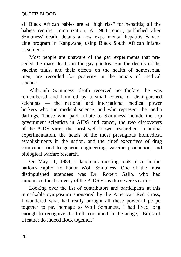all Black African babies are at "high risk" for hepatitis; all the babies require immunization. A 1983 report, published after Szmuness' death, details a new experimental hepatitis B vaccine program in Kangwane, using Black South African infants as subjects.

Most people are unaware of the gay experiments that preceded the mass deaths in the gay ghettos. But the details of the vaccine trials, and their effects on the health of homosexual men, are recorded for posterity in the annals of medical science.

Although Szmuness' death received no fanfare, he was remembered and honored by a small coterie of distinguished scientists — the national and international medical power brokers who run medical science, and who represent the media darlings. Those who paid tribute to Szmuness include the top government scientists in AIDS and cancer, the two discoverers of the AIDS virus, the most well-known researchers in animal experimentation, the heads of the most prestigious biomedical establishments in the nation, and the chief executives of drug companies tied to genetic engineering, vaccine production, and biological warfare research.

On May 11, 1984, a landmark meeting took place in the nation's capitol to honor Wolf Szmuness. One of the most distinguished attendees was Dr. Robert Gallo, who had announced the discovery of the AIDS virus three weeks earlier.

Looking over the list of contributors and participants at this remarkable symposium sponsored by the American Red Cross, I wondered what had really brought all these powerful peope together to pay homage to Wolf Szmuness. I had lived long enough to recognize the truth contained in the adage, "Birds of a feather do indeed flock together."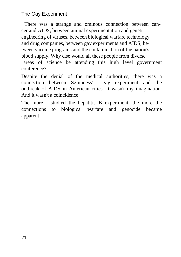#### The Gay Experiment

There was a strange and ominous connection between cancer and AIDS, between animal experimentation and genetic engineering of viruses, between biological warfare technology and drug companies, between gay experiments and AIDS, between vaccine programs and the contamination of the nation's blood supply. Why else would all these people from diverse areas of science be attending this high level government conference?

Despite the denial of the medical authorities, there was a connection between Szmuness' gay experiment and the outbreak of AIDS in American cities. It wasn't my imagination. And it wasn't a coincidence.

The more I studied the hepatitis B experiment, the more the connections to biological warfare and genocide became apparent.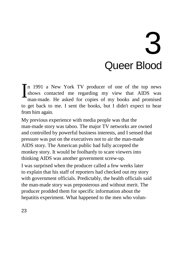# 3 Queer Blood

In 1991 a New York TV producer of one of the top news<br>shows contacted me regarding my view that AIDS was<br>man-made. He asked for copies of my books and promised shows contacted me regarding my view that AIDS was man-made. He asked for copies of my books and promised to get back to me. I sent the books, but I didn't expect to hear from him again.

My previous experience with media people was that the man-made story was taboo. The major TV networks are owned and controlled by powerful business interests, and I sensed that pressure was put on the executives not to air the man-made AIDS story. The American public had fully accepted the monkey story. It would be foolhardy to scare viewers into thinking AIDS was another government screw-up.

I was surprised when the producer called a few weeks later to explain that his staff of reporters had checked out my story with government officials. Predictably, the health officials said the man-made story was preposterous and without merit. The producer prodded them for specific information about the hepatitis experiment. What happened to the men who volun-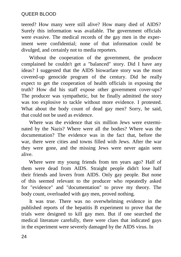teered? How many were still alive? How many died of AIDS? Surely this information was available. The government officials were evasive. The medical records of the gay men in the experiment were confidential; none of that information could be divulged, and certainly not to media reporters.

Without the cooperation of the government, the producer complained he couldn't get a "balanced" story. Did I have any ideas? I suggested that the AIDS biowarfare story was the most covered-up genocide program of the century. Did he really expect to get the cooperation of health officials in exposing the truth? How did his staff expose other government cover-ups? The producer was sympathetic, but he finally admitted the story was too explosive to tackle without more evidence. I protested. What about the body count of dead gay men? Sorry, he said, that could not be used as evidence.

Where was the evidence that six million Jews were exterminated by the Nazis? Where were all the bodies? Where was the documentation? The evidence was in the fact that, before the war, there were cities and towns filled with Jews. After the war they were gone, and the missing Jews were never again seen alive.

Where were my young friends from ten years ago? Half of them were dead from AIDS. Straight people didn't lose half their friends and lovers from AIDS. Only gay people. But none of this seemed relevant to the producer who repeatedly asked for "evidence" and "documentation" to prove my theory. The body count, overloaded with gay men, proved nothing.

It was true. There was no overwhelming evidence in the published reports of the hepatitis B experiment to prove that the trials were designed to kill gay men. But if one searched the medical literature carefully, there were clues that indicated gays in the experiment were severely damaged by the AIDS virus. In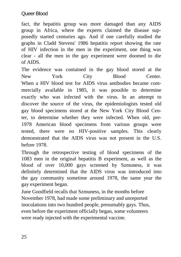#### Queer Blood

fact, the hepatitis group was more damaged than any AIDS group in Africa, where the experts claimed the disease supposedly started centuries ago. And if one carefully studied the graphs in Cladd Stevens' 1986 hepatitis report showing the rate of HIV infection in the men in the experiment, one thing was clear - all the men in the gay experiment were doomed to die of AIDS.

The evidence was contained in the gay blood stored at the New York City Blood Center. When a HIV blood test for AIDS virus antibodies became commercially available in 1985, it was possible to determine exactly who was infected with the virus. In an attempt to discover the source of the virus, the epidemiologists tested old gay blood specimens stored at the New York City Blood Center, to determine whether they were infected. When old, pre-1978 American blood specimens from various groups were tested, there were no HIV-positive samples. This clearly demonstrated that the AIDS virus was not present in the U.S. before 1978.

Through the retrospective testing of blood specimens of the 1083 men in the original hepatitis B experiment, as well as the blood of over 10,000 gays screened by Szmuness, it was definitely determined that the AIDS virus was introduced into the gay community sometime around 1978, the same year the gay experiment began.

June Goodfield recalls that Szmuness, in the months before November 1978, had made some preliminary and unreported inoculations into two hundred people, presumably gays. Thus, even before the experiment officially began, some volunteers were ready injected with the experimental vaccine.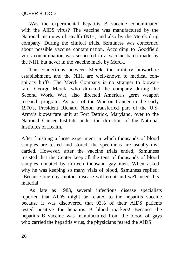Was the experimental hepatitis B vaccine contaminated with the AIDS virus? The vaccine was manufactured by the National Institutes of Health (NIH) and also by the Merck drug company. During the clinical trials, Szmuness was concerned about possible vaccine contamination. According to Goodfield virus contamination was suspected in a vaccine batch made by the NIH, but never in the vaccine made by Merck.

The connections between Merck, the military biowarfare establishment, and the NIH, are well-known to medical conspiracy buffs. The Merck Company is no stranger to biowarfare. George Merck, who directed the company during the Second World War, also directed America's germ weapon research program. As part of the War on Cancer in the early 1970's, President Richard Nixon transferred part of the U.S. Army's biowarfare unit at Fort Detrick, Maryland, over to the National Cancer Institute under the direction of the National Institutes of Health.

After finishing a large experiment in which thousands of blood samples are tested and stored, the specimens are usually discarded. However, after the vaccine trials ended, Szmuness insisted that the Center keep all the tens of thousands of blood samples donated by thirteen thousand gay men. When asked why he was keeping so many vials of blood, Szmuness replied: "Because one day another disease will erupt and we'll need this material."

As late as 1983, several infectious disease specialists reported that AIDS might be related to the hepatitis vaccine because it was discovered that 93% of their AIDS patients tested positive for hepatitis B blood markers! Because the hepatitis B vaccine was manufactured from the blood of gays who carried the hepatitis virus, the physicians feared the AIDS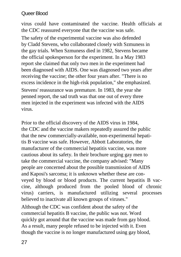#### Queer Blood

virus could have contaminated the vaccine. Health officials at the CDC reassured everyone that the vaccine was safe.

The safety of the experimental vaccine was also defended by Cladd Stevens, who collaborated closely with Szmuness in the gay trials. When Szmuness died in 1982, Stevens became the official spokesperson for the experiment. In a May 1983 report she claimed that only two men in the experiment had been diagnosed with AIDS. One was diagnosed two years after receiving the vaccine; the other four years after. "There is no excess incidence in the high-risk population," she emphasized. Stevens' reassurance was premature. In 1983, the year she penned report, the sad truth was that one out of every three men injected in the experiment was infected with the AIDS virus.

Prior to the official discovery of the AIDS virus in 1984, the CDC and the vaccine makers repeatedly assured the public that the new commercially-available, non-experimental hepatitis B vaccine was safe. However, Abbott Laboratories, the manufacturer of the commercial hepatitis vaccine, was more cautious about its safety. In their brochure urging gay men to take the commercial vaccine, the company advised: "Many people are concerned about the possible transmission of AIDS and Kaposi's sarcoma; it is unknown whether these are conveyed by blood or blood products. The current hepatitis B vaccine, although produced from the pooled blood of chronic virus) carriers, is manufactured utilizing several processes believed to inactivate all known groups of viruses."

Although the CDC was confident about the safety of the commercial hepatitis B vaccine, the public was not. Word quickly got around that the vaccine was made from gay blood. As a result, many people refused to be injected with it. Even though the vaccine is no longer manufactured using gay blood,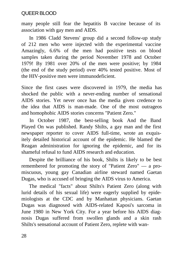many people still fear the hepatitis B vaccine because of its association with gay men and AIDS.

In 1986 Cladd Stevens' group did a second follow-up study of 212 men who were injected with the experimental vaccine Amazingly, 6.6% of the men had positive tests on blood samples taken during the period November 1978 and October 1979! By 1981 over 20% of the men were positive; by 1984 (the end of the study period) over 40% tested positive. Most of the HIV-positive men were immunodeficient.

Since the first cases were discovered in 1979, the media has shocked the public with a never-ending number of sensational AIDS stories. Yet never once has the media given credence to the idea that AIDS is man-made. One of the most outrageos and homophobic AIDS stories concerns "Patient Zero."

In October 1987, the best-selling book And the Band Played On was published. Randy Shilts, a gay man and the first newspaper reporter to cover AIDS full-time, wrote an exquisitely detailed historical account of the epidemic. He blamed the Reagan administration for ignoring the epidemic, and for its shameful refusal to fund AIDS research and education.

Despite the brilliance of his book, Shilts is likely to be best remembered for promoting the story of "Patient Zero" — a promiscuous, young gay Canadian airline steward named Gaetan Dugas, who is accused of bringing the AIDS virus to America.

The medical "facts" about Shilts's Patient Zero (along with lurid details of his sexual life) were eagerly supplied by epidemiologists at the CDC and by Manhattan physicians. Gaetan Dugas was diagnosed with AIDS-related Kaposi's sarcoma in June 1980 in New York City. For a year before his AIDS diagnosis Dugas suffered from swollen glands and a skin rash Shilts's sensational account of Patient Zero, replete with wan-

28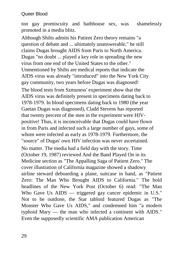#### Queer Blood

ton gay promiscuity and bathhouse sex, was shamelessly promoted in a media blitz.

Although Shilts admits his Patient Zero theory remains "a question of debate and ... ultimately unanswerable," he still claims Dugas brought AIDS from Paris to North America. Dugas "no doubt ... played a key role in spreading the new virus from one end of the United States to the other." Unmentioned by Shilts are medical reports that indicate the AIDS virus was already "introduced" into the New York City gay community, two years before Dugas was diagnosed! The blood tests from Szmuness' experiment show that the AIDS virus was definitely present in specimens dating back to 1978-1979. In blood specimens dating back to 1980 (the year Gaetan Dugas was diagnosed), Cladd Stevens has reported that twenty percent of the men in the experiment were HIVpositive! Thus, it is inconceivable that Dugas could have flown in from Paris and infected such a large number of gays, some of whom were infected as early as 1978-1979. Furthermore, the "source" of Dugas' own HIV infection was never ascertained. No matter. The media had a field day with the story. Time (October 19, 1987) reviewed And the Band Played On in its Medicine section as "The Appalling Saga of Patient Zero." The cover illustration of California magazine showed a shadowy airline steward deboarding a plane, suitcase in hand, as "Patient Zero: The Man Who Brought AIDS to California." The bold headlines of the New York Post (October 6) read: "The Man Who Gave Us AIDS — triggered gay cancer epidemic in U.S." Not to be outdone, the Star tabloid featured Dugas as "The Monster Who Gave Us AIDS," and condemned him "a modern typhoid Mary — the man who infected a continent with AIDS." Even the supposedly scientific AMA publication American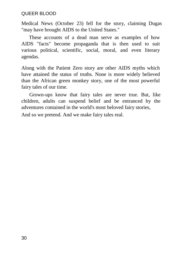Medical News (October 23) fell for the story, claiming Dugas "may have brought AIDS to the United States."

These accounts of a dead man serve as examples of how AIDS "facts" become propaganda that is then used to suit various political, scientific, social, moral, and even literary agendas.

Along with the Patient Zero story are other AIDS myths which have attained the status of truths. None is more widely believed than the African green monkey story, one of the most powerful fairy tales of our time.

Grown-ups know that fairy tales are never true. But, like children, adults can suspend belief and be entranced by the adventures contained in the world's most beloved fairy stories,

And so we pretend. And we make fairy tales real.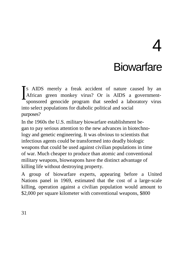## 4

### **Biowarfare**

S AIDS merely a freak accident of nature caused by an African green monkey virus? Or is AIDS a governmentsponsored genocide program that seeded a laboratory virus into select populations for diabolic political and social purposes?  $\overline{\mathbf{I}}$ 

In the 1960s the U.S. military biowarfare establishment began to pay serious attention to the new advances in biotechnology and genetic engineering. It was obvious to scientists that infectious agents could be transformed into deadly biologic weapons that could be used against civilian populations in time of war. Much cheaper to produce than atomic and conventional military weapons, bioweapons have the distinct advantage of killing life without destroying property.

A group of biowarfare experts, appearing before a United Nations panel in 1969, estimated that the cost of a large-scale killing, operation against a civilian population would amount to \$2,000 per square kilometer with conventional weapons, \$800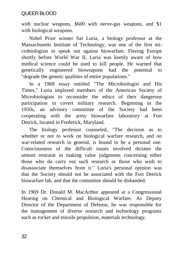with nuclear weapons, \$600 with nerve-gas weapons, and \$1 with biological weapons.

Nobel Prize winner Sal Luria, a biology professor at the Massachusetts Institute of Technology, was one of the first microbiologists to speak out against biowarfare. Fleeing Europe shortly before World War II, Luria was keenly aware of how medical science could be used to kill people. He warned that genetically engineered bioweapons had the potential to "degrade the genetic qualities of entire populations."

In a 1968 essay entitled "The Microbiologist and His Times," Luria implored members of the American Society of Microbiologists to reconsider the ethics of their dangerous participation in covert military research. Beginning in the 1950s, an advisory committee of the Society had been cooperating with the army biowarfare laboratory at Fort Detrick, located in Frederick, Maryland.

The biology professor counseled, "The decision as to whether or not to work on biological warfare research, and on war-related research in general, is bound to be a personal one. Consciousness of the difficult issues involved dictates the utmost restraint in making value judgments concerning either those who do carry out such research or those who wish to disassociate themselves from it." Luria's personal opinion was that the Society should not be associated with the Fort Detrick biowarfare lab, and that the committee should be disbanded.

In 1969 Dr. Donald M. MacArthur appeared at a Congressional Hearing on Chemical and Biological Warfare. As Deputy Director of the Department of Defense, he was responsible for the management of diverse research and technology programs such as rocket and missile propulsion, materials technology,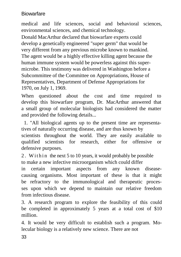#### **Biowarfare**

medical and life sciences, social and behavioral sciences, environmental sciences, and chemical technology.

Donald MacArthur declared that biowarfare experts could develop a genetically engineered "super germ" that would be very different from any previous microbe known to mankind. The agent would be a highly effective killing agent because the human immune system would be powerless against this supermicrobe. This testimony was delivered in Washington before a Subcommittee of the Committee on Appropriations, House of Representatives, Department of Defense Appropriations for 1970, on July 1, 1969.

When questioned about the cost and time required to develop this biowarfare program, Dr. MacArthur answered that a small group of molecular biologists had considered the matter and provided the following details...

1. "All biological agents up to the present time are representatives of naturally occurring disease, and are thus known by scientists throughout the world. They are easily available to qualified scientists for research, either for offensive or defensive purposes.

2. Within the next 5 to 10 years, it would probably be possible to make a new infective microorganism which could differ

in certain important aspects from any known diseasecausing organisms. Most important of these is that it might be refractory to the immunological and therapeutic processes upon which we depend to maintain our relative freedom from infectious disease.

3. A research program to explore the feasibility of this could be completed in approximately 5 years at a total cost of \$10 million.

4. It would be very difficult to establish such a program. Molecular biology is a relatively new science. There are not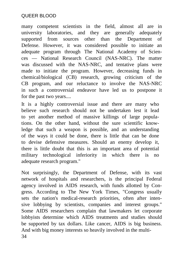many competent scientists in the field, almost all are in university laboratories, and they are generally adequately supported from sources other than the Department of Defense. However, it was considered possible to initiate an adequate program through The National Academy of Sciences — National Research Council (NAS-NRC). The matter was discussed with the NAS-NRC, and tentative plans were made to initiate the program. However, decreasing funds in chemical/biological (CB) research, growing criticism of the CB program, and our reluctance to involve the NAS-NRC in such a controversial endeavor have led us to postpone it for the past two years....

It is a highly controversial issue and there are many who believe such research should not be undertaken lest it lead to yet another method of massive killings of large populations. On the other hand, without the sure scientific knowledge that such a weapon is possible, and an understanding of the ways it could be done, there is little that can be done to devise defensive measures. Should an enemy develop it, there is little doubt that this is an important area of potential military technological inferiority in which there is no adequate research program."

Not surprisingly, the Department of Defense, with its vast network of hospitals and researchers, is the principal Federal agency involved in AIDS research, with funds allotted by Congress. According to The New York Times, "Congress usually sets the nation's medical-research priorities, often after intensive lobbying by scientists, companies and interest groups." Some AIDS researchers complain that lawmakers let corporate lobbyists determine which AIDS treatments and studies should be supported by tax dollars. Like cancer, AIDS is big business. And with big money interests so heavily involved in the multi-34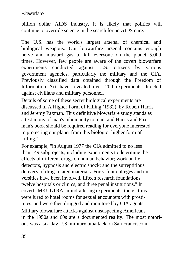#### **Biowarfare**

billion dollar AIDS industry, it is likely that politics will continue to override science in the search for an AIDS cure.

The U.S. has the world's largest arsenal of chemical and biological weapons. Our biowarfare arsenal contains enough nerve and mustard gas to kill everyone on the planet 5,000 times. However, few people are aware of the covert biowarfare experiments conducted against U.S. citizens by various government agencies, particularly the military and the CIA. Previously classified data obtained through the Freedom of Information Act have revealed over 200 experiments directed against civilians and military personnel.

Details of some of these secret biological experiments are discussed in A Higher Form of Killing (1982), by Robert Harris and Jeremy Paxman. This definitive biowarfare study stands as a testimony of man's inhumanity to man, and Harris and Paxman's book should be required reading for everyone interested in protecting our planet from this biologic "higher form of killing."

For example, "in August 1977 the CIA admitted to no less than 149 subprojects, including experiments to determine the effects of different drugs on human behavior; work on liedetectors, hypnosis and electric shock; and the surreptitious delivery of drug-related materials. Forty-four colleges and universities have been involved, fifteen research foundations, twelve hospitals or clinics, and three penal institutions." In covert "MKULTRA" mind-altering experiments, the victims were lured to hotel rooms for sexual encounters with prostitutes, and were then drugged and monitored by CIA agents. Military biowarfare attacks against unsuspecting Americans in the 1950s and 60s are a documented reality. The most notorious was a six-day U.S. military bioattack on San Francisco in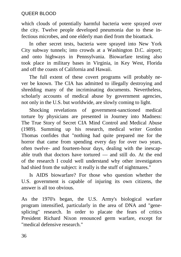which clouds of potentially harmful bacteria were sprayed over the city. Twelve people developed pneumonia due to these infectious microbes, and one elderly man died from the bioattack.

In other secret tests, bacteria were sprayed into New York City subway tunnels; into crowds at a Washington D.C. airport; and onto highways in Pennsylvania. Biowarfare testing also took place in military bases in Virginia, in Key West, Florida and off the coasts of California and Hawaii.

The full extent of these covert programs will probably never be known. The CIA has admitted to illegally destroying and shredding many of the incriminating documents. Nevertheless, scholarly accounts of medical abuse by government agencies, not only in the U.S. but worldwide, are slowly coming to light.

Shocking revelations of government-sanctioned medical torture by physicians are presented in Journey into Madness: The True Story of Secret CIA Mind Control and Medical Abuse (1989). Summing up his research, medical writer Gordon Thomas confides that "nothing had quite prepared me for the horror that came from spending every day for over two years, often twelve- and fourteen-hour days, dealing with the inescapable truth that doctors have tortured — and still do. At the end of the research I could well understand why other investigators had shied from the subject: it really is the stuff of nightmares."

Is AIDS biowarfare? For those who question whether the U.S. government is capable of injuring its own citizens, the answer is all too obvious.

As the 1970's began, the U.S. Army's biological warfare program intensified, particularly in the area of DNA and "genesplicing" research. In order to placate the fears of critics President Richard Nixon renounced germ warfare, except for "medical defensive research."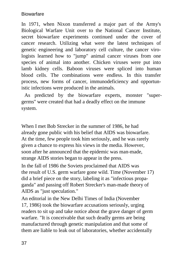#### **Biowarfare**

In 1971, when Nixon transferred a major part of the Army's Biological Warfare Unit over to the National Cancer Institute, secret biowarfare experiments continued under the cover of cancer research. Utilizing what were the latest techniques of genetic engineering and laboratory cell culture, the cancer virologists learned how to "jump" animal cancer viruses from one species of animal into another. Chicken viruses were put into lamb kidney cells. Baboon viruses were spliced into human blood cells. The combinations were endless. In this transfer process, new forms of cancer, immunodeficiency and opportunistic infections were produced in the animals.

As predicted by the biowarfare experts, monster "supergerms'' were created that had a deadly effect on the immune system.

When I met Bob Strecker in the summer of 1986, he had already gone public with his belief that AIDS was biowarfare. At the time, few people took him seriously, and he was rarely given a chance to express his views in the media. However, soon after he announced that the epidemic was man-made, strange AIDS stories began to appear in the press.

In the fall of 1986 the Soviets proclaimed that AIDS was the result of U.S. germ warfare gone wild. Time (November 17) did a brief piece on the story, labeling it as "infectious propaganda" and passing off Robert Strecker's man-made theory of AIDS as "just speculation."

An editorial in the New Delhi Times of India (November 17, 1986) took the biowarfare accusations seriously, urging readers to sit up and take notice about the grave danger of germ warfare. "It is conceivable that such deadly germs are being manufactured through genetic manipulation and that some of them are liable to leak out of laboratories, whether accidentally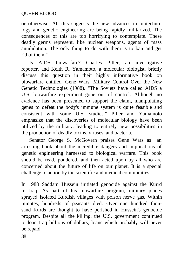or otherwise. All this suggests the new advances in biotechnology and genetic engineering are being rapidly militarized. The consequences of this are too horrifying to contemplate. These deadly germs represent, like nuclear weapons, agents of mass annihilation. The only thing to do with them is to ban and get rid of them."

Is AIDS biowarfare? Charles Piller, an investigative reporter, and Keith R. Yamamoto, a molecular biologist, briefly discuss this question in their highly informative book on biowarfare entitled, Gene Wars: Military Control Over the New Genetic Technologies (1988). "The Soviets have called AIDS a U.S. biowarfare experiment gone out of control. Although no evidence has been presented to support the claim, manipulating genes to defeat the body's immune system is quite feasible and consistent with some U.S. studies." Piller and Yamamoto emphasize that the discoveries of molecular biology have been utilized by the military, leading to entirely new possibilities in the production of deadly toxins, viruses, and bacteria.

Senator George S. McGovern praises Gene Wars as "an arresting book about the incredible dangers and implications of genetic engineering harnessed to biological warfare. This book should be read, pondered, and then acted upon by all who are concerned about the future of life on our planet. It is a special challenge to action by the scientific and medical communities."

In 1988 Saddam Hussein initiated genocide against the Kurrd in Iraq. As part of his biowarfare program, military planes sprayed isolated Kurdish villages with poison nerve gas. Within minutes, hundreds of peasants died. Over one hundred thousand Kurds are thought to have perished in Hussein's genocide program. Despite all the killing, the U.S. government continued to loan Iraq billions of dollars, loans which probably will never be repaid.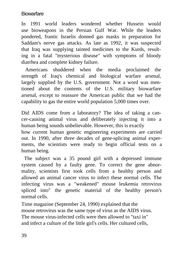#### **Biowarfare**

In 1991 world leaders wondered whether Hussein would use bioweapons in the Persian Gulf War. While the leaders pondered, frantic Israelis donned gas masks in preparation for Saddam's nerve gas attacks. As late as 1992, it was suspected that Iraq was supplying tainted medicines to the Kurds, resulting in a fatal "mysterious disease" with symptoms of bloody diarrhea and complete kidney failure.

Americans shuddered when the media proclaimed the strength of Iraq's chemical and biological warfare arsenal, largely supplied by the U.S. government. Not a word was mentioned about the contents of the U.S. military biowarfare arsenal, except to reassure the American public that we had the capability to gas the entire world population 5,000 times over.

Did AIDS come from a laboratory? The idea of taking a cancer-causing animal virus and deliberately injecting it into a human being sounds unbelievable. However, this is exactly

how current human genetic engineering experiments are carried out. In 1990, after three decades of gene-splicing animal experments, the scientists were ready to begin official tests on a human being.

The subject was a 35 pound girl with a depressed immune system caused by a faulty gene. To correct the gene abnormality, scientists first took cells from a healthy person and allowed an animal cancer virus to infect these normal cells. The infecting virus was a "weakened" mouse leukemia retrovirus spliced into" the genetic material of the healthy person's normal cells.

Time magazine (September 24, 1990) explained that the mouse retrovirus was the same type of virus as the AIDS virus. The mouse virus-infected cells were then allowed to "taxi in" and infect a culture of the little girl's cells. Her cultured cells,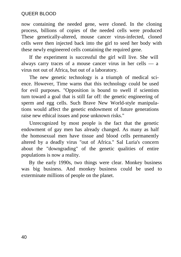now containing the needed gene, were cloned. In the cloning process, billions of copies of the needed cells were produced These genetically-altered, mouse cancer virus-infected, cloned cells were then injected back into the girl to seed her body with these newly engineered cells containing the required gene.

If the experiment is successful the girl will live. She will always carry traces of a mouse cancer virus in her cells — a virus not out of Africa, but out of a laboratory.

The new genetic technology is a triumph of medical science. However, Time warns that this technology could be used for evil purposes. "Opposition is bound to swell if scientists turn toward a goal that is still far off: the genetic engineering of sperm and egg cells. Such Brave New World-style manipulations would affect the genetic endowment of future generations raise new ethical issues and pose unknown risks."

Unrecognized by most people is the fact that the genetic endowment of gay men has already changed. As many as half the homosexual men have tissue and blood cells permanently altered by a deadly virus "out of Africa." Sal Luria's concern about the "downgrading" of the genetic qualities of entire populations is now a reality.

By the early 1990s, two things were clear. Monkey business was big business. And monkey business could be used to exterminate millions of people on the planet.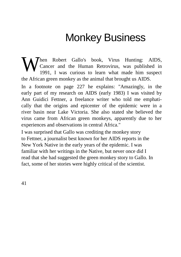### Monkey Business

hen Robert Gallo's book, Virus Hunting: AIDS, Cancer and the Human Retrovirus, was published in 1991, I was curious to learn what made him suspect the African green monkey as the animal that brought us AIDS. **W** 

In a footnote on page 227 he explains: "Amazingly, in the early part of my research on AIDS (early 1983) I was visited by Ann Guidici Fettner, a freelance writer who told me emphatically that the origins and epicenter of the epidemic were in a river basin near Lake Victoria. She also stated she believed the virus came from African green monkeys, apparently due to her experiences and observations in central Africa."

I was surprised that Gallo was crediting the monkey story to Fettner, a journalist best known for her AIDS reports in the New York Native in the early years of the epidemic. I was familiar with her writings in the Native, but never once did I read that she had suggested the green monkey story to Gallo. In fact, some of her stories were highly critical of the scientist.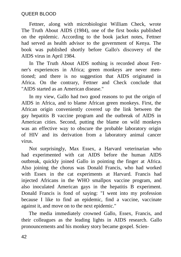Fettner, along with microbiologist William Check, wrote The Truth About AIDS (1984), one of the first books published on the epidemic. According to the book jacket notes, Fettner had served as health advisor to the government of Kenya. The book was published shortly before Gallo's discovery of the AIDS virus in April 1984.

In The Truth About AIDS nothing is recorded about Fettner's experiences in Africa; green monkeys are never mentioned; and there is no suggestion that AIDS originated in Africa. On the contrary, Fettner and Check conclude that "AIDS started as an American disease."

In my view, Gallo had two good reasons to put the origin of AIDS in Africa, and to blame African green monkeys. First, the African origin conveniently covered up the link between the gay hepatitis B vaccine program and the outbreak of AIDS in American cities. Second, putting the blame on wild monkeys was an effective way to obscure the probable laboratory origin of HIV and its derivation from a laboratory animal cancer virus.

Not surprisingly, Max Essex, a Harvard veterinarian who had experimented with cat AIDS before the human AIDS outbreak, quickly joined Gallo in pointing the finger at Africa. Also joining the chorus was Donald Francis, who had worked with Essex in the cat experiments at Harvard. Francis had injected Africans in the WHO smallpox vaccine program, and also inoculated American gays in the hepatitis B experiment. Donald Francis is fond of saying: "I went into my profession because I like to find an epidemic, find a vaccine, vaccinate against it, and move on to the next epidemic."

The media immediately crowned Gallo, Essex, Francis, and their colleagues as the leading lights in AIDS research. Gallo pronouncements and his monkey story became gospel. Scien-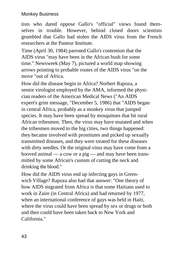#### Monkey Business

tists who dared oppose Gallo's "official" views found themselves in trouble. However, behind closed doors scientists grumbled that Gallo had stolen the AIDS virus from the French researchers at the Pasteur Institute.

Time (April 30, 1984) parroted Gallo's contention that the AIDS virus "may have been in the African bush for some time." Newsweek (May 7), pictured a world map showing arrows pointing to probable routes of the AIDS virus "on the move "out of Africa.

How did the disease begin in Africa? Norbert Rapoza, a senior virologist employed by the AMA, informed the physician readers of the American Medical News ("An AIDS expert's grim message, "December 5, 1986) that "AIDS began in central Africa, probably as a monkey virus that jumped species. It may have been spread by mosquitoes that bit rural African tribesmen. Then, the virus may have mutated and when the tribesmen moved to the big cities, two things happened: they became involved with prostitutes and picked up sexually transmitted diseases, and they were treated for these diseases with dirty needles. Or the original virus may have come from a hooved animal — a cow or a pig — and may have been transmitted by some African's custom of cutting the neck and drinking the blood."

How did the AIDS virus end up infecting gays in Greenwich Village? Rapoza also had that answer: "One theory of how AIDS migrated from Africa is that some Haitians used to work in Zaire (in Central Africa) and had returned by 1977, when an international conference of gays was held in Haiti, where the virus could have been spread by sex or drugs or both and then could have been taken back to New York and California."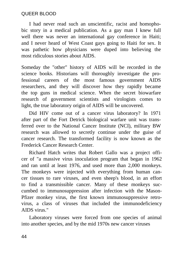I had never read such an unscientific, racist and homophobic story in a medical publication. As a gay man I knew full well there was never an international gay conference in Haiti; and I never heard of West Coast gays going to Haiti for sex. It was pathetic how physicians were duped into believing the most ridiculous stories about AIDS.

Someday the "other" history of AIDS will be recorded in the science books. Historians will thoroughly investigate the professional careers of the most famous government AIDS researchers, and they will discover how they rapidly became the top guns in medical science. When the secret biowarfare research of government scientists and virologists comes to light, the true laboratory origin of AIDS will be uncovered.

Did HIV come out of a cancer virus laboratory? In 1971 after part of the Fort Detrick biological warfare unit was transferred over to the National Cancer Institute (NCI), military BW research was allowed to secretly continue under the guise of cancer research. The transformed facility is now known as the Frederick Cancer Research Center.

Richard Hatch writes that Robert Gallo was a project officer of "a massive virus inoculation program that began in 1962 and ran until at least 1976, and used more than 2,000 monkeys. The monkeys were injected with everything from human cancer tissues to rare viruses, and even sheep's blood, in an effort to find a transmissible cancer. Many of these monkeys succumbed to immunosuppression after infection with the Mason-Pfizer monkey virus, the first known immunosuppressive retrovirus, a class of viruses that included the immunodeficiency AIDS virus."

Laboratory viruses were forced from one species of animal into another species, and by the mid 1970s new cancer viruses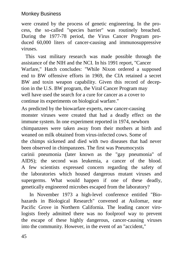were created by the process of genetic engineering. In the process, the so-called "species barrier" was routinely breached. During the 1977-78 period, the Virus Cancer Program produced 60,000 liters of cancer-causing and immunosuppressive viruses.

This vast military research was made possible through the assistance of the NIH and the NCI. In his 1991 report, "Cancer Warfare," Hatch concludes: "While Nixon ordered a supposed end to BW offensive efforts in 1969, the CIA retained a secret BW and toxin weapon capability. Given this record of deception in the U.S. BW program, the Viral Cancer Program may well have used the search for a cure for cancer as a cover to continue its experiments on biological warfare."

As predicted by the biowarfare experts, new cancer-causing monster viruses were created that had a deadly effect on the immune system. In one experiment reported in 1974, newborn chimpanzees were taken away from their mothers at birth and weaned on milk obtained from virus-infected cows. Some of the chimps sickened and died with two diseases that had never been observed in chimpanzees. The first was Pneumocystis carinii pneumonia (later known as the "gay pneumonia" of AIDS); the second was leukemia, a cancer of the blood. A few scientists expressed concern regarding the safety of the laboratories which housed dangerous mutant viruses and supergerms. What would happen if one of these deadly, genetically engineered microbes escaped from the laboratory?

In November 1973 a high-level conference entitled "Biohazards in Biological Research" convened at Asilomar, near Pacific Grove in Northern California. The leading cancer virologists freely admitted there was no foolproof way to prevent the escape of these highly dangerous, cancer-causing viruses into the community. However, in the event of an "accident,"

45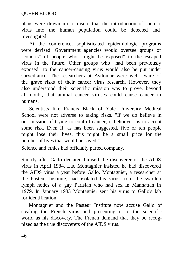plans were drawn up to insure that the introduction of such a virus into the human population could be detected and investigated.

At the conference, sophisticated epidemiologic programs were devised. Government agencies would oversee groups or "cohorts" of people who "might be exposed" to the escaped virus in the future. Other groups who "had been previously exposed" to the cancer-causing virus would also be put under surveillance. The researchers at Asilomar were well aware of the grave risks of their cancer virus research. However, they also understood their scientific mission was to prove, beyond all doubt, that animal cancer viruses could cause cancer in humans.

Scientists like Francis Black of Yale University Medical School were not adverse to taking risks. "If we do believe in our mission of trying to control cancer, it behooves us to accept some risk. Even if, as has been suggested, five or ten people might lose their lives, this might be a small price for the number of lives that would be saved."

Science and ethics had officially parted company.

Shortly after Gallo declared himself the discoverer of the AIDS virus in April 1984, Luc Montagnier insisted he had discovered the AIDS virus a year before Gallo. Montagnier, a researcher at the Pasteur Institute, had isolated his virus from the swollen lymph nodes of a gay Parisian who had sex in Manhattan in 1979. In January 1983 Montagnier sent his virus to Gallo's lab for identification.

Montagnier and the Pasteur Institute now accuse Gallo of stealing the French virus and presenting it to the scientific world as his discovery. The French demand that they be recognized as the true discoverers of the AIDS virus.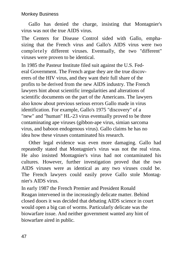#### Monkey Business

Gallo has denied the charge, insisting that Montagnier's virus was not the true AIDS virus.

The Centers for Disease Control sided with Gallo, emphasizing that the French virus and Gallo's AIDS virus were two completely different viruses. Eventually, the two "different" viruses were proven to be identical.

In 1985 the Pasteur Institute filed suit against the U.S. Federal Government. The French argue they are the true discoverers of the HIV virus, and they want their full share of the profits to be derived from the new AIDS industry. The French lawyers hint about scientific irregularities and alterations of scientific documents on the part of the Americans. The lawyers also know about previous serious errors Gallo made in virus identification. For example, Gallo's 1975 "discovery" of a "new" and "human" HL-23 virus eventually proved to be three contaminating ape viruses (gibbon-ape virus, simian sarcoma virus, and baboon endogenous virus). Gallo claims he has no idea how these viruses contaminated his research.

Other legal evidence was even more damaging. Gallo had repeatedly stated that Montagnier's virus was not the real virus. He also insisted Montagnier's virus had not contaminated his cultures. However, further investigation proved that the two AIDS viruses were as identical as any two viruses could be. The French lawyers could easily prove Gallo stole Montagnier's AIDS virus.

In early 1987 the French Premier and President Ronald Reagan intervened in the increasingly delicate matter. Behind closed doors it was decided that debating AIDS science in court would open a big can of worms. Particularly delicate was the biowarfare issue. And neither government wanted any hint of biowarfare aired in public.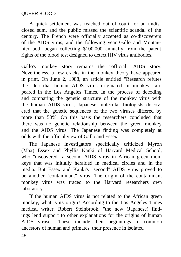A quick settlement was reached out of court for an undisclosed sum, and the public missed the scientific scandal of the century. The French were officially accepted as co-discoverers of the AIDS virus, and the following year Gallo and Montagnier both began collecting \$100,000 annually from the patent rights of the blood test designed to detect HIV virus antibodies.

Gallo's monkey story remains the "official" AIDS story. Nevertheless, a few cracks in the monkey theory have appeared in print. On June 2, 1988, an article entitled "Research refutes the idea that human AIDS virus originated in monkey" appeared in the Los Angeles Times. In the process of decoding and comparing the genetic structure of the monkey virus with the human AIDS virus, Japanese molecular biologists discovered that the genetic sequences of the two viruses differed by more than 50%. On this basis the researchers concluded that there was no genetic relationship between the green monkey and the AIDS virus. The Japanese finding was completely at odds with the official view of Gallo and Essex.

The Japanese investigators specifically criticized Myron (Max) Essex and Phyllis Kanki of Harvard Medical School, who "discovered" a second AIDS virus in African green monkeys that was initially heralded in medical circles and in the media. But Essex and Kanki's "second" AIDS virus proved to be another "contaminant" virus. The origin of the contaminant monkey virus was traced to the Harvard researchers own laboratory.

If the human AIDS virus is not related to the African green monkey, what is its origin? According to the Los Angeles Times medical writer, Robert Steinbrook, "the new (Japanese) findings lend support to other explanations for the origins of human AIDS viruses. These include their beginnings in common ancestors of human and primates, their presence in isolated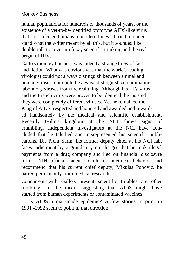#### Monkey Business

human populations for hundreds or thousands of years, or the existence of a yet-to-be-identified prototype AIDS-like virus that first infected humans in modern times." I tried to understand what the writer meant by all this, but it sounded like double-talk to cover-up fuzzy scientific thinking and the real origin of HIV.

Gallo's monkey business was indeed a strange brew of fact and fiction. What was obvious was that the world's leading virologist could not always distinguish between animal and human viruses, nor could he always distinguish contaminating laboratory viruses from the real thing. Although his HIV virus and the French virus were proven to be identical, he insisted they were completely different viruses. Yet he remained the King of AIDS, respected and honored and awarded and rewarded handsomely by the medical and scientific establishment. Recently Gallo's kingdom at the NCI shows signs of crumbling. Independent investigators at the NCI have concluded that he falsified and misrepresented his scientific publications. Dr. Prem Sarin, his former deputy chief at his NCI lab, faces indictment by a grand jury on charges that he took illegal payments from a drug company and lied on financial disclosure forms. NIH officials accuse Gallo of unethical behavior and recommend that his current chief deputy, Mikulas Popovic, be barred permanently from medical research.

Concurrent with Gallo's present scientific troubles are other rumblings in the media suggesting that AIDS might have started from human experiments or contaminated vaccines.

Is AIDS a man-made epidemic? A few stories in print in 1991 -1992 seem to point in that direction.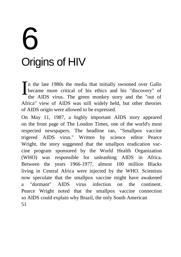# 6 Origins of HIV

n the late 1980s the media that initially swooned over Gallo became more critical of his ethics and his "discovery" of the AIDS virus. The green monkey story and the "out of Africa" view of AIDS was still widely held, but other theories of AIDS origin were allowed to be expressed. I

On May 11, 1987, a highly important AIDS story appeared on the front page of The London Times, one of the world's most respected newspapers. The headline ran, "Smallpox vaccine trigered AIDS virus." Written by science editor Pearce Wright, the story suggested that the smallpox eradication vaccine program sponsored by the World Health Organization (WHO) was responsible for unleashing AIDS in Africa. Between the years 1966-1977, almost 100 million Blacks living in Central Africa were injected by the WHO. Scientists now speculate that the smallpox vaccine might have awakened a "dormant" AIDS virus infection on the continent. Pearce Wright noted that the smallpox vaccine connection so AIDS could explain why Brazil, the only South American 51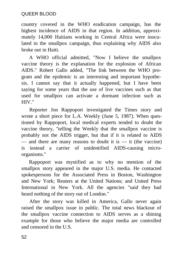country covered in the WHO eradication campaign, has the highest incidence of AIDS in that region. In addition, approximately 14,000 Haitians working in Central Africa were inoculated in the smallpox campaign, thus explaining why AIDS also broke out in Haiti.

A WHO official admitted, "Now I believe the smallpox vaccine theory is the explanation for the explosion of African AIDS." Robert Gallo added, "The link between the WHO program and the epidemic is an interesting and important hypothesis. I cannot say that it actually happened, but I have been saying for some years that the use of live vaccines such as that used for smallpox can activate a dormant infection such as HIV."

Reporter Jon Rappoport investigated the Times story and wrote a short piece for L.A. Weekly (June 5, 1987). When questioned by Rappoport, local medical experts tended to doubt the vaccine theory, "telling the Weekly that the smallpox vaccine is probably not the AIDS trigger, but that if it is related to AIDS — and there are many reasons to doubt it is — it (the vaccine) is instead a carrier of unidentified AIDS-causing microorganisms."

Rappoport was mystified as to why no mention of the smallpox story appeared in the major U.S. media. He contacted spokespersons for the Associated Press in Boston, Washington and New York; Reuters at the United Nations; and United Press International in New York. All the agencies "said they had heard nothing of the story out of London."

After the story was killed in America, Gallo never again raised the smallpox issue in public. The total news blackout of the smallpox vaccine connection to AIDS serves as a shining example for those who believe the major media are controlled and censored in the U.S.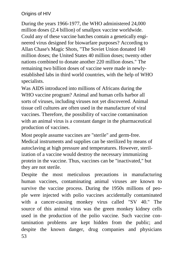#### Origins of HIV

During the years 1966-1977, the WHO administered 24,000 million doses (2.4 billion) of smallpox vaccine worldwide. Could any of these vaccine batches contain a genetically engineered virus designed for biowarfare purposes? According to Allan Chase's Magic Shots, "The Soviet Union donated 140 million doses; the United States 40 million doses; twenty other nations combined to donate another 220 million doses." The remaining two billion doses of vaccine were made in newlyestablished labs in third world countries, with the help of WHO specialists.

Was AIDS introduced into millions of Africans during the WHO vaccine program? Animal and human cells harbor all sorts of viruses, including viruses not yet discovered. Animal tissue cell cultures are often used in the manufacture of viral vaccines. Therefore, the possibility of vaccine contamination with an animal virus is a constant danger in the pharmaceutical production of vaccines.

Most people assume vaccines are "sterile" and germ-free. Medical instruments and supplies can be sterilized by means of autoclaving at high pressure and temperatures. However, sterilization of a vaccine would destroy the necessary immunizing protein in the vaccine. Thus, vaccines can be "inactivated," but they are not sterile.

Despite the most meticulous precautions in manufacturing human vaccines, contaminating animal viruses are known to survive the vaccine process. During the 1950s millions of people were injected with polio vaccines accidentally contaminated with a cancer-causing monkey virus called "SV 40." The source of this animal virus was the green monkey kidney cells used in the production of the polio vaccine. Such vaccine contamination problems are kept hidden from the public; and despite the known danger, drug companies and physicians 53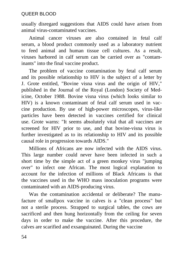usually disregard suggestions that AIDS could have arisen from animal virus-contaminated vaccines.

Animal cancer viruses are also contained in fetal calf serum, a blood product commonly used as a laboratory nutrient to feed animal and human tissue cell cultures. As a result, viruses harbored in calf serum can be carried over as "contaminants" into the final vaccine product.

The problem of vaccine contamination by fetal calf serum and its possible relationship to HIV is the subject of a letter by J. Grote entitled, "Bovine visna virus and the origin of HIV," published in the Journal of the Royal (London) Society of Medicine, October 1988. Bovine visna virus (which looks similar to HIV) is a known contaminant of fetal calf serum used in vaccine production. By use of high-power microscopes, virus-like particles have been detected in vaccines certified for clinical use. Grote warns: "It seems absolutely vital that all vaccines are screened for HIV prior to use, and that bovine-visna virus is further investigated as to its relationship to HIV and its possible causal role in progression towards AIDS."

Millions of Africans are now infected with the AIDS virus. This large number could never have been infected in such a short time by the simple act of a green monkey virus "jumping over" to infect one African. The most logical explanation to account for the infection of millions of Black Africans is that the vaccines used in the WHO mass inoculation programs were contaminated with an AIDS-producing virus.

Was the contamination accidental or deliberate? The manufacture of smallpox vaccine in calves is a "clean process" but not a sterile process. Strapped to surgical tables, the cows are sacrificed and then hung horizontally from the ceiling for seven days in order to make the vaccine. After this procedure, the calves are scarified and exsanguinated. During the vaccine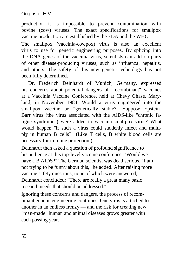#### Origins of HIV

production it is impossible to prevent contamination with bovine (cow) viruses. The exact specifications for smallpox vaccine production are established by the FDA and the WHO.

The smallpox (vaccinia-cowpox) virus is also an excellent virus to use for genetic engineering purposes. By splicing into the DNA genes of the vaccinia virus, scientists can add on parts of other disease-producing viruses, such as influenza, hepatitis, and others. The safety of this new genetic technology has not been fully determined.

Dr. Frederich Deinhardt of Munich, Germany, expressed his concerns about potential dangers of "recombinant" vaccines at a Vaccinia Vaccine Conference, held at Chevy Chase, Maryland, in November 1984. Would a virus engineered into the smallpox vaccine be "genetically stable?" Suppose Epstein-Barr virus (the virus associated with the AIDS-like "chronic fatigue syndrome") were added to vaccinia-smallpox virus? What would happen "if such a virus could suddenly infect and multiply in human B cells?" (Like T cells, B white blood cells are necessary for immune protection.)

Deinhardt then asked a question of profound significance to his audience at this top-level vaccine conference. "Would we have a B AIDS?" The German scientist was dead serious. "I am not trying to be funny about this," he added. After raising more vaccine safety questions, none of which were answered, Deinhardt concluded: "There are really a great many basic research needs that should be addressed."

Ignoring these concerns and dangers, the process of recombinant genetic engineering continues. One virus is attached to another in an endless frenzy — and the risk for creating new "man-made" human and animal diseases grows greater with each passing year.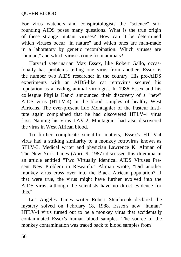For virus watchers and conspiratologists the "science" surrounding AIDS poses many questions. What is the true origin of these strange mutant viruses? How can it be determined which viruses occur "in nature" and which ones are man-made in a laboratory by genetic recombination. Which viruses are "human," and which viruses come from animals?

Harvard veterinarian Max Essex, like Robert Gallo, occasionally has problems telling one virus from another. Essex is the number two AIDS researcher in the country. His pre-AIDS experiments with an AIDS-like cat retrovirus secured his reputation as a leading animal virologist. In 1986 Essex and his colleague Phyllis Kanki announced their discovery of a "new" AIDS virus (HTLV-4) in the blood samples of healthy West Africans. The ever-present Luc Montagnier of the Pasteur Institute again complained that he had discovered HTLV-4 virus first. Naming his virus LAV-2, Montagnier had also discovered the virus in West African blood.

To further complicate scientific matters, Essex's HTLV-4 virus had a striking similarity to a monkey retrovirus known as STLV-3. Medical writer and physician Lawrence K. Altman of The New York Times (April 9, 1987) discussed this dilemma in an article entitled "Two Virtually Identical AIDS Viruses Present New Problem in Research." Altman wrote, "Did another monkey virus cross over into the Black African population? If that were true, the virus might have further evolved into the AIDS virus, although the scientists have no direct evidence for this."

Los Angeles Times writer Robert Steinbrook declared the mystery solved on February 18, 1988. Essex's new "human" HTLV-4 virus turned out to be a monkey virus that accidentally contaminated Essex's human blood samples. The source of the monkey contamination was traced back to blood samples from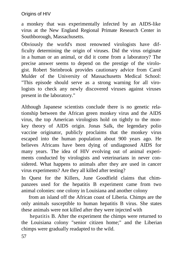Origins of HIV

a monkey that was experimentally infected by an AIDS-like virus at the New England Regional Primate Research Center in Southborough, Massachusetts.

Obviously the world's most renowned virologists have difficulty determining the origin of viruses. Did the virus originate in a human or an animal, or did it come from a laboratory? The precise answer seems to depend on the prestige of the virologist. Robert Steinbrook provides cautionary advice from Carol Mulder of the University of Massachusetts Medical School: "This episode should serve as a strong warning for all virologists to check any newly discovered viruses against viruses present in the laboratory."

Although Japanese scientists conclude there is no genetic relationship between the African green monkey virus and the AIDS virus, the top American virologists hold on tightly to the monkey theory of AIDS origin. Jonas Salk, the legendary polio vaccine originator, publicly proclaims that the monkey virus escaped into the human population about 900 years ago. He believes Africans have been dying of undiagnosed AIDS for many years. The idea of HIV evolving out of animal experiments conducted by virologists and veterinarians in never considered. What happens to animals after they are used in cancer virus experiments? Are they all killed after testing?

In Quest for the Killers, June Goodfield claims that chimpanzees used for the hepatitis B experiment came from two animal colonies: one colony in Louisiana and another colony

from an island off the African coast of Liberia. Chimps are the only animals susceptible to human hepatitis B virus. She states these animals were not killed after they were injected with

hepatitis B. After the experiment the chimps were returned to the Louisiana colony "senior citizen home;" and the Liberian chimps were gradually readapted to the wild.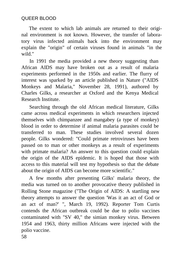The extent to which lab animals are returned to their original environment is not known. However, the transfer of laboratory virus infected animals back into the environment may explain the "origin" of certain viruses found in animals "in the wild."

In 1991 the media provided a new theory suggesting than African AIDS may have broken out as a result of malaria experiments performed in the 1950s and earlier. The flurry of interest was sparked by an article published in Nature ("AIDS Monkeys and Malaria," November 28, 1991), authored by Charles Gilks, a researcher at Oxford and the Kenya Medical Research Institute.

Searching through the old African medical literature, Gilks came across medical experiments in which researchers injected themselves with chimpanzee and mangabey (a type of monkey) blood in order to determine if animal malaria parasites could be transferred to man. These studies involved several dozen people. Gilks wondered: "Could primate retroviruses have been passed on to man or other monkeys as a result of experiments with primate malaria? An answer to this question could explain the origin of the AIDS epidemic. It is hoped that those with access to this material will test my hypothesis so that the debate about the origin of AIDS can become more scientific."

A few months after presenting Gilks' malaria theory, the media was turned on to another provocative theory published in Rolling Stone magazine ("The Origin of AIDS: A startling new theory attempts to answer the question 'Was it an act of God or an act of man?' ", March 19, 1992). Reporter Tom Curtis contends the African outbreak could be due to polio vaccines contaminated with "SV 40," the simian monkey virus. Between 1954 and 1963, thirty million Africans were injected with the polio vaccine.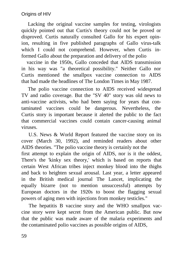#### Origins of HIV

Lacking the original vaccine samples for testing, virologists quickly pointed out that Curtis's theory could not be proved or disproved. Curtis naturally consulted Gallo for his expert opinion, resulting in five published paragraphs of Gallo virus-talk which I could not comprehend. However, when Curtis informed Gallo about the preparation and delivery of the polio

vaccine in the 1950s, Gallo conceded that AIDS transmission in his way was "a theoretical possibility." Neither Gallo nor Curtis mentioned the smallpox vaccine connection to AIDS that had made the headlines of The London Times in May 1987.

The polio vaccine connection to AIDS received widespread TV and radio coverage. But the "SV 40" story was old news to anti-vaccine activists, who had been saying for years that contaminated vaccines could be dangerous. Nevertheless, the Curtis story is important because it alerted the public to the fact that commercial vaccines could contain cancer-causing animal viruses.

U.S. News & World Report featured the vaccine story on its cover (March 30, 1992), and reminded readers about other AIDS theories. "The polio vaccine theory is certainly not the first attempt to explain the origin of AIDS, nor is it the oddest, There's the 'kinky sex theory,' which is based on reports that certain West African tribes inject monkey blood into the thighs and back to heighten sexual arousal. Last year, a letter appeared in the British medical journal The Lancet, implicating the equally bizarre (not to mention unsuccessful) attempts by European doctors in the 1920s to boost the flagging sexual powers of aging men with injections from monkey testicles."

The hepatitis B vaccine story and the WHO smallpox vaccine story were kept secret from the American public. But now that the public was made aware of the malaria experiments and the contaminated polio vaccines as possible origins of AIDS,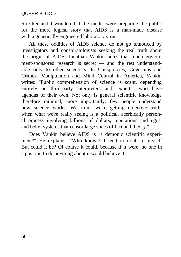Strecker and I wondered if the media were preparing the public for the more logical story that AIDS is a man-made disease with a genetically engineered laboratory virus.

All these oddities of AIDS science do not go unnoticed by investigators and conspiratologists seeking the real truth about the origin of AIDS. Jonathan Vankin notes that much government-sponsored research is secret — and the rest understandable only to other scientists. In Conspiracies, Cover-ups and Crimes: Manipulation and Mind Control in America, Vankin writes: "Public comprehension of science is scant, depending entirely on third-party interpreters and 'experts,' who have agendas of their own. Not only is general scientific knowledge therefore minimal, more importantly, few people understand how science works. We think we're getting objective truth, when what we're really seeing is a political, acerbically personal process involving billions of dollars, reputations and egos, and belief systems that censor large slices of fact and theory."

Does Vankin believe AIDS is "a demonic scientific experiment?" He explains: "Who knows? I tend to doubt it myself But could it be? Of course it could, because if it were, no one in a position to do anything about it would believe it."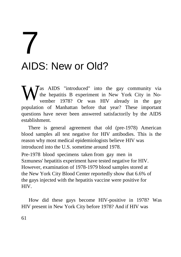## 7 AIDS: New or Old?

as AIDS "introduced" into the gay community via the hepatitis B experiment in New York City in November 1978? Or was HIV already in the gay population of Manhattan before that year? These important questions have never been answered satisfactorily by the AIDS establishment. **W** 

There is general agreement that old (pre-1978) American blood samples all test negative for HIV antibodies. This is the reason why most medical epidemiologists believe HIV was introduced into the U.S. sometime around 1978.

Pre-1978 blood specimens taken from gay men in Szmuness' hepatitis experiment have tested negative for HIV. However, examination of 1978-1979 blood samples stored at the New York City Blood Center reportedly show that 6.6% of the gays injected with the hepatitis vaccine were positive for HIV.

How did these gays become HIV-positive in 1978? Was HIV present in New York City before 1978? And if HIV was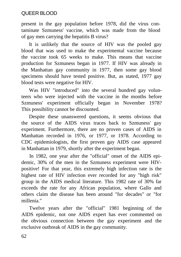present in the gay population before 1978, did the virus contaminate Szmuness' vaccine, which was made from the blood of gay men carrying the hepatitis B virus?

It is unlikely that the source of HIV was the pooled gay blood that was used to make the experimental vaccine because the vaccine took 65 weeks to make. This means that vaccine production for Szmuness began in 1977. If HIV was already in the Manhattan gay community in 1977, then some gay blood specimens should have tested positive. But, as stated, 1977 gay blood tests were negative for HIV.

Was HIV "introduced" into the several hundred gay volunteers who were injected with the vaccine in the months before Szmuness' experiment officially began in November 1978? This possibility cannot be discounted.

Despite these unanswered questions, it seems obvious that the source of the AIDS virus traces back to Szmuness' gay experiment. Furthermore, there are no proven cases of AIDS in Manhattan recorded in 1976, or 1977, or 1978. According to CDC epidemiologists, the first proven gay AIDS case appeared in Manhattan in 1979, shortly after the experiment began.

In 1982, one year after the "official" onset of the AIDS epidemic, 30% of the men in the Szmuness experiment were HIVpositive! For that year, this extremely high infection rate is the highest rate of HIV infection ever recorded for any "high risk" group in the AIDS medical literature. This 1982 rate of 30% far exceeds the rate for any African population, where Gallo and others claim the disease has been around "for decades" or "for millenia."

Twelve years after the "official" 1981 beginning of the AIDS epidemic, not one AIDS expert has ever commented on the obvious connection between the gay experiment and the exclusive outbreak of AIDS in the gay community.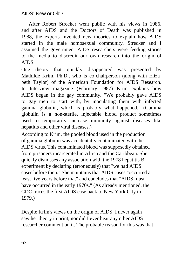After Robert Strecker went public with his views in 1986, and after AIDS and the Doctors of Death was published in 1988, the experts invented new theories to explain how AIDS started in the male homosexual community. Strecker and I assumed the government AIDS researchers were feeding stories to the media to discredit our own research into the origin of AIDS.

One theory that quickly disappeared was presented by Mathilde Krim, Ph.D., who is co-chairperson (along with Elizabeth Taylor) of the American Foundation for AIDS Research. In Interview magazine (February 1987) Krim explains how AIDS began in the gay community. "We probably gave AIDS to gay men to start with, by inoculating them with infected gamma globulin, which is probably what happened." (Gamma globulin is a non-sterile, injectable blood product sometimes used to temporarily increase immunity against diseases like hepatitis and other viral diseases.)

According to Krim, the pooled blood used in the production of gamma globulin was accidentally contaminated with the AIDS virus. This contaminated blood was supposedly obtained from prisoners incarcerated in Africa and the Caribbean. She quickly dismisses any association with the 1978 hepatitis B experiment by declaring (erroneously) that "we had AIDS cases before then." She maintains that AIDS cases "occurred at least five years before that" and concludes that "AIDS must have occurred in the early 1970s." (As already mentioned, the CDC traces the first AIDS case back to New York City in 1979.)

Despite Krim's views on the origin of AIDS, I never again saw her theory in print, nor did I ever hear any other AIDS researcher comment on it. The probable reason for this was that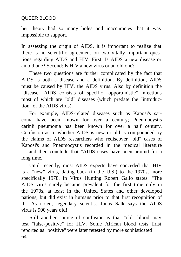her theory had so many holes and inaccuracies that it was impossible to support.

In assessing the origin of AIDS, it is important to realize that there is no scientific agreement on two vitally important questions regarding AIDS and HIV. First: Is AIDS a new disease or an old one? Second: Is HIV a new virus or an old one?

These two questions are further complicated by the fact that AIDS is both a disease and a definition. By definition, AIDS must be caused by HIV, the AIDS virus. Also by definition the "disease" AIDS consists of specific "opportunistic" infections most of which are "old" diseases (which predate the "introduction" of the AIDS virus).

For example, AIDS-related diseases such as Kaposi's sarcoma have been known for over a century; Pneumocystis carinii pneumonia has been known for over a half century. Confusion as to whether AIDS is new or old is compounded by the claims of AIDS researchers who rediscover "old" cases of Kaposi's and Pneumocystis recorded in the medical literature — and then conclude that "AIDS cases have been around for a long time."

Until recently, most AIDS experts have conceded that HIV is a "new" virus, dating back (in the U.S.) to the 1970s, more specifically 1978. In Virus Hunting Robert Gallo states: "The AIDS virus surely became prevalent for the first time only in the 1970s, at least in the United States and other developed nations, but did exist in humans prior to that first recognition of it." As noted, legendary scientist Jonas Salk says the AIDS virus is 900 years old!

Still another source of confusion is that "old" blood may test "false-positive" for HIV. Some African blood tests firist reported as "positive" were later retested by more sophisticated 64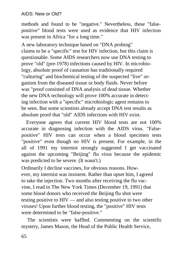methods and found to be "negative." Nevertheless, these "falsepositive" blood tests were used as evidence that HIV infection was present in Africa "for a long time."

A new laboratory technique based on "DNA probing" claims to be a "specific" test for HIV infection, but this claim is questionable. Some AIDS researchers now use DNA testing to prove "old" (pre-1978) infections caused by HIV. In microbiology, absolute proof of causation has traditionally required "culturing" and biochemical testing of the suspected "live" organism from the diseased tissue or body fluids. Never before was "proof consisted of DNA analysis of dead tissue. Whether the new DNA technology will prove 100% accurate in detecting infection with a "specific" microbiologic agent remains to be seen. But some scientists already accept DNA test results as absolute proof that "old" AIDS infections with HIV exist.

Everyone agrees that current HIV blood tests are not 100% accurate in diagnosing infection with the AIDS virus. "Falsepositive" HIV tests can occur when a blood specimen tests "positive" even though no HIV is present. For example, in the all of 1991 my internist strongly suggested I get vaccinated against the upcoming "Beijing" flu virus because the epidemic was predicted to be severe. (It wasn't.)

Ordinarily I decline vaccines, for obvious reasons. However, my internist was insistent. Rather than upset him, I agreed to take the injection. Two months after receiving the flu vacvine, I read in The New York Times (December 19, 1991) that some blood donors who received the Beijing flu shot were testing positive to HIV — and also testing positive to two other viruses! Upon further blood testing, the "positive" HIV tests were determined to be "false-positive."

The scientists were baffled. Commenting on the scientific mystery, James Mason, the Head of the Public Health Service,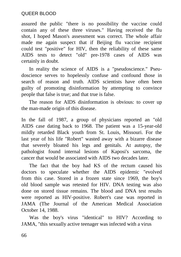assured the public "there is no possibility the vaccine could contain any of these three viruses." Having received the flu shot, I hoped Mason's assessment was correct. The whole affair made me again suspect that if Beijing flu vaccine recipient could test "positive" for HIV, then the reliability of these same AIDS tests to detect "old" pre-1978 cases of AIDS was certainly in doubt.

In reality the science of AIDS is a "pseudoscience." Pseudoscience serves to hopelessly confuse and confound those in search of reason and truth. AIDS scientists have often been guilty of promoting disinformation by attempting to convince people that false is true; and that true is false.

The reason for AIDS disinformation is obvious: to cover up the man-made origin of this disease.

In the fall of 1987, a group of physicians reported an "old AIDS case dating back to 1968. The patient was a 15-year-old mildly retarded Black youth from St. Louis, Missouri. For the last year of his life "Robert" wasted away with a bizarre disease that severely bloated his legs and genitals. At autopsy, the pathologist found internal lesions of Kaposi's sarcoma, the cancer that would be associated with AIDS two decades later.

The fact that the boy had KS of the rectum caused his doctors to speculate whether the AIDS epidemic "evolved from this case. Stored in a frozen state since 1969, the boy's old blood sample was retested for HIV. DNA testing was also done on stored tissue remains. The blood and DNA test results were reported as HIV-positive. Robert's case was reported in JAMA (The Journal of the American Medical Association October 14, 1988.

Was the boy's virus "identical" to HIV? According to JAMA, "this sexually active teenager was infected with a virus

66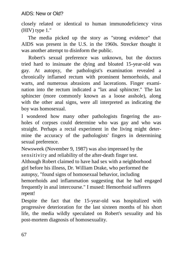closely related or identical to human immunodeficiency virus (HIV) type 1."

The media picked up the story as "strong evidence" that AIDS was present in the U.S. in the 1960s. Strecker thought it was another attempt to disinform the public.

Robert's sexual preference was unknown, but the doctors tried hard to insinuate the dying and bloated 15-year-old was gay. At autopsy, the pathologist's examination revealed a chronically inflamed rectum with prominent hemorrhoids, anal warts, and numerous abrasions and lacerations. Finger examination into the rectum indicated a "lax anal sphincter." The lax sphincter (more commonly known as a loose asshole), along with the other anal signs, were all interpreted as indicating the boy was homosexual.

I wondered how many other pathologists fingering the assholes of corpses could determine who was gay and who was straight. Perhaps a rectal experiment in the living might determine the accuracy of the pathologists' fingers in determining sexual preference.

Newsweek (November 9, 1987) was also impressed by the sensitivity and reliability of the after-death finger test. Although Robert claimed to have had sex with a neighborhood girl before his illness, Dr. William Drake, who performed the autopsy, "found signs of homosexual behavior, including hemorrhoids and inflammation suggesting that he had engaged frequently in anal intercourse." I mused: Hemorrhoid sufferers repent!

Despite the fact that the 15-year-old was hospitalized with progressive deterioration for the last sixteen months of his short life, the media wildly speculated on Robert's sexuality and his post-mortem diagnosis of homosexuality.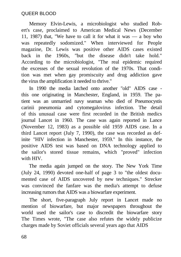Memory Elvin-Lewis, a microbiologist who studied Robert's case, proclaimed to American Medical News (December 11, 1987) that, "We have to call it for what it was — a boy who was repeatedly sodomized." When interviewed for People magazine, Dr. Lewis was positive other AIDS cases existed back in the 1960s, "but the disease didn't take hold." According to the microbiologist, "The real epidemic required the excesses of the sexual revolution of the 1970s. That condition was met when gay promiscuity and drug addiction gave the virus the amplification it needed to thrive."

In 1990 the media latched onto another "old" AIDS case this one originating in Manchester, England, in 1959. The patient was an unmarried navy seaman who died of Pneumocystis carinii pneumonia and cytomegalovirus infection. The detail of this unusual case were first recorded in the British medics journal Lancet in 1960. The case was again reported in Lance (November 12, 1983) as a possible old 1959 AIDS case. In a third Lancet report (July 7, 1990), the case was recorded as definite "HIV infection in Manchester, 1959." In this instance, the positive AIDS test was based on DNA technology applied to the sailor's stored tissue remains, which "proved" infection with HIV.

The media again jumped on the story. The New York Time (July 24, 1990) devoted one-half of page 3 to "the oldest documented case of AIDS uncovered by new techniques." Strecker was convinced the fanfare was the media's attempt to defuse increasing rumors that AIDS was a biowarfare experiment.

The short, five-paragraph July report in Lancet made no mention of biowarfare, but major newspapers throughout the world used the sailor's case to discredit the biowarfare story The Times wrote, "The case also refutes the widely publicize charges made by Soviet officials several years ago that AIDS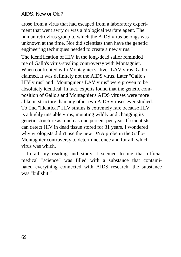#### AIDS: New or Old?

arose from a virus that had escaped from a laboratory experiment that went awry or was a biological warfare agent. The human retrovirus group to which the AIDS virus belongs was unknown at the time. Nor did scientists then have the genetic engineering techniques needed to create a new virus." The identification of HIV in the long-dead sailor reminded me of Gallo's virus-stealing controversy with Montagnier. When confronted with Montagnier's "live" LAV virus, Gallo claimed, it was definitely not the AIDS virus. Later "Gallo's HIV virus" and "Montagnier's LAV virus" were proven to be absolutely identical. In fact, experts found that the genetic composition of Gallo's and Montagnier's AIDS viruses were more alike in structure than any other two AIDS viruses ever studied. To find "identical" HIV strains is extremely rare because HIV is a highly unstable virus, mutating wildly and changing its genetic structure as much as one percent per year. If scientists can detect HIV in dead tissue stored for 31 years, I wondered why virologists didn't use the new DNA probe in the Gallo-Montagnier controversy to determine, once and for all, which virus was which.

In all my reading and study it seemed to me that official medical "science" was filled with a substance that contaminated everything connected with AIDS research: the substance was "bullshit."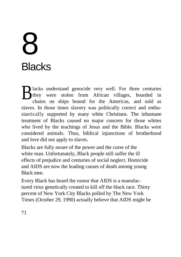## 8 **Blacks**

lacks understand genocide very well. For three centuries they were stolen from African villages, boarded in chains on ships bound for the Americas, and sold as slaves. In those times slavery was politically correct and enthusiastically supported by many white Christians. The inhumane treatment of Blacks caused no major concern for those whites who lived by the teachings of Jesus and the Bible. Blacks were considered animals. Thus, biblical injunctions of brotherhood and love did not apply to slaves. B

Blacks are fully aware of the power and the curse of the white man. Unfortunately, Black people still suffer the ill effects of prejudice and centuries of social neglect. Homicide and AIDS are now the leading causes of death among young Black men.

Every Black has heard the rumor that AIDS is a manufactured virus genetically created to kill off the black race. Thirty percent of New York City Blacks polled by The New York Times (October 29, 1990) actually believe that AIDS might be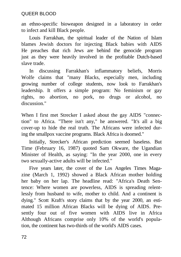an ethno-specific bioweapon designed in a laboratory in order to infect and kill Black people.

Louis Farrakhan, the spiritual leader of the Nation of Islam blames Jewish doctors for injecting Black babies with AIDS He preaches that rich Jews are behind the genocide program just as they were heavily involved in the profitable Dutch-based slave trade.

In discussing Farrakhan's inflammatory beliefs, Morris Wolfe claims that "many Blacks, especially men, including growing number of college students, now look to Farrakhan's leadership. It offers a simple program: No feminism or gay rights, no abortion, no pork, no drugs or alcohol, no discussion."

When I first met Strecker I asked about the gay AIDS "connection" to Africa. "There isn't any," he answered. "It's all a big cover-up to hide the real truth. The Africans were infected during the smallpox vaccine programs. Black Africa is doomed."

Initially, Strecker's African prediction seemed baseless. But Time (February 16, 1987) quoted Sam Okware, the Ugandian Minister of Health, as saying: "In the year 2000, one in every two sexually-active adults will be infected."

Five years later, the cover of the Los Angeles Times Magazine (March 1, 1992) showed a Black African mother holding her baby on her lap. The headline read: "Africa's Death Sentence: Where women are powerless, AIDS is spreading relentlessly from husband to wife, mother to child. And a continent is dying." Scott Kraft's story claims that by the year 2000, an estimated 15 million African Blacks will be dying of AIDS. Presently four out of five women with AIDS live in Africa Although Africans comprise only 10% of the world's population, the continent has two-thirds of the world's AIDS cases.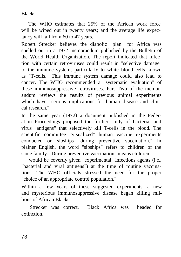Blacks

The WHO estimates that 25% of the African work force will be wiped out in twenty years; and the average life expectancy will fall from 60 to 47 years.

Robert Strecker believes the diabolic "plan" for Africa was spelled out in a 1972 memorandum published by the Bulletin of the World Health Organization. The report indicated that infection with certain retroviruses could result in "selective damage" to the immune system, particularly to white blood cells known as "T-cells." This immune system damage could also lead to cancer. The WHO recommended a "systematic evaluation" of these immunosuppressive retroviruses. Part Two of the memorandum reviews the results of previous animal experiments which have "serious implications for human disease and clinical research."

In the same year (1972) a document published in the Federation Proceedings proposed the further study of bacterial and virus "antigens" that selectively kill T-cells in the blood. The scientific committee "visualized" human vaccine experiments conducted on sibships "during preventive vaccination." In plainer English, the word "sibships" refers to children of the same family. "During preventive vaccination" means children

would be covertly given "experimental" infections agents (i.e., "bacterial and viral antigens") at the time of routine vaccinations. The WHO officials stressed the need for the proper "choice of an appropriate control population."

Within a few years of these suggested experiments, a new and mysterious immunosuppressive disease began killing millions of African Blacks.

Strecker was correct. Black Africa was headed for extinction.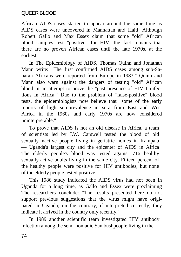African AIDS cases started to appear around the same time as AIDS cases were uncovered in Manhattan and Haiti. Although Robert Gallo and Max Essex claim that some "old" African blood samples test "positive" for HIV, the fact remains that there are no proven African cases until the late 1970s, at the earliest.

In The Epidemiology of AIDS, Thomas Quinn and Jonathan Mann write: "The first confirmed AIDS cases among sub-Saharan Africans were reported from Europe in 1983." Quinn and Mann also warn against the dangers of testing "old" African blood in an attempt to prove the "past presence of HIV-1 infections in Africa." Due to the problem of "false-positive" blood tests, the epidemiologists now believe that "some of the early reports of high seroprevalence in sera from East and West Africa in the 1960s and early 1970s are now considered uninterpretable."

To prove that AIDS is not an old disease in Africa, a team of scientists led by J.W. Carswell tested the blood of old sexually-inactive people living in geriatric homes in Kampala — Uganda's largest city and the epicenter of AIDS in Africa The elderly people's blood was tested against 716 healthy sexually-active adults living in the same city. Fifteen percent of the healthy people were positive for HIV antibodies, but none of the elderly people tested positive.

This 1986 study indicated the AIDS virus had not been in Uganda for a long time, as Gallo and Essex were proclaiming The researchers conclude: "The results presented here do not support previous suggestions that the virus might have originated in Uganda; on the contrary, if interpreted correctly, they indicate it arrived in the country only recently."

In 1989 another scientific team investigated HIV antibody infection among the semi-nomadic San bushpeople living in the

74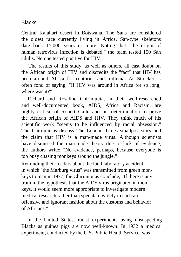#### **Blacks**

Central Kalahari desert in Botswana. The Sans are considered the oldest race currently living in Africa. San-type skeletons date back 15,000 years or more. Noting that "the origin of human retrovirus infection is debated," the team tested 150 San adults. No one tested positive for HIV.

The results of this study, as well as others, all cast doubt on the African origin of HIV and discredits the "fact" that HIV has been around Africa for centuries and millenia. As Strecker is often fond of saying, "If HIV was around in Africa for so long, where was it?"

Richard and Rosalind Chirimuuta, in their well-researched and well-documented book, AIDS, Africa and Racism, are highly critical of Robert Gallo and his determination to prove the African origin of AIDS and HIV. They think much of his scientific work "seems to be influenced by racial obsession." The Chirimuutas discuss The London Times smallpox story and the claim that HIV is a man-made virus. Although scientists have dismissed the man-made theory due to lack of evidence, the authors write: "No evidence, perhaps, because everyone is too busy chasing monkeys around the jungle."

Reminding their readers about the fatal laboratory accident in which "the Marburg virus" was transmitted from green monkeys to man in 1977, the Chirimuutas conclude, "If there is any truth in the hypothesis that the AIDS virus originated in monkeys, it would seem more appropriate to investigate modern medical research rather than speculate widely in such an offensive and ignorant fashion about the customs and behavior of Africans."

In the United States, racist experiments using unsuspecting Blacks as guinea pigs are now well-known. In 1932 a medical experiment, conducted by the U.S. Public Health Service, was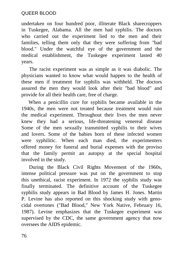undertaken on four hundred poor, illiterate Black sharecroppers in Tuskegee, Alabama. All the men had syphilis. The doctors who carried out the experiment lied to the men and their families, telling them only that they were suffering from "bad blood." Under the watchful eye of the government and the medical establishment, the Tuskegee experiment lasted 40 years.

The racist experiment was as simple as it was diabolic. The physicians wanted to know what would happen to the health of these men if treatment for syphilis was withheld. The doctors assured the men they would look after their "bad blood" and provide for all their health care, free of charge.

When a penicillin cure for syphilis became available in the 1940s, the men were not treated because treatment would ruin the medical experiment. Throughout their lives the men never knew they had a serious, life-threatening venereal disease Some of the men sexually transmitted syphilis to their wives and lovers. Some of the babies born of these infected women were syphilitic. When each man died, the experimenters offered money for funeral and burial expenses with the proviso that the family permit an autopsy at the special hospital involved in the study.

During the Black Civil Rights Movement of the 1960s, intense political pressure was put on the government to stop this unethical, racist experiment. In 1972 the syphilis study was finally terminated. The definitive account of the Tuskegee syphilis study appears in Bad Blood by James H. Jones. Martin P. Levine has also reported on this shocking study with genocidal overtones ("Bad Blood," New York Native, February 16, 1987). Levine emphasizes that the Tuskegee experiment was supervised by the CDC, the same government agency that now oversees the AIDS epidemic.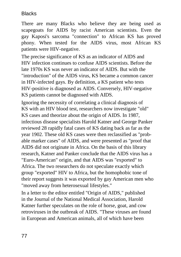#### **Blacks**

There are many Blacks who believe they are being used as scapegoats for AIDS by racist American scientists. Even the gay Kaposi's sarcoma "connection" to African KS has proved phony. When tested for the AIDS virus, most African KS patients were HIV-negative.

The precise significance of KS as an indicator of AIDS and HIV infection continues to confuse AIDS scientists. Before the late 1970s KS was never an indicator of AIDS. But with the "introduction" of the AIDS virus, KS became a common cancer in HIV-infected gays. By definition, a KS patient who tests HIV-positive is diagnosed as AIDS. Conversely, HIV-negative KS patients cannot be diagnosed with AIDS.

Ignoring the necessity of correlating a clinical diagnosis of KS with an HIV blood test, researchers now investigate "old" KS cases and theorize about the origin of AIDS. In 1987, infectious disease specialists Harold Katner and George Panker reviewed 28 rapidly fatal cases of KS dating back as far as the year 1902. These old KS cases were then reclassified as "probable marker cases" of AIDS, and were presented as "proof that AIDS did not originate in Africa. On the basis of this library research, Katner and Panker conclude that the AIDS virus has a "Euro-American" origin, and that AIDS was "exported" to Africa. The two researchers do not speculate exactly which group "exported" HIV to Africa, but the homophobic tone of their report suggests it was exported by gay American men who "moved away from heterosexual lifestyles."

In a letter to the editor entitled "Origin of AIDS," published in the Journal of the National Medical Association, Harold Katner further speculates on the role of horse, goat, and cow retroviruses in the outbreak of AIDS. "These viruses are found in European and American animals, all of which have been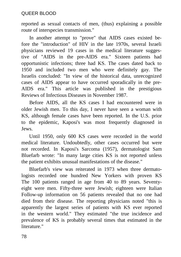reported as sexual contacts of men, (thus) explaining a possible route of interspecies transmission."

In another attempt to "prove" that AIDS cases existed before the "introduction" of HIV in the late 1970s, several Israeli physicians reviewed 19 cases in the medical literature suggestive of "AIDS in the pre-AIDS era." Sixteen patients had opportunistic infections; three had KS. The cases dated back to 1950 and included two men who were definitely gay. The Israelis concluded: "In view of the historical data, unrecognized cases of AIDS appear to have occurred sporadically in the pre-AIDS era." This article was published in the prestigious Reviews of Infectious Diseases in November 1987.

Before AIDS, all the KS cases I had encountered were in older Jewish men. To this day, I never have seen a woman with KS, although female cases have been reported. In the U.S. prior to the epidemic, Kaposi's was most frequently diagnosed in Jews.

Until 1950, only 600 KS cases were recorded in the world medical literature. Undoubtedly, other cases occurred but were not recorded. In Kaposi's Sarcoma (1957), dermatologist Sam Bluefarb wrote: "In many large cities KS is not reported unless the patient exhibits unusual manifestations of the disease."

Bluefarb's view was reiterated in 1973 when three dermatologists recorded one hundred New Yorkers with proven KS The 100 patients ranged in age from 40 to 89 years. Seventyeight were men. Fifty-three were Jewish; eighteen were Italian Follow-up information on 56 patients revealed that no one had died from their disease. The reporting physicians noted "this is apparently the largest series of patients with KS ever reported in the western world." They estimated "the true incidence and prevalence of KS is probably several times that estimated in the literature."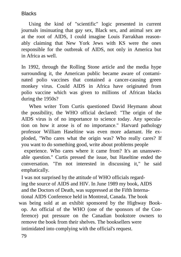**Blacks** 

Using the kind of "scientific" logic presented in current journals insinuating that gay sex, Black sex, and animal sex are at the root of AIDS, I could imagine Louis Farrakhan reasonably claiming that New York Jews with KS were the ones responsible for the outbreak of AIDS, not only in America but in Africa as well.

In 1992, through the Rolling Stone article and the media hype surrounding it, the American public became aware of contaminated polio vaccines that contained a cancer-causing green monkey virus. Could AIDS in Africa have originated from polio vaccine which was given to millions of African blacks during the 1950s?

When writer Tom Curtis questioned David Heymann about the possibility, the WHO official declared: "The origin of the AIDS virus is of no importance to science today. Any speculation on how it arose is of no importance." Harvard pathology professor William Haseltine was even more adamant. He exploded, "Who cares what the origin was? Who really cares? If you want to do something good, write about problems people

experience. Who cares where it came from? It's an unanswerable question." Curtis pressed the issue, but Haseltine ended the conversation. "I'm not interested in discussing it," he said emphatically.

I was not surprised by the attitude of WHO officials regarding the source of AIDS and HIV. In June 1989 my book, AIDS and the Doctors of Death, was suppressed at the Fifth International AIDS Conference held in Montreal, Canada. The book

was being sold at an exhibit sponsored by the Highway Bookop. An official of the WHO (one of the sponsors of the Conference) put pressure on the Canadian bookstore owners to remove the book from their shelves. The booksellers were intimidated into complying with the official's request.

79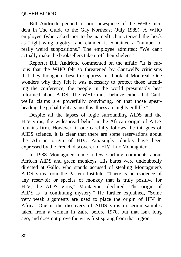Bill Andriette penned a short newspiece of the WHO incident in The Guide to the Gay Northeast (July 1989). A WHO employee (who asked not to be named) characterized the book as "right wing bigotry" and claimed it contained a "number of really weird suppositions." The employee admitted: "We can't actually make the booksellers take it off their shelves."

Reporter Bill Andriette commented on the affair: "It is curious that the WHO felt so threatened by Cantwell's criticisms that they thought it best to suppress his book at Montreal. One wonders why they felt it was necessary to protect those attending the conference, the people in the world presumably best informed about AIDS. The WHO must believe either that Cantwell's claims are powerfully convincing, or that those spearheading the global fight against this illness are highly gullible."

Despite all the lapses of logic surrounding AIDS and the HIV virus, the widespread belief in the African origin of AIDS remains firm. However, if one carefully follows the intrigues of AIDS science, it is clear that there are some reservations about the African origin of HIV. Amazingly, doubts have been expressed by the French discoverer of HIV, Luc Montagnier.

In 1988 Montagnier made a few startling comments about African AIDS and green monkeys. His barbs were undoubtedly directed at Gallo, who stands accused of stealing Montagnier's AIDS virus from the Pasteur Institute. "There is no evidence of any reservoir or species of monkey that is truly positive for HIV, the AIDS virus," Montagnier declared. The origin of AIDS is "a continuing mystery." He further explained, "Some very weak arguments are used to place the origin of HIV in Africa. One is the discovery of AIDS virus in serum samples taken from a woman in Zaire before 1970, but that isn't long ago, and does not prove the virus first sprang from that region.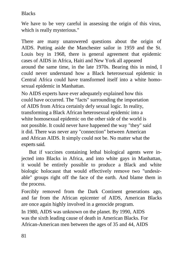#### **Blacks**

We have to be very careful in assessing the origin of this virus, which is really mysterious."

There are many unanswered questions about the origin of AIDS. Putting aside the Manchester sailor in 1959 and the St. Louis boy in 1968, there is general agreement that epidemic cases of AIDS in Africa, Haiti and New York all appeared around the same time, in the late 1970s. Bearing this in mind, I could never understand how a Black heterosexual epidemic in Central Africa could have transformed itself into a white homosexual epidemic in Manhattan.

No AIDS experts have ever adequately explained how this could have occurred. The "facts" surrounding the importation of AIDS from Africa certainly defy sexual logic. In reality, transforming a Black African heterosexual epidemic into a white homosexual epidemic on the other side of the world is not possible. It could never have happened the way "they" said it did. There was never any "connection" between American and African AIDS. It simply could not be. No matter what the experts said.

But if vaccines containing lethal biological agents were injected into Blacks in Africa, and into white gays in Manhattan, it would be entirely possible to produce a Black and white biologic holocaust that would effectively remove two "undesirable" groups right off the face of the earth. And blame them in the process.

Forcibly removed from the Dark Continent generations ago, and far from the African epicenter of AIDS, American Blacks are once again highly involved in a genocide program.

In 1980, AIDS was unknown on the planet. By 1990, AIDS was the sixth leading cause of death in American Blacks. For African-American men between the ages of 35 and 44, AIDS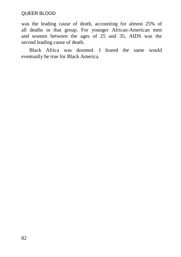was the leading cause of death, accounting for almost 25% of all deaths in that group. For younger African-American men and women between the ages of 25 and 35, AIDS was the second leading cause of death.

Black Africa was doomed. I feared the same would eventually be true for Black America.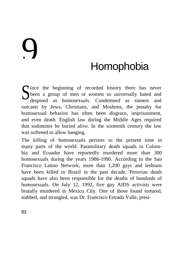# 9

### Homophobia

ince the beginning of recorded history there has never been a group of men or women so universally hated and despised as homosexuals. Condemned as sinners and outcasts by Jews, Christians, and Moslems, the penalty for homosexual behavior has often been disgrace, imprisonment, and even death. English law during the Middle Ages required that sodomites be buried alive. In the sixteenth century the law was softened to allow hanging. S

The killing of homosexuals persists to the present time in many parts of the world. Paramilitary death squads in Colombia and Ecuador have reportedly murdered more than 300 homosexuals during the years 1986-1990. According to the San Francisco Latino Network, more than 1,200 gays and lesbians have been killed in Brazil in the past decade. Peruvian death squads have also been responsible for the deaths of hundreds of homosexuals. On July 12, 1992, five gay AIDS activists were brutally murdered in Mexico City. One of those found tortured, stabbed, and strangled, was Dr. Francisco Estrada Valle, presi-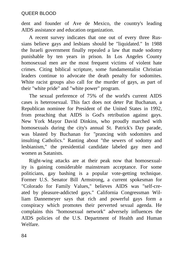dent and founder of Ave de Mexico, the country's leading AIDS assistance and education organization.

A recent survey indicates that one out of every three Russians believe gays and lesbians should be "liquidated." In 1988 the Israeli government finally repealed a law that made sodomy punishable by ten years in prison. In Los Angeles County homosexual men are the most frequent victims of violent hate crimes. Citing biblical scripture, some fundamentalist Christian leaders continue to advocate the death penalty for sodomites. White racist groups also call for the murder of gays, as part of their "white pride" and "white power" program.

The sexual preference of 75% of the world's current AIDS cases is heterosexual. This fact does not deter Pat Buchanan, a Republican nominee for President of the United States in 1992, from preaching that AIDS is God's retribution against gays. New York Mayor David Dinkins, who proudly marched with homosexuals during the city's annual St. Patrick's Day parade, was blasted by Buchanan for "prancing with sodomites and insulting Catholics." Ranting about "the sewers of sodomy and lesbianism," the presidential candidate labeled gay men and women as Satanists.

Right-wing attacks are at their peak now that homosexuality is gaining considerable mainstream acceptance. For some politicians, gay bashing is a popular vote-getting technique. Former U.S. Senator Bill Armstrong, a current spokesman for "Colorado for Family Values," believes AIDS was "self-created by pleasure-addicted gays." California Congressman William Dannemeyer says that rich and powerful gays form a conspiracy which promotes their perverted sexual agenda. He complains this "homosexual network" adversely influences the AIDS policies of the U.S. Department of Health and Human Welfare.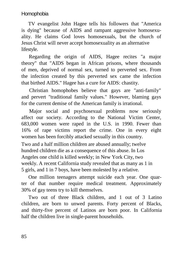#### **Homophobia**

TV evangelist John Hagee tells his followers that "America is dying" because of AIDS and rampant aggressive homosexuality. He claims God loves homosexuals, but the church of Jesus Christ will never accept homosexuality as an alternative lifestyle.

Regarding the origin of AIDS, Hagee recites "a major theory" that "AIDS began in African prisons, where thousands of men, deprived of normal sex, turned to perverted sex. From the infection created by this perverted sex came the infection that birthed AIDS." Hagee has a cure for AIDS: chastity.

Christian homophobes believe that gays are "anti-family" and pervert "traditional family values." However, blaming gays for the current demise of the American family is irrational.

Major social and psychosexual problems now seriously affect our society. According to the National Victim Center, 683,000 women were raped in the U.S. in 1990. Fewer than 16% of rape victims report the crime. One in every eight women has been forcibly attacked sexually in this country.

Two and a half million children are abused annually; twelve hundred children die as a consequence of this abuse. In Los Angeles one child is killed weekly; in New York City, two weekly. A recent California study revealed that as many as 1 in 5 girls, and 1 in 7 boys, have been molested by a relative.

One million teenagers attempt suicide each year. One quarter of that number require medical treatment. Approximately 30% of gay teens try to kill themselves.

Two out of three Black children, and 1 out of 3 Latino children, are born to unwed parents. Forty percent of Blacks, and thirty-five percent of Latinos are born poor. In California half the children live in single-parent households.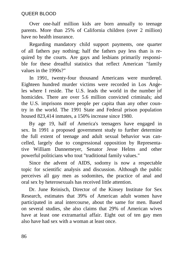Over one-half million kids are born annually to teenage parents. More than 25% of California children (over 2 million) have no health insurance.

Regarding mandatory child support payments, one quarter of all fathers pay nothing; half the fathers pay less than is required by the courts. Are gays and lesbians primarily responsible for these dreadful statistics that reflect American "family values in the 1990s?"

In 1991, twenty-four thousand Americans were murdered. Eighteen hundred murder victims were recorded in Los Angeles where I reside. The U.S. leads the world in the number of homicides. There are over 5.6 million convicted criminals; and the U.S. imprisons more people per capita than any other country in the world. The 1991 State and Federal prison population housed 823,414 inmates, a 150% increase since 1980.

By age 19, half of America's teenagers have engaged in sex. In 1991 a proposed government study to further determine the full extent of teenage and adult sexual behavior was cancelled, largely due to congressional opposition by Representative William Dannemeyer, Senator Jesse Helms and other powerful politicians who tout "traditional family values."

Since the advent of AIDS, sodomy is now a respectable topic for scientific analysis and discussion. Although the public perceives all gay men as sodomites, the practice of anal and oral sex by heterosexuals has received little attention.

Dr. June Reinisch, Director of the Kinsey Institute for Sex Research, estimates that 39% of American adult women have participated in anal intercourse, about the same for men. Based on several studies, she also claims that 29% of American wives have at least one extramarital affair. Eight out of ten gay men also have had sex with a woman at least once.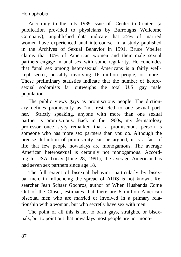#### Homophobia

According to the July 1989 issue of "Center to Center" (a publication provided to physicians by Burroughs Wellcome Company), unpublished data indicate that 25% of married women have experienced anal intercourse. In a study published in the Archives of Sexual Behavior in 1991, Bruce Voeller claims that 10% of American women and their male sexual partners engage in anal sex with some regularity. He concludes that "anal sex among heterosexual Americans is a fairly wellkept secret, possibly involving 16 million people, or more." These preliminary statistics indicate that the number of heterosexual sodomists far outweighs the total U.S. gay male population.

The public views gays as promiscuous people. The dictionary defines promiscuity as "not restricted to one sexual partner." Strictly speaking, anyone with more than one sexual partner is promiscuous. Back in the 1960s, my dermatology professor once slyly remarked that a promiscuous person is someone who has more sex partners than you do. Although the precise definition of promiscuity can be argued, it is a fact of life that few people nowadays are monogamous. The average American heterosexual is certainly not monogamous. According to USA Today (June 28, 1991), the average American has had seven sex partners since age 18.

The full extent of bisexual behavior, particularly by bisexual men, in influencing the spread of AIDS is not known. Researcher Jean Schaar Gochros, author of When Husbands Come Out of the Closet, estimates that there are 6 million American bisexual men who are married or involved in a primary relationship with a woman, but who secretly have sex with men.

The point of all this is not to bash gays, straights, or bisexuals, but to point out that nowadays most people are not mono-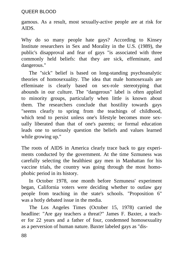gamous. As a result, most sexually-active people are at risk for AIDS.

Why do so many people hate gays? According to Kinsey Institute researchers in Sex and Morality in the U.S. (1989), the public's disapproval and fear of gays "is associated with three commonly held beliefs: that they are sick, effeminate, and dangerous."

The "sick" belief is based on long-standing psychoanalytic theories of homosexuality. The idea that male homosexuals are effeminate is clearly based on sex-role stereotyping that abounds in our culture. The "dangerous" label is often applied to minority groups, particularly when little is known about them. The researchers conclude that hostility towards gays "seems clearly to spring from the teachings of childhood, which tend to persist unless one's lifestyle becomes more sexually liberated than that of one's parents; or formal education leads one to seriously question the beliefs and values learned while growing up."

The roots of AIDS in America clearly trace back to gay experiments conducted by the government. At the time Szmuness was carefully selecting the healthiest gay men in Manhattan for his vaccine trials, the country was going through the most homophobic period in its history.

In October 1978, one month before Szmuness' experiment began, California voters were deciding whether to outlaw gay people from teaching in the state's schools. "Proposition 6" was a hotly debated issue in the media.

The Los Angeles Times (October 15, 1978) carried the headline: "Are gay teachers a threat?" James F. Baxter, a teacher for 22 years and a father of four, condemned homosexuality as a perversion of human nature. Baxter labeled gays as "dis-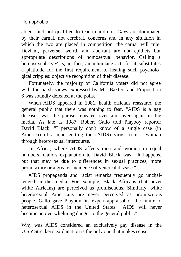#### Homophobia

abled" and not qualified to teach children. "Gays are dominated by their carnal, not cerebral, concerns and in any situation in which the two are placed in competition, the carnal will rule. Deviant, perverse, weird, and aberrant are not epithets but appropriate descriptions of homosexual behavior. Calling a homosexual 'gay' is, in fact, an inhumane act, for it substitutes a platitude for the first requirement to healing such psychological cripples: objective recognition of their disease."

Fortunately, the majority of California voters did not agree with the harsh views expressed by Mr. Baxter; and Proposition 6 was soundly defeated at the polls.

When AIDS appeared in 1981, health officials reassured the general public that there was nothing to fear. "AIDS is a gay disease" was the phrase repeated over and over again in the media. As late as 1987, Robert Gallo told Playboy reporter David Black, "I personally don't know of a single case (in America) of a man getting the (AIDS) virus from a woman through heterosexual intercourse."

In Africa, where AIDS affects men and women in equal numbers, Gallo's explanation to David Black was: "It happens, but that may be due to differences in sexual practices, more promiscuity or a greater incidence of venereal disease."

AIDS propaganda and racist remarks frequently go unchallenged in the media. For example, Black Africans (but never white Africans) are perceived as promiscuous. Similarly, white heterosexual Americans are never perceived as promiscuous people. Gallo gave Playboy his expert appraisal of the future of heterosexual AIDS in the United States: "AIDS will never become an overwhelming danger to the general public."

Why was AIDS considered an exclusively gay disease in the U.S.? Strecker's explanation is the only one that makes sense.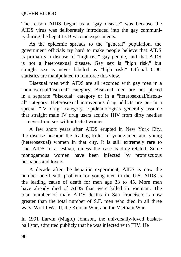The reason AIDS began as a "gay disease" was because the AIDS virus was deliberately introduced into the gay community during the hepatitis B vaccine experiments.

As the epidemic spreads to the "general" population, the government officials try hard to make people believe that AIDS is primarily a disease of "high-risk" gay people, and that AIDS is not a heterosexual disease. Gay sex is "high risk," but straight sex is never labeled as "high risk." Official CDC statistics are manipulated to reinforce this view.

Bisexual men with AIDS are all recorded with gay men in a "homosexual/bisexual" category. Bisexual men are not placed in a separate "bisexual" category or in a "heterosexual/bisexual" category. Heterosexual intravenous drug addicts are put in a special "IV drug" category. Epidemiologists generally assume that straight male IV drug users acquire HIV from dirty needles — never from sex with infected women.

A few short years after AIDS erupted in New York City, the disease became the leading killer of young men and young (heterosexual) women in that city. It is still extremely rare to find AIDS in a lesbian, unless the case is drug-related. Some monogamous women have been infected by promiscuous husbands and lovers.

A decade after the hepatitis experiment, AIDS is now the number one health problem for young men in the U.S. AIDS is the leading cause of death for men age 33 to 45. More men have already died of AIDS than were killed in Vietnam. The total number of male AIDS deaths in San Francisco is now greater than the total number of S.F. men who died in all three wars: World War II, the Korean War, and the Vietnam War.

In 1991 Earvin (Magic) Johnson, the universally-loved basketball star, admitted publicly that he was infected with HIV. He

90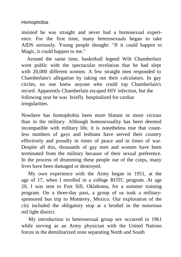#### Homophobia

insisted he was straight and never had a homosexual experience. For the first time, many heterosexuals began to take AIDS seriously. Young people thought: "If it could happen to Magic, it could happen to me."

Around the same time, basketball legend Wilt Chamberlain went public with the spectacular revelation that he had slept with 20,000 different women. A few straight men responded to Chamberlain's allegation by taking out their calculators. In gay circles, no one knew anyone who could top Chamberlain's record. Apparently Chamberlain escaped HIV infection, but the following year he was briefly hospitalized for cardiac irregularities.

Nowhere has homophobia been more blatant or more vicious than in the military. Although homosexuality has been deemed incompatible with military life, it is nonetheless true that countless numbers of gays and lesbians have served their country effectively and proudly in times of peace and in times of war. Despite all this, thousands of gay men and women have been terminated from the military because of their sexual preference. In the process of drumming these people out of the corps, many lives have been damaged or destroyed.

My own experience with the Army began in 1951, at the age of 17, when I enrolled in a college ROTC program. At age 20, I was sent to Fort Sill, Oklahoma, for a summer training program. On a three-day pass, a group of us took a militarysponsored bus trip to Monterey, Mexico. Our exploration of the city included the obligatory stop at a brothel in the notorious red light district.

My introduction to heterosexual group sex occurred in 1961 while serving as an Army physician with the United Nations forces in the demilitarized zone separating North and South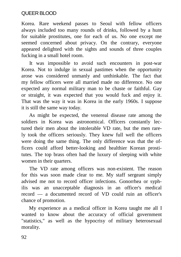Korea. Rare weekend passes to Seoul with fellow officers always included too many rounds of drinks, followed by a hunt for suitable prostitutes, one for each of us. No one except me seemed concerned about privacy. On the contrary, everyone appeared delighted with the sights and sounds of three couples fucking in a small hotel room.

It was impossible to avoid such encounters in post-war Korea. Not to indulge in sexual pastimes when the opportunity arose was considered unmanly and unthinkable. The fact that my fellow officers were all married made no difference. No one expected any normal military man to be chaste or faithful. Gay or straight, it was expected that you would fuck and enjoy it. That was the way it was in Korea in the early 1960s. I suppose it is still the same way today.

As might be expected, the venereal disease rate among the soldiers in Korea was astronomical. Officers constantly lectured their men about the intolerable VD rate, but the men rarely took the officers seriously. They knew full well the officers were doing the same thing. The only difference was that the officers could afford better-looking and healthier Korean prostitutes. The top brass often had the luxury of sleeping with white women in their quarters.

The VD rate among officers was non-existent. The reason for this was soon made clear to me. My staff sergeant simply advised me not to record officer infections. Gonorrhea or syphilis was an unacceptable diagnosis in an officer's medical record — a documented record of VD could ruin an officer's chance of promotion.

My experience as a medical officer in Korea taught me all I wanted to know about the accuracy of official government "statistics," as well as the hypocrisy of military heterosexual morality.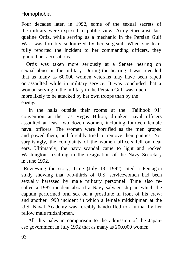#### Homophobia

Four decades later, in 1992, some of the sexual secrets of the military were exposed to public view. Army Specialist Jacqueline Ortiz, while serving as a mechanic in the Persian Gulf War, was forcibly sodomized by her sergeant. When she tearfully reported the incident to her commanding officers, they ignored her accusations.

Ortiz was taken more seriously at a Senate hearing on sexual abuse in the military. During the hearing it was revealed that as many as 60,000 women veterans may have been raped or assaulted while in military service. It was concluded that a woman serving in the military in the Persian Gulf was much more likely to be attacked by her own troops than by the enemy.

In the halls outside their rooms at the "Tailhook 91" convention at the Las Vegas Hilton, drunken naval officers assaulted at least two dozen women, including fourteen female naval officers. The women were horrified as the men groped and pawed them, and forcibly tried to remove their panties. Not surprisingly, the complaints of the women officers fell on deaf ears. Ultimately, the navy scandal came to light and rocked Washington, resulting in the resignation of the Navy Secretary in June 1992.

Reviewing the story, Time (July 13, 1992) cited a Pentagon study showing that two-thirds of U.S. servicewomen had been sexually harassed by male military personnel. Time also recalled a 1987 incident aboard a Navy salvage ship in which the captain performed oral sex on a prostitute in front of his crew; and another 1990 incident in which a female midshipman at the U.S. Naval Academy was forcibly handcuffed to a urinal by her fellow male midshipmen.

All this pales in comparison to the admission of the Japanese government in July 1992 that as many as 200,000 women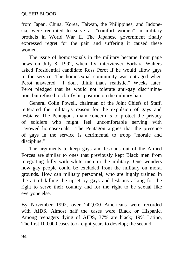from Japan, China, Korea, Taiwan, the Philippines, and Indonesia, were recruited to serve as "comfort women" in military brothels in World War II. The Japanese government finally expressed regret for the pain and suffering it caused these women.

The issue of homosexuals in the military became front page news on July 8, 1992, when TV interviewer Barbara Walters asked Presidential candidate Ross Perot if he would allow gays in the service. The homosexual community was outraged when Perot answered, "I don't think that's realistic." Weeks later, Perot pledged that he would not tolerate anti-gay discrimination, but refused to clarify his position on the military ban.

General Colin Powell, chairman of the Joint Chiefs of Staff, reiterated the military's reason for the expulsion of gays and lesbians: The Pentagon's main concern is to protect the privacy of soldiers who might feel uncomfortable serving with "avowed homosexuals." The Pentagon argues that the presence of gays in the service is detrimental to troop "morale and discipline."

The arguments to keep gays and lesbians out of the Armed Forces are similar to ones that previously kept Black men from integrating fully with white men in the military. One wonders how gay people could be excluded from the military on moral grounds. How can military personnel, who are highly trained in the art of killing, be upset by gays and lesbians asking for the right to serve their country and for the right to be sexual like everyone else.

By November 1992, over 242,000 Americans were recorded with AIDS. Almost half the cases were Black or Hispanic, Among teenagers dying of AIDS, 37% are black; 19% Latino, The first 100,000 cases took eight years to develop; the second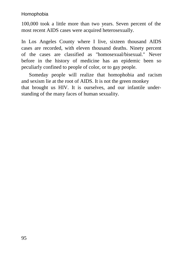#### Homophobia

100,000 took a little more than two years. Seven percent of the most recent AIDS cases were acquired heterosexually.

In Los Angeles County where I live, sixteen thousand AIDS cases are recorded, with eleven thousand deaths. Ninety percent of the cases are classified as "homosexual/bisexual." Never before in the history of medicine has an epidemic been so peculiarly confined to people of color, or to gay people.

Someday people will realize that homophobia and racism and sexism lie at the root of AIDS. It is not the green monkey that brought us HIV. It is ourselves, and our infantile understanding of the many faces of human sexuality.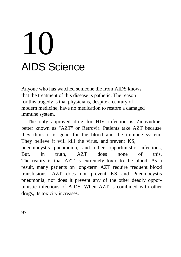## 10 AIDS Science

Anyone who has watched someone die from AIDS knows that the treatment of this disease is pathetic. The reason for this tragedy is that physicians, despite a century of modern medicine, have no medication to restore a damaged immune system.

The only approved drug for HIV infection is Zidovudine, better known as "AZT" or Retrovir. Patients take AZT because they think it is good for the blood and the immune system. They believe it will kill the virus, and prevent KS, pneumocystis pneumonia, and other opportunistic infections, But, in truth, AZT does none of this. The reality is that AZT is extremely toxic to the blood. As a result, many patients on long-term AZT require frequent blood transfusions. AZT does not prevent KS and Pneumocystis pneumonia, nor does it prevent any of the other deadly opportunistic infections of AIDS. When AZT is combined with other drugs, its toxicity increases.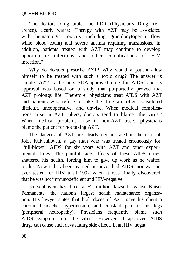The doctors' drug bible, the PDR (Physician's Drug Reference), clearly warns: "Therapy with AZT may be associated with hematologic toxicity including granulocytopenia (low white blood count) and severe anemia requiring transfusions. In addition, patients treated with AZT may continue to develop opportunistic infections and other complications of HIV infection."

Why do doctors prescribe AZT? Why would a patient allow himself to be treated with such a toxic drug? The answer is simple: AZT is the only FDA-approved drug for AIDS, and its approval was based on a study that purportedly proved that AZT prolongs life. Therefore, physicians treat AIDS with AZT and patients who refuse to take the drug are often considered difficult, uncooperative, and unwise. When medical complications arise in AZT takers, doctors tend to blame "the virus." When medical problems arise in non-AZT users, physicians blame the patient for not taking AZT.

The dangers of AZT are clearly demonstrated in the case of John Kuivenhoven, a gay man who was treated erroneously for "full-blown" AIDS for six years with AZT and other experimental drugs. The painful side effects of these AIDS drugs shattered his health, forcing him to give up work as he waited to die. Now it has been learned he never had AIDS, nor was he ever tested for HIV until 1992 when it was finally discovered that he was not immunodeficient and HIV-negative.

Kuivenhoven has filed a \$2 million lawsuit against Kaiser Permanente, the nation's largest health maintenance organzation. His lawyer states that high doses of AZT gave his client a chronic headache, hypertension, and constant pain in his legs (peripheral neuropathy). Physicians frequently blame such AIDS symptoms on "the virus." However, if approved AIDS drugs can cause such devastating side effects in an HIV-negat-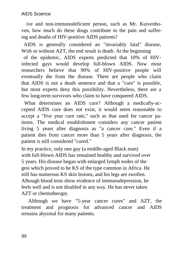#### AIDS Science

ive and non-immunodeficient person, such as Mr. Kuivenhoven, how much do these drugs contribute to the pain and suffering and deaths of HIV-positive AIDS patients?

AIDS is generally considered an "invariably fatal" disease, With or without AZT, the end result is death. At the beginning

of the epidemic, AIDS experts predicted that 10% of HIVinfected gays would develop full-blown AIDS. Now most researchers believe that 90% of HIV-positive people will eventually die from the disease. There are people who claim that AIDS is not a death sentence and that a "cure" is possible, but most experts deny this possibility. Nevertheless, there are a few long-term survivors who claim to have conquered AIDS.

What determines an AIDS cure? Although a medically-accepted AIDS cure does not exist, it would seem reasonable to accept a "five year cure rate," such as that used for cancer patients. The medical establishment considers any cancer patient living 5 years after diagnosis as "a cancer cure." Even if a patient dies from cancer more than 5 years after diagnosis, the patient is still considered "cured."

In my practice, only one gay (a middle-aged Black man) with full-blown AIDS has remained healthy and survived over 5 years. His disease began with enlarged lymph nodes of the groi which proved to be KS of the type common in Africa. He still has numerous KS skin lesions, and his legs are swollen. Alhough blood tests show evidence of immunodepression, he feels well and is not disabled in any way. He has never taken AZT or chemotherapy.

Although we have "5-year cancer cures" and AZT, the treatment and prognosis for advanced cancer and AIDS remains abysmal for many patients.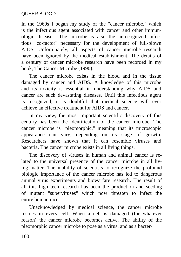In the 1960s I began my study of the "cancer microbe," which is the infectious agent associated with cancer and other immunologic diseases. The microbe is also the unrecognized infectious "co-factor" necessary for the development of full-blown AIDS. Unfortunately, all aspects of cancer microbe research have been ignored by the medical establishment. The details of a century of cancer microbe research have been recorded in my book, The Cancer Microbe (1990).

The cancer microbe exists in the blood and in the tissue damaged by cancer and AIDS. A knowledge of this microbe and its toxicity is essential in understanding why AIDS and cancer are such devastating diseases. Until this infectious agent is recognized, it is doubtful that medical science will ever achieve an effective treatment for AIDS and cancer.

In my view, the most important scientific discovery of this century has been the identification of the cancer microbe. The cancer microbe is "pleomorphic," meaning that its microscopic appearance can vary, depending on its stage of growth. Researchers have shown that it can resemble viruses and bacteria. The cancer microbe exists in all living things.

The discovery of viruses in human and animal cancer is related to the universal presence of the cancer microbe in all living matter. The inability of scientists to recognize the profound biologic importance of the cancer microbe has led to dangerous animal virus experiments and biowarfare research. The result of all this high tech research has been the production and seeding of mutant "superviruses" which now threaten to infect the entire human race.

Unacknowledged by medical science, the cancer microbe resides in every cell. When a cell is damaged (for whatever reason) the cancer microbe becomes active. The ability of the pleomorphic cancer microbe to pose as a virus, and as a bacter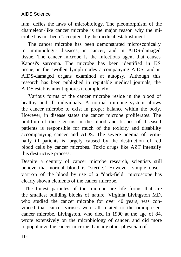ium, defies the laws of microbiology. The pleomorphism of the chameleon-like cancer microbe is the major reason why the microbe has not been "accepted" by the medical establishment.

The cancer microbe has been demonstrated microscopically in immunologic diseases, in cancer, and in AIDS-damaged tissue. The cancer microbe is the infectious agent that causes Kaposi's sarcoma. The microbe has been identified in KS tissue, in the swollen lymph nodes accompanying AIDS, and in AIDS-damaged organs examined at autopsy. Although this research has been published in reputable medical journals, the AIDS establishment ignores it completely.

Various forms of the cancer microbe reside in the blood of healthy and ill individuals. A normal immune system allows the cancer microbe to exist in proper balance within the body. However, in disease states the cancer microbe proliferates. The build-up of these germs in the blood and tissues of diseased patients is responsible for much of the toxicity and disability accompanying cancer and AIDS. The severe anemia of terminally ill patients is largely caused by the destruction of red blood cells by cancer microbes. Toxic drugs like AZT intensify this destructive process.

Despite a century of cancer microbe research, scientists still believe that normal blood is "sterile." However, simple observation of the blood by use of a "dark-field" microscope has clearly shown elements of the cancer microbe.

The tiniest particles of the microbe are life forms that are the smallest building blocks of nature. Virginia Livingston MD, who studied the cancer microbe for over 40 years, was convinced that cancer viruses were all related to the omnipresent cancer microbe. Livingston, who died in 1990 at the age of 84, wrote extensively on the microbiology of cancer, and did more to popularize the cancer microbe than any other physician of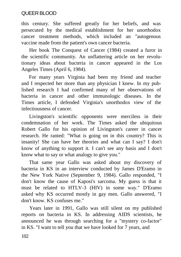this century. She suffered greatly for her beliefs, and was persecuted by the medical establishment for her unorthodox cancer treatment methods, which included an "autogenous vaccine made from the patient's own cancer bacteria.

Her book The Conquest of Cancer (1984) created a furor in the scientific community. An unflattering article on her revolutionary ideas about bacteria in cancer appeared in the Los Angeles Times (April 6, 1984).

For many years Virginia had been my friend and teacher and I respected her more than any physician I knew. In my published research I had confirmed many of her observations of bacteria in cancer and other immunologic diseases. In the Times article, I defended Virginia's unorthodox view of the infectiousness of cancer.

Livingston's scientific opponents were merciless in their condemnation of her work. The Times asked the ubiquitous Robert Gallo for his opinion of Livingston's career in cancer research. He ranted: "What is going on in this country? This is insanity! She can have her theories and what can I say? I don't know of anything to support it. I can't see any basis and I don't know what to say or what analogy to give you."

That same year Gallo was asked about my discovery of bacteria in KS in an interview conducted by James D'Eramo in the New York Native (September 9, 1984). Gallo responded, "I don't know the cause of Kaposi's sarcoma. My guess is that it must be related to HTLV-3 (HIV) in some way." D'Eramo asked why KS occurred mostly in gay men. Gallo answered, "I don't know. KS confuses me."

Years later in 1991, Gallo was still silent on my published reports on bacteria in KS. In addressing AIDS scientists, he announced he was through searching for a "mystery co-factor" in KS. "I want to tell you that we have looked for 7 years, and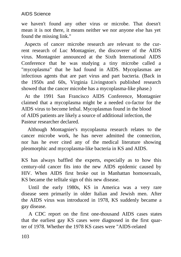#### AIDS Science

we haven't found any other virus or microbe. That doesn't mean it is not there, it means neither we nor anyone else has yet found the missing link."

Aspects of cancer microbe research are relevant to the current research of Luc Montagnier, the discoverer of the AIDS virus. Montagnier announced at the Sixth International AIDS Conference that he was studying a tiny microbe called a "mycoplasma" that he had found in AIDS. Mycoplasmas are infectious agents that are part virus and part bacteria. (Back in the 1950s and 60s, Virginia Livingston's published research showed that the cancer microbe has a mycoplasma-like phase.)

At the 1991 San Francisco AIDS Conference, Montagnier claimed that a mycoplasma might be a needed co-factor for the AIDS virus to become lethal. Mycoplasmas found in the blood of AIDS patients are likely a source of additional infection, the Pasteur researcher declared.

Although Montagnier's mycoplasma research relates to the cancer microbe work, he has never admitted the connection, nor has he ever cited any of the medical literature showing pleomorphic and mycoplasma-like bacteria in KS and AIDS.

KS has always baffled the experts, especially as to how this century-old cancer fits into the new AIDS epidemic caused by HIV. When AIDS first broke out in Manhattan homosexuals, KS became the telltale sign of this new disease.

Until the early 1980s, KS in America was a very rare disease seen primarily in older Italian and Jewish men. After the AIDS virus was introduced in 1978, KS suddenly became a gay disease.

A CDC report on the first one-thousand AIDS cases states that the earliest gay KS cases were diagnosed in the first quarter of 1978. Whether the 1978 KS cases were "AIDS-related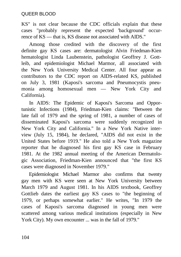KS" is not clear because the CDC officials explain that these cases "probably represent the expected 'background' occurrence of KS — that is, KS disease not associated with AIDS."

Among those credited with the discovery of the first definite gay KS cases are: dermatologist Alvin Friedman-Kien hematologist Linda Laubenstein, pathologist Geoffrey J. Gottleib, and epidemiologist Michael Marmor, all associated with the New York University Medical Center. All four appear as contributors to the CDC report on AIDS-related KS, published on July 3, 1981 (Kaposi's sarcoma and Pneumocystis pneumonia among homosexual men — New York City and California).

In AIDS: The Epidemic of Kaposi's Sarcoma and Opportunistic Infections (1984), Friedman-Kien claims: "Between the late fall of 1979 and the spring of 1981, a number of cases of disseminated Kaposi's sarcoma were suddenly recognized in New York City and California." In a New York Native interview (July 15, 1984), he declared, "AIDS did not exist in the United States before 1919." He also told a New York magazine reporter that he diagnosed his first gay KS case in February 1981. At the 1982 annual meeting of the American Dermatologic Association, Friedman-Kien announced that "the first KS cases were diagnosed in November 1979."

Epidemiologist Michael Marmor also confirms that twenty gay men with KS were seen at New York University between March 1979 and August 1981. In his AIDS textbook, Geoffrey Gottlieb dates the earliest gay KS cases to "the beginning of 1979, or perhaps somewhat earlier." He writes, "In 1979 the cases of Kaposi's sarcoma diagnosed in young men were scattered among various medical institutions (especially in New York City). My own encounter ... was in the fall of 1979."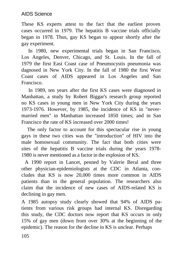#### AIDS Science

These KS experts attest to the fact that the earliest proven cases occurred in 1979. The hepatitis B vaccine trials officially began in 1978. Thus, gay KS began to appear shortly after the gay experiment.

In 1980, new experimental trials began in San Francisco, Los Angeles, Denver, Chicago, and St. Louis. In the fall of 1979 the first East Coast case of Pneumocystis pneumonia was dagnosed in New York City. In the fall of 1980 the first West Coast cases of AIDS appeared in Los Angeles and San Francisco.

In 1989, ten years after the first KS cases were diagnosed in Manhattan, a study by Robert Biggar's research group reported no KS cases in young men in New York City during the years 1973-1976. However, by 1985, the incidence of KS in "nevermarried men" in Manhattan increased 1850 times; and in San Francisco the rate of KS increased over 2000 times!

The only factor to account for this spectacular rise in young gays in these two cities was the "introduction" of HIV into the male homosexual community. The fact that both cities were sites of the hepatitis B vaccine trials during the years 1978- 1980 is never mentioned as a factor in the explosion of KS.

A 1990 report in Lancet, penned by Valerie Beral and three other physician-epidemiologists at the CDC in Atlanta, concludes that KS is now 20,000 times more common in AIDS patients than in the general population. The researchers also claim that the incidence of new cases of AIDS-related KS is declining in gay men.

A 1985 autopsy study clearly showed that 94% of AIDS patients from various risk groups had internal KS. Disregarding this study, the CDC doctors now report that KS occurs in only 15% of gay men (down from over 30% at the beginning of the epidemic). The reason for the decline in KS is unclear. Perhaps

105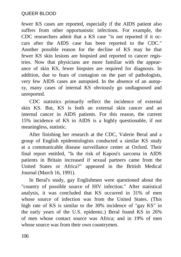fewer KS cases are reported, especially if the AIDS patient also suffers from other opportunistic infections. For example, the CDC researchers admit that a KS case "is not reported if it occurs after the AIDS case has been reported to the CDC." Another possible reason for the decline of KS may be that fewer KS skin lesions are biopsied and reported to cancer registries. Now that physicians are more familiar with the appearance of skin KS, fewer biopsies are required for diagnosis. In addition, due to fears of contagion on the part of pathologists, very few AIDS cases are autopsied. In the absence of an autopsy, many cases of internal KS obviously go undiagnosed and unreported.

CDC statistics primarily reflect the incidence of external skin KS. But, KS is both an external skin cancer and an internal cancer in AIDS patients. For this reason, the current 15% incidence of KS in AIDS is a highly questionable, if not meaningless, statistic.

After finishing her research at the CDC, Valerie Beral and a group of English epidemiologists conducted a similar KS study at a communicable disease surveillance center at Oxford. Their final report entitled, "Is the risk of Kaposi's sarcoma in AIDS patients in Britain increased if sexual partners came from the United States or Africa?" appeared in the British Medical Journal (March 16, 1991).

In Beral's study, gay Englishmen were questioned about the "country of possible source of HIV infection." After statistical analysis, it was concluded that KS occurred in 31% of men whose source of infection was from the United States. (This high rate of KS is similar to the 30% incidence of "gay KS" in the early years of the U.S. epidemic.) Beral found KS in 26% of men whose contact source was Africa; and in 19% of men whose source was from their own countrymen.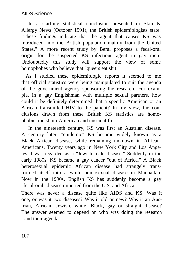In a startling statistical conclusion presented in Skin & Allergy News (October 1991), the British epidemiologists state: "These findings indicate that the agent that causes KS was introduced into the British population mainly from the United States." A more recent study by Beral proposes a fecal-oral origin for the suspected KS infectious agent in gay men! Undoubtedly this study will support the view of some homophobes who believe that "queers eat shit."

As I studied these epidemiologic reports it seemed to me that official statistics were being manipulated to suit the agenda of the government agency sponsoring the research. For example, in a gay Englishman with multiple sexual partners, how could it be definitely determined that a specific American or an African transmitted HIV to the patient? In my view, the conclusions drawn from these British KS statistics are homophobic, racist, un-American and unscientific.

In the nineteenth century, KS was first an Austrian disease. A century later, "epidemic" KS became widely known as a Black African disease, while remaining unknown in African-Americans. Twenty years ago in New York City and Los Angeles it was regarded as a "Jewish male disease." Suddenly in the early 1980s, KS became a gay cancer "out of Africa." A Black heterosexual epidemic African disease had strangely transformed itself into a white homosexual disease in Manhattan. Now in the 1990s, English KS has suddenly become a gay "fecal-oral" disease imported from the U.S. and Africa.

There was never a disease quite like AIDS and KS. Was it one, or was it two diseases? Was it old or new? Was it an Austrian, African, Jewish, white, Black, gay or straight disease? The answer seemed to depend on who was doing the research - and their agenda.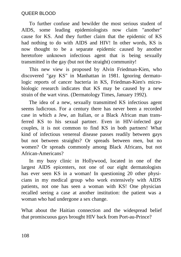To further confuse and bewilder the most serious student of AIDS, some leading epidemiologists now claim "another" cause for KS. And they further claim that the epidemic of KS had nothing to do with AIDS and HIV! In other words, KS is now thought to be a separate epidemic caused by another heretofore unknown infectious agent that is being sexually transmitted in the gay (but not the straight) community!

This new view is proposed by Alvin Friedman-Kien, who discovered "gay KS" in Manhattan in 1981. Ignoring dermatologic reports of cancer bacteria in KS, Friedman-Kien's microbiologic research indicates that KS may be caused by a new strain of the wart virus. (Dermatology Times, January 1992).

The idea of a new, sexually transmitted KS infectious agent seems ludicrous. For a century there has never been a recorded case in which a Jew, an Italian, or a Black African man transferred KS to his sexual partner. Even in HIV-infected gay couples, it is not common to find KS in both partners! What kind of infectious venereal disease passes readily between gays but not between straights? Or spreads between men, but no women? Or spreads commonly among Black Africans, but not African-Americans?

In my busy clinic in Hollywood, located in one of the largest AIDS epicenters, not one of our eight dermatologists has ever seen KS in a woman! In questioning 20 other physicians in my medical group who work extensively with AIDS patients, not one has seen a woman with KS! One physician recalled seeing a case at another institution: the patient was a woman who had undergone a sex change.

What about the Haitian connection and the widespread belief that promiscuous gays brought HIV back from Port-au-Prince?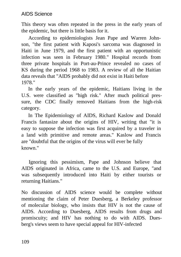This theory was often repeated in the press in the early years of the epidemic, but there is little basis for it.

According to epidemiologists Jean Pape and Warren Johnson, "the first patient with Kaposi's sarcoma was diagnosed in Haiti in June 1979, and the first patient with an opportunistic infection was seen in February 1980." Hospital records from three private hospitals in Port-au-Prince revealed no cases of KS during the period 1968 to 1983. A review of all the Haitian data reveals that "AIDS probably did not exist in Haiti before 1978."

In the early years of the epidemic, Haitians living in the U.S. were classified as "high risk." After much political pressure, the CDC finally removed Haitians from the high-risk category.

In The Epidemiology of AIDS, Richard Kaslow and Donald Francis fantasize about the origins of HIV, writing that "it is easy to suppose the infection was first acquired by a traveler in a land with primitive and remote areas." Kaslow and Francis are "doubtful that the origins of the virus will ever be fully known."

Ignoring this pessimism, Pape and Johnson believe that AIDS originated in Africa, came to the U.S. and Europe, "and was subsequently introduced into Haiti by either tourists or returning Haitians."

No discussion of AIDS science would be complete without mentioning the claim of Peter Duesberg, a Berkeley professor of molecular biology, who insists that HIV is not the cause of AIDS. According to Duesberg, AIDS results from drugs and promiscuity; and HIV has nothing to do with AIDS. Duesberg's views seem to have special appeal for HIV-infected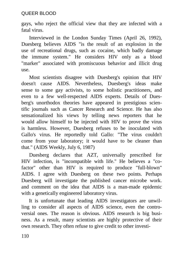gays, who reject the official view that they are infected with a fatal virus.

Interviewed in the London Sunday Times (April 26, 1992), Duesberg believes AIDS "is the result of an explosion in the use of recreational drugs, such as cocaine, which badly damage the immune system." He considers HIV only as a blood "marker" associated with promiscuous behavior and illicit drug use.

Most scientists disagree with Duesberg's opinion that HIV doesn't cause AIDS. Nevertheless, Duesberg's ideas make sense to some gay activists, to some holistic practitioners, and even to a few well-respected AIDS experts. Details of Duesberg's unorthodox theories have appeared in prestigious scientific journals such as Cancer Research and Science. He has also sensationalized his views by telling news reporters that he would allow himself to be injected with HIV to prove the virus is harmless. However, Duesberg refuses to be inoculated with Gallo's virus. He reportedly told Gallo: "The virus couldn't come from your laboratory; it would have to be cleaner than that." (AIDS Weekly, July 6, 1987)

Duesberg declares that AZT, universally prescribed for HIV infection, is "incompatible with life." He believes a "cofactor" other than HIV is required to produce "full-blown" AIDS. I agree with Duesberg on these two points. Perhaps Duesberg will investigate the published cancer microbe work. and comment on the idea that AIDS is a man-made epidemic with a genetically engineered laboratory virus.

It is unfortunate that leading AIDS investigators are unwilling to consider all aspects of AIDS science, even the controversial ones. The reason is obvious. AIDS research is big business. As a result, many scientists are highly protective of their own research. They often refuse to give credit to other investi-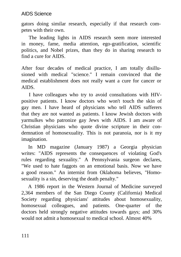# AIDS Science

gators doing similar research, especially if that research competes with their own.

The leading lights in AIDS research seem more interested in money, fame, media attention, ego-gratification, scientific politics, and Nobel prizes, than they do in sharing research to find a cure for AIDS.

After four decades of medical practice, I am totally disillusioned with medical "science." I remain convinced that the medical establishment does not really want a cure for cancer or AIDS.

I have colleagues who try to avoid consultations with HIVpositive patients. I know doctors who won't touch the skin of gay men. I have heard of physicians who tell AIDS sufferers that they are not wanted as patients. I know Jewish doctors with yarmulkes who patronize gay Jews with AIDS. I am aware of Christian physicians who quote divine scripture in their condemnation of homosexuality. This is not paranoia, nor is it my imagination.

In MD magazine (January 1987) a Georgia physician writes: "AIDS represents the consequences of violating God's rules regarding sexuality." A Pennsylvania surgeon declares, "We used to hate faggots on an emotional basis. Now we have a good reason." An internist from Oklahoma believes, "Homosexuality is a sin, deserving the death penalty."

A 1986 report in the Western Journal of Medicine surveyed 2,364 members of the San Diego County (California) Medical Society regarding physicians' attitudes about homosexuality, homosexual colleagues, and patients. One-quarter of the doctors held strongly negative attitudes towards gays; and 30% would not admit a homosexual to medical school. Almost 40%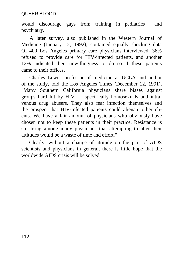would discourage gays from training in pediatrics and psychiatry.

A later survey, also published in the Western Journal of Medicine (January 12, 1992), contained equally shocking data Of 400 Los Angeles primary care physicians interviewed, 36% refused to provide care for HIV-infected patients, and another 12% indicated their unwillingness to do so if these patients came to their offices.

Charles Lewis, professor of medicine at UCLA and author of the study, told the Los Angeles Times (December 12, 1991), "Many Southern California physicians share biases against groups hard hit by HIV — specifically homosexuals and intravenous drug abusers. They also fear infection themselves and the prospect that HIV-infected patients could alienate other clients. We have a fair amount of physicians who obviously have chosen not to keep these patients in their practice. Resistance is so strong among many physicians that attempting to alter their attitudes would be a waste of time and effort."

Clearly, without a change of attitude on the part of AIDS scientists and physicians in general, there is little hope that the worldwide AIDS crisis will be solved.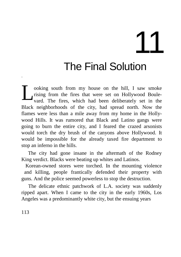# 11 The Final Solution

ooking south from my house on the hill, I saw smoke rising from the fires that were set on Hollywood Bouleooking south from my house on the hill, I saw smoke rising from the fires that were set on Hollywood Boule-<br>vard. The fires, which had been deliberately set in the Black neighborhoods of the city, had spread north. Now the flames were less than a mile away from my home in the Hollywood Hills. It was rumored that Black and Latino gangs were going to burn the entire city, and I feared the crazed arsonists would torch the dry brush of the canyons above Hollywood. It would be impossible for the already taxed fire department to stop an inferno in the hills.

The city had gone insane in the aftermath of the Rodney King verdict. Blacks were beating up whites and Latinos.

 Korean-owned stores were torched. In the mounting violence and killing, people frantically defended their property with guns. And the police seemed powerless to stop the destruction.

The delicate ethnic patchwork of L.A. society was suddenly ripped apart. When I came to the city in the early 1960s, Los Angeles was a predominantly white city, but the ensuing years

.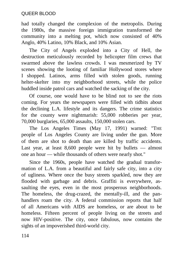had totally changed the complexion of the metropolis. During the 1980s, the massive foreign immigration transformed the community into a melting pot, which now consisted of 40% Anglo, 40% Latino, 10% Black, and 10% Asian.

The City of Angels exploded into a City of Hell, the destruction meticulously recorded by helicopter film crews that swarmed above the lawless crowds. I was mesmerized by TV scenes showing the looting of familiar Hollywood stores where I shopped. Latinos, arms filled with stolen goods, running helter-skelter into my neighborhood streets, while the police huddled inside patrol cars and watched the sacking of the city.

Of course, one would have to be blind not to see the riots coming. For years the newspapers were filled with tidbits about the declining L.A. lifestyle and its dangers. The crime statistics for the county were nightmarish: 55,000 robberies per year, 70,000 burglaries, 65,000 assaults, 150,000 stolen cars.

The Los Angeles Times (May 17, 1991) warned: "THE people of Los Angeles County are living under the gun. More of them are shot to death than are killed by traffic accidents. Last year, at least 8,600 people were hit by bullets — almost one an hour — while thousands of others were nearly shot."

Since the 1960s, people have watched the gradual transformation of L.A. from a beautiful and fairly safe city, into a city of ugliness. Where once the busy streets sparkled, now they are flooded with garbage and debris. Graffiti is everywhere, assaulting the eyes, even in the most prosperous neighborhoods. The homeless, the drug-crazed, the mentally-ill, and the panhandlers roam the city. A federal commission reports that half of all Americans with AIDS are homeless, or are about to be homeless. Fifteen percent of people living on the streets and now HIV-positive. The city, once fabulous, now contains the sights of an impoverished third-world city.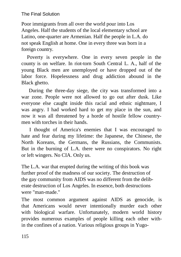## The Final Solution

Poor immigrants from all over the world pour into Los Angeles. Half the students of the local elementary school are Latino, one-quarter are Armenian. Half the people in L.A. do not speak English at home. One in every three was born in a foreign country.

Poverty is everywhere. One in every seven people in the county is on welfare. In riot-torn South Central L. A., half of the young Black men are unemployed or have dropped out of the labor force. Hopelessness and drug addiction abound in the Black ghetto.

During the three-day siege, the city was transformed into a war zone. People were not allowed to go out after dusk. Like everyone else caught inside this racial and ethnic nightmare, I was angry. I had worked hard to get my place in the sun, and now it was all threatened by a horde of hostile fellow countrymen with torches in their hands.

I thought of America's enemies that I was encouraged to hate and fear during my lifetime: the Japanese, the Chinese, the North Koreans, the Germans, the Russians, the Communists. But in the burning of L.A. there were no conspirators. No right or left wingers. No CIA. Only us.

The L.A. war that erupted during the writing of this book was further proof of the madness of our society. The destruction of the gay community from AIDS was no different from the deliberate destruction of Los Angeles. In essence, both destructions were "man-made."

The most common argument against AIDS as genocide, is that Americans would never intentionally murder each other with biological warfare. Unfortunately, modern world history provides numerous examples of people killing each other within the confines of a nation. Various religious groups in Yugo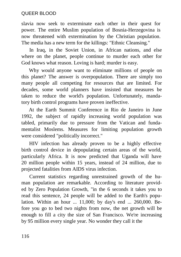slavia now seek to exterminate each other in their quest for power. The entire Muslim population of Bosnia-Herzegovina is now threatened with extermination by the Christian population. The media has a new term for the killings: "Ethnic Cleansing."

In Iraq, in the Soviet Union, in African nations, and else where on the planet, people continue to murder each other for God knows what reason. Loving is hard; murder is easy.

Why would anyone want to eliminate millions of people on this planet? The answer is overpopulation. There are simply too many people all competing for resources that are limited. For decades, some world planners have insisted that measures be taken to reduce the world's population. Unfortunately, mandatory birth control programs have proven ineffective.

At the Earth Summit Conference in Rio de Janeiro in June 1992, the subject of rapidly increasing world population was tabled, primarily due to pressure from the Vatican and fundamentalist Moslems. Measures for limiting population growth were considered "politically incorrect."

HIV infection has already proven to be a highly effective birth control device in depopulating certain areas of the world, particularly Africa. It is now predicted that Uganda will have 20 million people within 15 years, instead of 24 million, due to projected fatalities from AIDS virus infection.

Current statistics regarding unrestrained growth of the human population are remarkable. According to literature provided by Zero Population Growth, "in the 6 seconds it takes you to read this sentence, 24 people will be added to the Earth's population. Within an hour ... 11,000; by day's end ... 260,000. Before you go to bed two nights from now, the net growth will be enough to fill a city the size of San Francisco. We're increasing by 95 million every single year. No wonder they call it the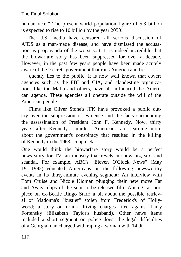human race!" The present world population figure of 5.3 billion is expected to rise to 10 billion by the year 2050!

The U.S. media have censored all serious discussion of AIDS as a man-made disease, and have dismissed the accusation as propaganda of the worst sort. It is indeed incredible that the biowarfare story has been suppressed for over a decade. However, in the past few years people have been made acutely aware of the "secret" government that runs America and fre-

quently lies to the public. It is now well known that covert agencies such as the FBI and CIA, and clandestine organizations like the Mafia and others, have all influenced the American agenda. These agencies all operate outside the will of the American people.

Films like Oliver Stone's JFK have provoked a public outcry over the suppression of evidence and the facts surrounding the assassination of President John F. Kennedy. Now, thirty years after Kennedy's murder, Americans are learning more about the government's conspiracy that resulted in the killing of Kennedy in the 1963 "coup d'etat."

One would think the biowarfare story would be a perfect news story for TV, an industry that revels in show biz, sex, and scandal. For example, ABC's "Eleven O'Clock News" (May 19, 1992) educated Americans on the following newsworthy events in its thirty-minute evening segment: An interview with Tom Cruise and Nicole Kidman plugging their new move Far and Away; clips of the soon-to-be-released film Alien-3; a short piece on ex-Beatle Ringo Starr; a bit about the possible retrieval of Madonna's "bustier" stolen from Frederick's of Hollywood; a story on drunk driving charges filed against Larry Fortensky (Elizabeth Taylor's husband). Other news items included a short segment on police dogs; the legal difficulties of a Georgia man charged with raping a woman with 14 dif-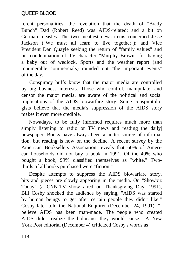ferent personalities; the revelation that the death of "Brady Bunch" Dad (Robert Reed) was AIDS-related; and a bit on German measles. The two meatiest news items concerned Jesse Jackson ("We must all learn to live together"); and Vice President Dan Quayle seeking the return of "family values" and his condemnation of TV-character "Murphy Brown" for having a baby out of wedlock. Sports and the weather report (and innumerable commercials) rounded out "the important events" of the day.

Conspiracy buffs know that the major media are controlled by big business interests. Those who control, manipulate, and censor the major media, are aware of the political and social implications of the AIDS biowarfare story. Some conspiratologists believe that the media's suppression of the AIDS story makes it even more credible.

Nowadays, to be fully informed requires much more than simply listening to radio or TV news and reading the daily| newspaper. Books have always been a better source of information, but reading is now on the decline. A recent survey by the American Booksellers Association reveals that 60% of American households did not buy a book in 1991. Of the 40% who bought a book, 99% classified themselves as "white." Twothirds of all books purchased were "fiction."

Despite attempts to suppress the AIDS biowarfare story, bits and pieces are slowly appearing in the media. On "Showbiz Today" (a CNN-TV show aired on Thanksgiving Day, 1991), Bill Cosby shocked the audience by saying, "AIDS was started by human beings to get after certain people they didn't like." Cosby later told the National Enquirer (December 24, 1991), "I believe AIDS has been man-made. The people who created AIDS didn't realize the holocaust they would cause." A New York Post editorial (December 4) criticized Cosby's words as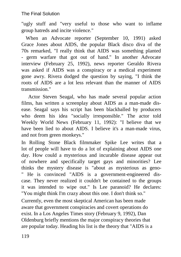"ugly stuff and "very useful to those who want to inflame group hatreds and incite violence."

When an Advocate reporter (September 10, 1991) asked Grace Jones about AIDS, the popular Black disco diva of the 70s remarked, "I really think that AIDS was something planted - germ warfare that got out of hand." In another Advocate interview (February 25, 1992), news reporter Geraldo Rivera was asked if AIDS was a conspiracy or a medical experiment gone awry. Rivera dodged the question by saying, "I think the roots of AIDS are a lot less relevant than the manner of AIDS transmission."

Actor Steven Seagal, who has made several popular action films, has written a screenplay about AIDS as a man-made disease. Seagal says his script has been blackballed by producers who deem his idea "socially irresponsible." The actor told Weekly World News (February 11, 1992): "I believe that we have been lied to about AIDS. I believe it's a man-made virus, and not from green monkeys."

In Rolling Stone Black filmmaker Spike Lee writes that a lot of people will have to do a lot of explaining about AIDS one day. How could a mysterious and incurable disease appear out of nowhere and specifically target gays and minorities? Lee thinks the mystery disease is "about as mysterious as geno- " He is convinced "AIDS is a government-engineered discase. They never realized it couldn't be contained to the groups it was intended to wipe out." Is Lee paranoid? He declares: "You might think I'm crazy about this one. I don't think so."

Currently, even the most skeptical American has been made aware that government conspiracies and covert operations do exist. In a Los Angeles Times story (February 9, 1992), Dan Oldenburg briefly mentions the major conspiracy theories that are popular today. Heading his list is the theory that "AIDS is a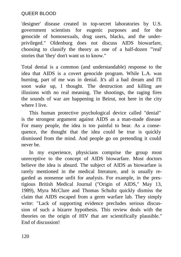'designer' disease created in top-secret laboratories by U.S. government scientists for eugenic purposes and for the genocide of homosexuals, drug users, blacks, and the underprivileged." Oldenburg does not discuss AIDS biowarfare, choosing to classify the theory as one of a half-dozen "'real' stories that 'they' don't want us to know."

Total denial is a common (and understandable) response to the idea that AIDS is a covert genocide program. While L.A. was burning, part of me was in denial. It's all a bad dream and I'll soon wake up, I thought. The destruction and killing are illusions with no real meaning. The shootings, the raging fires the sounds of war are happening in Beirut, not here in the city where I live.

This human protective psychological device called "denial" is the strongest argument against AIDS as a man-made disease For many people, the idea is too painful to bear. As a consequence, the thought that the idea could be true is quickly dismissed from the mind. And people go on pretending it could never be.

In my experience, physicians comprise the group most unreceptive to the concept of AIDS biowarfare. Most doctors believe the idea is absurd. The subject of AIDS as biowarfare is rarely mentioned in the medical literature, and is usually regarded as nonsense unfit for analysis. For example, in the prestigious British Medical Journal ("Origin of AIDS," May 13, 1989), Myra McClure and Thomas Schultz quickly dismiss the claim that AIDS escaped from a germ warfare lab. They simply write: "Lack of supporting evidence precludes serious discussion of such a bizarre hypothesis. This review deals with the theories on the origin of HIV that are scientifically plausible." End of discussion!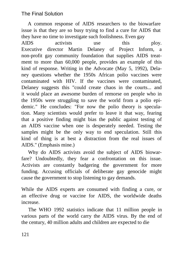A common response of AIDS researchers to the biowarfare issue is that they are so busy trying to find a cure for AIDS that they have no time to investigate such foolishness. Even gay

AIDS activists use this ploy. Executive director Martin Delaney of Project Inform, a non-profit gay community foundation that supplies AIDS treatment to more than 60,000 people, provides an example of this kind of response. Writing in the Advocate (May 5, 1992), Delaney questions whether the 1950s African polio vaccines were contaminated with HIV. If the vaccines were contaminated, Delaney suggests this "could create chaos in the courts... and it would place an awesome burden of remorse on people who in the 1950s were struggling to save the world from a polio epidemic." He concludes: "For now the polio theory is speculation. Many scientists would prefer to leave it that way, fearing that a positive finding might bias the public against testing of an AIDS vaccine when one is desperately needed. Testing the samples might be the only way to end speculation. Still this kind of thing is at best a distraction from the real issues of AIDS." (Emphasis mine.)

Why do AIDS activists avoid the subject of AIDS biowarfare? Undoubtedly, they fear a confrontation on this issue. Activists are constantly badgering the government for more funding. Accusing officials of deliberate gay genocide might cause the government to stop listening to gay demands.

While the AIDS experts are consumed with finding a cure, or an effective drug or vaccine for AIDS, the worldwide deaths increase.

The WHO 1992 statistics indicate that 11 million people in various parts of the world carry the AIDS virus. By the end of the century, 40 million adults and children are expected to die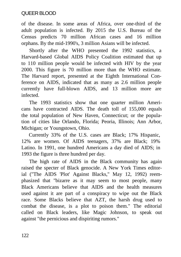of the disease. In some areas of Africa, over one-third of the adult population is infected. By 2015 the U.S. Bureau of the Census predicts 70 million African cases and 16 million orphans. By the mid-1990's, 3 million Asians will be infected.

Shortly after the WHO presented the 1992 statistics, a Harvard-based Global AIDS Policy Coalition estimated that up to 110 million people would be infected with HIV by the year 2000. This figure is 70 million more than the WHO estimate. The Harvard report, presented at the Eighth International Conference on AIDS, indicated that as many as 2.6 million people currently have full-blown AIDS, and 13 million more are infected.

The 1993 statistics show that one quarter million Americans have contracted AIDS. The death toll of 155,000 equals the total population of New Haven, Connecticut; or the population of cities like Orlando, Florida; Peoria, Illinois; Ann Arbor, Michigan; or Youngstown, Ohio.

Currently 33% of the U.S. cases are Black; 17% Hispanic, 12% are women. Of AIDS teenagers, 37% are Black; 19% Latino. In 1991, one hundred Americans a day died of AIDS; in 1993 the figure is three hundred per day.

The high rate of AIDS in the Black community has again raised the specter of Black genocide. A New York Times editorial ("The AIDS 'Plot' Against Blacks," May 12, 1992) reemphasized that "bizarre as it may seem to most people, many Black Americans believe that AIDS and the health measures used against it are part of a conspiracy to wipe out the Black race. Some Blacks believe that AZT, the harsh drug used to combat the disease, is a plot to poison them." The editorial called on Black leaders, like Magic Johnson, to speak out against "the pernicious and dispiriting rumors."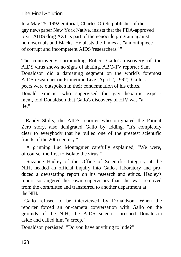# The Final Solution

In a May 25, 1992 editorial, Charles Orteb, publisher of the gay newspaper New York Native, insists that the FDA-approved toxic AIDS drug AZT is part of the genocide program against homosexuals and Blacks. He blasts the Times as "a mouthpiece of corrupt and incompetent AIDS 'researchers.' "

The controversy surrounding Robert Gallo's discovery of the AIDS virus shows no signs of abating. ABC-TV reporter Sam Donaldson did a damaging segment on the world's foremost AIDS researcher on Primetime Live (April 2, 1992). Gallo's peers were outspoken in their condemnation of his ethics. Donald Francis, who supervised the gay hepatitis experi-

ment, told Donaldson that Gallo's discovery of HIV was "a lie."

Randy Shilts, the AIDS reporter who originated the Patient Zero story, also denigrated Gallo by adding, "It's completely clear to everybody that he pulled one of the greatest scientific frauds of the 20th century."

A grinning Luc Montagnier carefully explained, "We were, of course, the first to isolate the virus."

Suzanne Hadley of the Office of Scientific Integrity at the NIH, headed an official inquiry into Gallo's laboratory and produced a devastating report on his research and ethics. Hadley's report so angered her own supervisors that she was removed from the committee and transferred to another department at the NIH.

Gallo refused to be interviewed by Donaldson. When the reporter forced an on-camera conversation with Gallo on the grounds of the NIH, the AIDS scientist brushed Donaldson aside and called him "a creep."

Donaldson persisted, "Do you have anything to hide?"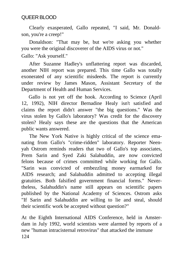Clearly exasperated, Gallo repeated, "I said, Mr. Donaldson, you're a creep!"

Donaldson: "That may be, but we're asking you whether you were the original discoverer of the AIDS virus or not." Gallo: "Ask yourself."

After Suzanne Hadley's unflattering report was discarded, another NIH report was prepared. This time Gallo was totally exonerated of any scientific misdeeds. The report is currently under review by James Mason, Assistant Secretary of the Department of Health and Human Services.

Gallo is not yet off the hook. According to Science (April 12, 1992), NIH director Bernadine Healy isn't satisfied and claims the report didn't answer "the big questions." Was the virus stolen by Gallo's laboratory? Was credit for the discovery stolen? Healy says these are the questions that the American public wants answered.

The New York Native is highly critical of the science emanating from Gallo's "crime-ridden" laboratory. Reporter Neenyah Ostrom reminds readers that two of Gallo's top associates, Prem Sarin and Syed Zaki Salahuddin, are now convicted felons because of crimes committed while working for Gallo. "Sarin was convicted of embezzling money earmarked for AIDS research; and Salahuddin admitted to accepting illegal gratuities. Both falsified government financial forms." Nevertheless, Salahuddin's name still appears on scientific papers published by the National Academy of Sciences. Ostrom asks "If Sarin and Salahuddin are willing to lie and steal, should their scientific work be accepted without question?"

At the Eighth International AIDS Conference, held in Amsterdam in July 1992, world scientists were alarmed by reports of a new "human intracisternal retrovirus" that attacked the immune 124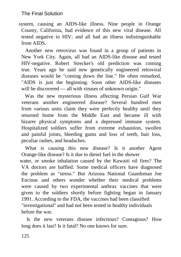# The Final Solution

system, causing an AIDS-like illness. Nine people in Orange County, California, had evidence of this new viral disease. All tested negative to HIV; and all had an illness indistinguishable from AIDS.

Another new retrovirus was found in a group of patients in New York City. Again, all had an AIDS-like disease and tested HIV-negative. Robert Strecker's old prediction was coming true. Years ago he said new genetically engineered retroviral diseases would be "coming down the line." He often remarked, "AIDS is just the beginning. Soon other AIDS-like diseases will be discovered — all with viruses of unknown origin."

Was the new mysterious illness affecting Persian Gulf War veterans another engineered disease? Several hundred men from various units claim they were perfectly healthy until they returned home from the Middle East and became ill with bizarre physical symptoms and a depressed immune system. Hospitalized soldiers suffer from extreme exhaustion, swollen and painful joints, bleeding gums and loss of teeth, hair loss, peculiar rashes, and headaches.

What is causing this new disease? Is it another Agent Orange-like disease? Is it due to diesel fuel in the shower

water, or smoke inhalation caused by the Kuwaiti oil fires? The VA doctors are baffled. Some medical officers have diagnosed the problem as "stress." But Arizona National Guardsman Joe Encinas and others wonder whether their medical problems were caused by two experimental anthrax vaccines that were given to the soldiers shortly before fighting began in January 1991. According to the FDA, the vaccines had been classified "investigational" and had not been tested in healthy individuals before the war.

Is the new veterans disease infectious? Contagious? How long does it last? Is it fatal? No one knows for sure.

125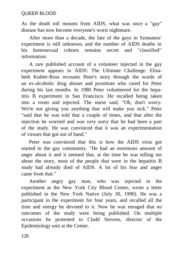As the death toll mounts from AIDS, what was once a "gay" disease has now become everyone's worst nightmare.

After more than a decade, the fate of the gays in Szmuness' experiment is still unknown, and the number of AIDS deaths in his homosexual cohorts remains secret and "classified" information.

A rare published account of a volunteer injected in the gay experiment appears in AIDS: The Ultimate Challenge. Elisabeth Kubler-Ross recounts Peter's story through the words of an ex-alcoholic drug abuser and prostitute who cared for Peter during his last months. In 1980 Peter volunteered for the hepatitis B experiment in San Francisco. He recalled being taken into a room and injected. The nurse said, "Oh, don't worry. We're not giving you anything that will make you sick." Peter "said that he was told that a couple of times, and that after the injection he worried and was very sorry that he had been a part of the study. He was convinced that it was an experimentation of viruses that got out of hand."

Peter was convinced that this is how the AIDS virus got started in the gay community. "He had an enormous amount of anger about it and it seemed that, at the time he was telling me about the story, most of the people that were in the hepatitis B study had already died of AIDS. A lot of his fear and anger came from that."

Another angry gay man, who was injected in the experiment at the New York City Blood Center, wrote a letter published in the New York Native (July 30, 1990). He was a participant in the experiment for four years, and recalled all the time and energy he devoted to it. Now he was enraged that no outcomes of the study were being published. On multiple occasions he protested to Cladd Stevens, director of the Epidemiology unit at the Center.

126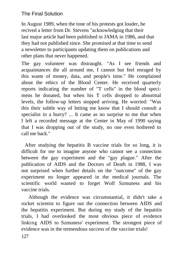# The Final Solution

In August 1989, when the tone of his protests got louder, he recived a letter from Dr. Stevens "acknowledging that their last major article had been published in JAMA in 1986, and that they had not published since. She promised at that time to send a newsletter to participants updating them on publications and other plans that never happened.

The gay volunteer was distraught. "As I see friends and acquaintances die all around me, I cannot but feel enraged by this waste of money, data, and people's time." He complained about the ethics of the Blood Center. He received quarterly reports indicating the number of "T cells" in the blood specimens he donated, but when his T cells dropped to abnormal levels, the follow-up letters stopped arriving. He worried: "Was this their subtle way of letting me know that I should consult a specialist in a hurry? ... It came as no surprise to me that when I left a recorded message at the Center in May of 1990 saying that I was dropping out of the study, no one even bothered to call me back."

After studying the hepatitis B vaccine trials for so long, it is difficult for me to imagine anyone who cannot see a connection between the gay experiment and the "gay plague." After the publication of AIDS and the Doctors of Death in 1988, I was not surprised when further details on the "outcome" of the gay experiment no longer appeared in the medical journals. The scientific world wanted to forget Wolf Szmuness and his vaccine trials.

Although the evidence was circumstantial, it didn't take a rocket scientist to figure out the connection between AIDS and the hepatitis experiment. But during my study of the hepatitis trials, I had overlooked the most obvious piece of evidence linking AIDS to Szmuness' experiment. The strongest piece of evidence was in the tremendous success of the vaccine trials! 127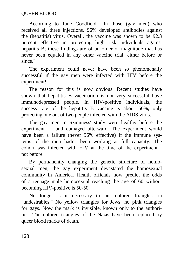According to June Goodfield: "In those (gay men) who received all three injections, 96% developed antibodies against the (hepatitis) virus. Overall, the vaccine was shown to be 92.3 percent effective in protecting high risk individuals against hepatitis B; these findings are of an order of magnitude that has never been equaled in any other vaccine trial, either before or since."

The experiment could never have been so phenomenally successful if the gay men were infected with HIV before the experiment!

The reason for this is now obvious. Recent studies have shown that hepatitis B vaccination is not very successful have immunodepressed people. In HIV-positive individuals, the success rate of the hepatitis B vaccine is about 50%, only protecting one out of two people infected with the AIDS virus.

The gay men in Szmuness' study were healthy before the experiment — and damaged afterward. The experiment would have been a failure (never 96% effective) if the immune systems of the men hadn't been working at full capacity. The cohort was infected with HIV at the time of the experiment not before.

By permanently changing the genetic structure of homosexual men, the gay experiment devastated the homosexual community in America. Health officials now predict the odds of a teenage male homosexual reaching the age of 60 without becoming HIV-positive is 50-50.

No longer is it necessary to put colored triangles on "undesirables." No yellow triangles for Jews; no pink triangles for gays. Now the mark is invisible, known only to the authorities. The colored triangles of the Nazis have been replaced by queer blood marks of death.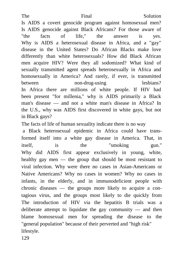The Final Final Solution Is AIDS a covert genocide program against homosexual men? Is AIDS genocide against Black Africans? For those aware of "the facts of life," the answer is yes. Why is AIDS a heterosexual disease in Africa, and a "gay" disease in the United States? Do African Blacks make love differently than white heterosexuals? How did Black African men acquire HIV? Were they all sodomized? What kind of sexually transmitted agent spreads heterosexually in Africa and homosexually in America? And rarely, if ever, is transmitted between non-drug-using lesbians? In Africa there are millions of white people. If HIV had been present "for millenia," why is AIDS primarily a Black man's disease — and not a white man's disease in Africa? In

the U.S., why was AIDS first discovered in white gays, but not in Black gays?

The facts of life of human sexuality indicate there is no way

 a Black heterosexual epidemic in Africa could have transformed itself into a white gay disease in America. That, in itself, is the "smoking gun." Why did AIDS first appear exclusively in young, white, healthy gay men — the group that should be most resistant to viral infection. Why were there no cases in Asian-Americans or Native Americans? Why no cases in women? Why no cases in infants, in the elderly, and in immunodeficient people with chronic diseases — the groups more likely to acquire a contagious virus, and the groups most likely to die quickly from The introduction of HIV via the hepatitis B trials was a deliberate attempt to liquidate the gay community — and then blame homosexual men for spreading the disease to the "general population" because of their perverted and "high risk" lifestyle.

129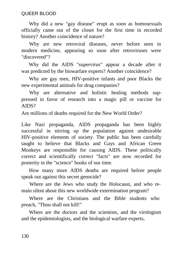Why did a new "gay disease" erupt as soon as homosexuals officially came out of the closet for the first time in recorded history? Another coincidence of nature?

Why are new retroviral diseases, never before seen in modern medicine, appearing so soon after retroviruses were "discovered"?

Why did the AIDS "supervirus" appear a decade after it was predicted by the biowarfare experts? Another coincidence?

Why are gay men, HIV-positive infants and poor Blacks the new experimental animals for drug companies?

Why are alternative and holistic healing methods suppressed in favor of research into a magic pill or vaccine for AIDS?

Are millions of deaths required for the New World Order?

Like Nazi propaganda, AIDS propaganda has been highly successful in stirring up the population against undesirable HIV-positive elements of society. The public has been carefully taught to believe that Blacks and Gays and African Green Monkeys are responsible for causing AIDS. These politically correct and scientifically correct "facts" are now recorded for posterity in the "science" books of our time.

How many more AIDS deaths are required before people speak out against this secret genocide?

Where are the Jews who study the Holocaust, and who remain silent about this new worldwide extermination program?

Where are the Christians and the Bible students who preach, "Thou shall not kill!"

Where are the doctors and the scientists, and the virologism and the epidemiologists, and the biological warfare experts,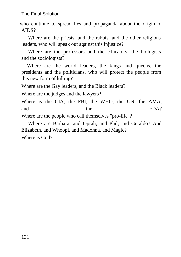The Final Solution

who continue to spread lies and propaganda about the origin of AIDS?

Where are the priests, and the rabbis, and the other religious leaders, who will speak out against this injustice?

Where are the professors and the educators, the biologists and the sociologists?

Where are the world leaders, the kings and queens, the presidents and the politicians, who will protect the people from this new form of killing?

Where are the Gay leaders, and the Black leaders?

Where are the judges and the lawyers?

Where is the CIA, the FBI, the WHO, the UN, the AMA, and the FDA?

Where are the people who call themselves "pro-life"?

Where are Barbara, and Oprah, and Phil, and Geraldo? And Elizabeth, and Whoopi, and Madonna, and Magic? Where is God?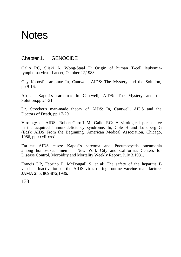# Notes

#### Chapter 1. GENOCIDE

Gallo RC, Sliski A, Wong-Staal F: Origin of human T-cell leukemialymphoma virus. Lancet, October 22,1983.

Gay Kaposi's sarcoma: In, Cantwell, AIDS: The Mystery and the Solution, pp 9-16.

African Kaposi's sarcoma: In Cantwell, AIDS: The Mystery and the Solution.pp 24-31.

Dr. Strecker's man-made theory of AIDS: In, Cantwell, AIDS and the Doctors of Death, pp 17-29.

Virology of AIDS: Robert-Guroff M, Gallo RC: A virological perspective in the acquired immunodeficiency syndrome. In, Cole H and Lundberg G (Eds): AIDS From the Beginning. American Medical Association, Chicago, 1986, pp xxvii-xxxi.

Earliest AIDS cases: Kaposi's sarcoma and Pneumocystis pneumonia among homosexual men — New York City and California. Centers for Disease Control, Morbidity and Mortality Weekly Report, July 3,1981.

Francis DP, Feorino P, McDougall S, et al: The safety of the hepatitis B vaccine. Inactivation of the AIDS virus during routine vaccine manufacture. JAMA 256: 869-872,1986.

133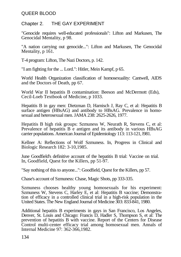#### Chapter 2. THE GAY EXPERIMENT

"Genocide requires well-educated professionals": Lifton and Markusen, The Genocidal Mentality, p 98.

"A nation carrying out genocide...": Lifton and Markusen, The Genocidal Mentality, p 161.

T-4 program: Lifton, The Nazi Doctors, p. 142.

"I am fighting for the ... Lord.": Hitler, Mein Kampf, p 65.

World Health Organization classification of homosexuality: Cantwell, AIDS and the Doctors of Death, pp 67.

World War II hepatitis B contamination: Beeson and McDermott (Eds), Cecil-Loeb Textbook of Medicine, p 1033.

Hepatitis B in gay men: Dietzman D, Harnisch J, Ray C, et al: Hepatitis B surface antigen (HBsAG) and antibody to HBsAG. Prevalence in homosexual and heterosexual men. JAMA 238: 2625-2626, 1977.

Hepatitis B high risk groups: Szmuness W, Neurath R, Stevens C, et al: Prevalence of hepatitis B e antigen and its antibody in various HBsAG carrier populations. American Journal of Epidemiology 113: 113-121, l981.

Kellner A: Reflections of Wolf Szmuness. In, Progress in Clinical and Biologic Research 182: 3-10,1985.

June Goodfield's definitive account of the hepatitis B trial: Vaccine on trial. In, Goodfield, Quest for the Killers, pp 51-97.

"Say nothing of this to anyone...": Goodfield, Quest for the Killers, pp 57.

Chase's account of Szmuness: Chase, Magic Shots, pp 333-335.

Szmuness chooses healthy young homosexuals for his experiment: Szmuness W, Stevens C, Harley E, et al: Hepatitis B vaccine; Demonstration of efficacy in a controlled clinical trial in a high-risk population in the United States. The New England Journal of Medicine 303: 833-841, 1980.

Additional hepatitis B experiments in gays in San Francisco, Los Angeles, Denver, St. Louis and Chicago: Francis D, Hadler S, Thompson S, et al: The prevention of hepatitis B with vaccine. Report of the Centers for Disease Control multi-center efficacy trial among homosexual men. Annals of Internal Medicine 97: 362-366,1982.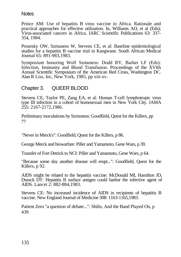#### **Notes**

Prince AM: Use of hepatitis B virus vaccine in Africa. Rationale and practical approaches for effective utilization. In, Williams AO, et al (Eds); Virus-associated cancers in Africa. IARC Scientific Publications 63: 337- 354, 1984.

Prozesky OW, Szmuness W, Stevens CE, et al: Baseline epidemiological studies for a hepatitis B vaccine trial in Kangwane. South African Medical Journal 65: 891-983,1983.

Symposium honoring Wolf Szmuness: Dodd RY, Barker LF (Eds): Infection, Immunity and Blood Transfusion. Proceedings of the XVIth Annual Scientific Symposium of the American Red Cross, Washington DC. Alan R Liss, Inc, New York, 1985, pp xiii-xv.

#### Chapter 3. QUEER BLOOD

Stevens CE, Taylor PE, Zang EA, et al: Human T-cell lymphotropic virus type III infection in a cohort of homosexual men in New York City. JAMA 255: 2167-2172,1986.

Preliminary inoculations by Szmuness: Goodfield, Quest for the Killers, pp 77

"Never in Merck's": Goodfield, Quest for the Killers, p 86.

George Merck and biowarfare: Piller and Yamamoto, Gene Wars, p 39.

Transfer of Fort Detrick to NCI: Piller and Yamamoto, Gene Wars, p 64.

"Because some day another disease will erupt...": Goodfield, Quest for the Killers, p 92.

AIDS might be related to the hepatitis vaccine: McDonald MI, Hamilton JD, Durack DT: Hepatitis B surface antigen could harbor the infective agent of AIDS. Lancet 2: 882-884,1983.

Stevens CE: No increased incidence of AIDS in recipients of hepatitis B vaccine. New England Journal of Medicine 308: 1163-1165,1983.

Patient Zero "a question of debate...": Shilts, And the Band Played On, p 439.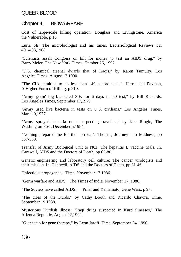#### Chapter 4. BIOWARFARE

Cost of large-scale killing operation: Douglass and Livingstone, America the Vulnerable, p 16.

Luria SE: The microbiologist and his times. Bacteriological Reviews 32: 401-403,1968.

"Scientists assail Congress on bill for money to test an AIDS drug," by Barry Meier, The New York Times, October 26, 1992.

"U.S. chemical arsenal dwarfs that of Iraqis," by Karen Tumulty, Los Angeles Times, August 17,1990.

"The CIA admitted to no less than 149 subprojects...": Harris and Paxman, A Higher Form of Killing, p 210.

"Army 'germ' fog blanketed S.F. for 6 days in '50 test," by Bill Richards, Los Angeles Times, September 17,1979.

"Army used live bacteria in tests on U.S. civilians." Los Angeles Times, March 9,1977.

"Army sprayed bacteria on unsuspecting travelers," by Ken Ringle, The Washington Post, December 5,1984.

"Nothing prepared me for the horror...": Thomas, Journey into Madness, pp 357-358.

Transfer of Army Biological Unit to NCI: The hepatitis B vaccine trials. In, Cantwell, AIDS and the Doctors of Death, pp 65-80.

Genetic engineering and laboratory cell culture: The cancer virologists and their mission. In, Cantwell, AIDS and the Doctors of Death, pp 31-46.

"Infectious propaganda." Time, November 17,1986.

"Germ warfare and AIDS." The Times of India, November 17, 1986.

"The Soviets have called AIDS...": Pillar and Yamamoto, Gene Wars, p 97.

"The cries of the Kurds," by Cathy Booth and Ricardo Chavira, Time, September 19,1988.

Mysterious Kurdish illness: "Iraqi drugs suspected in Kurd illnesses," The Arizona Republic, August 22,1992.

"Giant step for gene therapy," by Leon Jaroff, Time, September 24, 1990.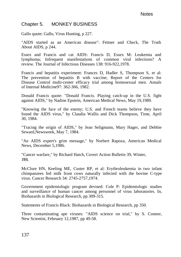#### Chapter 5. MONKEY BUSINESS

Gallo quote: Gallo, Virus Hunting, p 227.

"AIDS started as an American disease": Fettner and Check, The Truth About AIDS, p 244.

Essex and Francis and cat AIDS: Francis D, Essex M: Leukemia and lymphoma; Infrequent manifestations of common viral infections? A review. The Journal of Infectious Diseases 138: 916-922,1978.

Francis and hepatitis experiment: Frances D, Hadler S, Thompson S, et al: The prevention of hepatitis B with vaccine; Report of the Centers for Disease Control multi-center efficacy trial among homosexual men. Annals of Internal Medicine97: 362-366, 1982.

Donald Francis quote: "Donald Francis. Playing catch-up in the U.S. fight against AIDS," by Nadine Epstein, American Medical News, May 19,1989.

"Knowing the face of the enemy; U.S. and French teams believe they have found the AIDS virus," by Claudia Wallis and Dick Thompson, Time, April 30, 1984.

"Tracing the origin of AIDS," by Jean Seligmann, Mary Hager, and Debbie Seward,Newsweek, May 7, 1984.

"An AIDS expert's grim message," by Norbert Rapoza, American Medical News, December 5,1986.

"Cancer warfare," by Richard Hatch, Covert Action Bulletin 39, Winter, 1991.

McClure HN, Keeling ME, Custer RP, et al: Erythroleukemia in two infant chimpanzees fed milk from cows naturally infected with the bovine C-type virus. Cancer Research 34: 2745-2757,1974.

Government epidemiologic program devised: Cole P: Epidemiologic studies and surveillance of human cancer among personnel of virus laboratories. In, Biohazards in Biological Research, pp 309-315.

Statements of Francis Black: Biohazards in Biological Research, pp 350.

Three contaminating ape viruses: "AIDS science on trial," by S. Connor, New Scientist, February 12,1987, pp 49-58.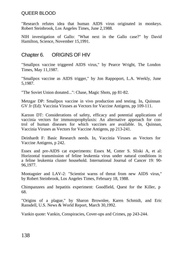"Research refutes idea that human AIDS virus originated in monkeys. Robert Steinbrook, Los Angeles Times, June 2,1988.

NIH investigation of Gallo: "What next in the Gallo case?" by David Hamilton, Science, November 15,1991.

#### Chapter 6. ORIGINS OF HIV

"Smallpox vaccine triggered AIDS virus," by Pearce Wright, The London Times, May 11,1987.

"Smallpox vaccine as AIDS trigger," by Jon Rappoport, L.A. Weekly, June 5,1987.

"The Soviet Union donated...": Chase, Magic Shots, pp 81-82.

Metzgar DP: Smallpox vaccine in vivo production and testing. In, Quinnan GV Jr (Ed): Vaccinia Viruses as Vectors for Vaccine Antigens, pp 109-111.

Karzon DT: Considerations of safety, efficacy and potential applications of vaccinia vectors for immunoprophylaxis: An alternative approach for control of human diseases for which vaccines are available. In, Quinnan, Vaccinia Viruses as Vectors for Vaccine Antigens, pp 213-241.

Deinhardt F: Basic Research needs. In, Vaccinia Viruses as Vectors for Vaccine Antigens, p 242.

Essex and pre-AIDS cat experiments: Essex M, Cotter S. Sliski A, et al: Horizontal transmission of feline leukemia virus under natural conditions in a feline leukemia cluster household. International Journal of Cancer 19: 90- 96,1977.

Montagnier and LAV-2: "Scientist warns of threat from new AIDS virus," by Robert Steinbrook, Los Angeles Times, February 18, 1988.

Chimpanzees and hepatitis experiment: Goodfield, Quest for the Killer, p 68.

"Origins of a plague," by Sharon Brownlee, Karen Schmidt, and Eric Ransdell, U.S. News & World Report, March 30,1992.

Vankin quote: Vankin, Conspiracies, Cover-ups and Crimes, pp 243-244.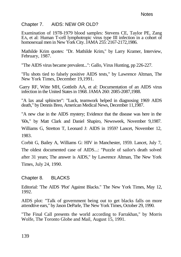#### Chapter 7. AIDS: NEW OR OLD?

Examination of 1978-1979 blood samples: Stevens CE, Taylor PE, Zang EA, et al: Human T-cell lymphotropic virus type III infection in a cohort of homosexual men in New York City. JAMA 255: 2167-2172,1986.

Mathilde Krim quotes: "Dr. Mathilde Krim," by Larry Kramer, Interview, February, 1987.

"The AIDS virus became prevalent...": Gallo, Virus Hunting, pp 226-227.

"Flu shots tied to falsely positive AIDS tests," by Lawrence Altman, The New York Times, December 19,1991.

Garry RF, Witte MH, Gottleib AA, et al: Documentation of an AIDS virus infection in the United States in 1968. JAMA 260: 2085-2087,1988.

"A lax anal sphincter": "Luck, teamwork helped in diagnosing 1969 AIDS death," by Dennis Breo, American Medical News, December 11,1987.

"A new clue in the AIDS mystery; Evidence that the disease was here in the '60s," by Matt Clark and Daniel Shapiro, Newsweek, November 9,1987. Williams G, Stretton T, Leonard J: AIDS in 1959? Lancet, November 12, 1983.

Corbit G, Bailey A, Williams G: HIV in Manchester, 1959. Lancet, July 7, The oldest documented case of AIDS...: "Puzzle of sailor's death solved after 31 years; The answer is AIDS," by Lawrence Altman, The New York Times, July 24, 1990.

# Chapter 8. BLACKS

Editorial: 'The AIDS 'Plot' Against Blacks." The New York Times, May 12, 1992.

AIDS plot: "Talk of government being out to get blacks falls on more attendtive ears," by Jason DeParle, The New York Times, October 29, 1990.

"The Final Call presents the world according to Farrakhan," by Morris Wolfe, The Toronto Globe and Mail, August 15, 1991.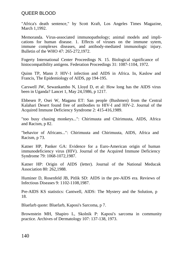"Africa's death sentence," by Scott Kraft, Los Angeles Times Magazine, March 1,1992.

Memoranda. Virus-associated immunopathology; animal models and implications for human disease. 1. Effects of viruses on the immune sytem, immune complexes diseases, and antibody-mediated immunologic injury. Bulletin of the WHO 47: 265-272,1972.

Fogerty International Center Proceedings N. 15. Biological significance of histocompatibility antigens. Federation Proceedings 31: 1087-1104, 1972.

Quinn TP, Mann J: HIV-1 infection and AIDS in Africa. In, Kaslow and Francis, The Epidemiology of AIDS, pp 194-195.

Carswell JW, Sewankambo N, Lloyd D, et al: How long has the AIDS virus been in Uganda? Lancet 1, May 24,1986, p 1217.

Ebbesen P, Osei W, Maganu ET: San people (Bushmen) from the Central Kalahari Desert found free of antibodies to HIV-I and HIV-2. Journal of the Acquired Immune Deficiency Syndrome 2: 415-416,1989.

"too busy chasing monkeys...": Chirimuuta and Chirimuuta, AIDS, Africa and Racism, p 82.

"behavior of Africans...": Chirimuuta and Chirimuuta, AIDS, Africa and Racism, p 73.

Katner HP, Panker GA: Evidence for a Euro-American origin of human immunodeficiency virus (HIV). Journal of the Acquired Immune Deficiency Syndrome 79: 1068-1072,1987.

Katner HP: Origin of AIDS (letter). Journal of the National Meducak Association 80: 262,1988.

Huminer D, Rosenfeld JB, Pitlik SD: AIDS in the pre-AIDS era. Reviews of Infectious Diseases 9: 1102-1108,1987.

Pre-AIDS KS statistics: Cantwell, AIDS: The Mystery and the Solution, p 18.

Bluefarb quote: Bluefarb, Kaposi's Sarcoma, p 7.

Brownstein MH, Shapiro L, Skolnik P: Kaposi's sarcoma in community practice. Archives of Dermatology 107: 137-138, 1973.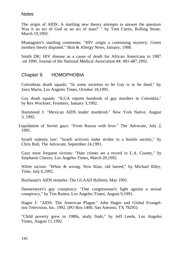#### **Notes**

The origin of AIDS: A startling new theory attempts to answer the question Was it an act of God or an act of man?' " by Tom Curtis, Rolling Stone, March 19,1992.

Montagnier's startling comments: "HIV origin a continuing mystery; Green monkey theory disputed." Skin & Allergy News, January, 1988.

Smith DK: HIV disease as a cause of death for African Americans in 1987 .ml 1990. Journal of the National Medical Association 84: 481-487,1992.

#### Chapter 9. HOMOPHOBIA

Colombian death squads: "In some societies to be Gay is to be dead," by Jairo Marin, Los Angeles Times, October 18,1991.

Gay death squads: "ILGA reports hundreds of gay murders in Colombia," by Rex Wockner, Frontiers, January 3,1992.

Hammond J: "Mexican AIDS leader murdered." New York Native, August 3, 1992.

Liquidation of Soviet gays: "From Russia with love." The Advocate, July 2, 1991.

Israeli sodomy law: "Israeli activists make strides in a hostile society," by Chris Bull, The Advocate, September 24,1991.

Gays most frequent victims: "Hate crimes set a record in L.A. County," by Stephanie Chavez, Los Angeles Times, March 20,1992.

White racism: "White & wrong; New Klan, old hatred," by Michael Riley, Time, July 6,1992.

Buchanan's AIDS remarks: The GLAAD Bulletin, May 1991.

Dannemeyer's gay conspiracy: "One congressman's fight against a sexual conspiracy," by Tim Rutten, Los Angeles Times, August 9,1991.

Hagee J: "AIDS: The American Plague." John Hagee and Global Evangelism Television, Inc. 1992. (PO Box 1400, San Antonio, TX 78295).

"Child poverty grew in 1980s, study finds," by Jeff Leeds, Los Angeles Times, August 11,1992.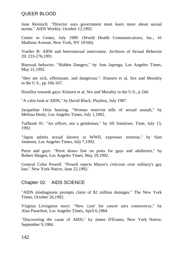June Reinisch: "Director says government must learn more about sexual norms." AIDS Weekly, October 12,1992.

Center to Center, July 1989. (World Health Communications, Inc., 41 Madison Avenue, New York, NY 10160).

Voeller B: AIDS and heterosexual intercourse. Archives of Sexual Behavior 20: 233-276,1991.

Bisexual behavior: "Hidden Dangers," by Ann Japenga, Los Angeles Times, May 21,1992.

"they are sick, effeminate, and dangerous.": Klassen et al, Sex and Morality in the U.S., pp 166-167.

Hostility towards gays: Klassen et al, Sex and Morality in the U.S., p 244.

"A calm look at AIDS," by David Black, Playboy, July 1987.

Jacqueline Ortiz hearing: "Woman reservist tells of sexual assault," by Melissa Healy, Los Angeles Times, July 1,1992.

Tailhook 91: "An officer, not a gentleman," by Jill Smolowe, Time, July 13, 1992.

"Japan admits sexual slavery in WWII, expresses remorse," by Sam Jameson, Los Angeles Times, July 7,1992.

Perot and gays: "Perot draws line on posts for gays and adulterers," by Robert Shogen, Los Angeles Times, May 29,1992.

General Colin Powell: "Powell rejects Mayor's criticism over military's gay ban." New York Native, June 22,1992.

#### Chapter 10. AIDS SCIENCE

"AIDS misdiagnosis prompts claim of \$2 million damages." The New York Times, October 26,1992.

Virginia Livingston story: "New 'cure' for cancer stirs controversy," by Alan Parachini, Los Angeles Times, April 6,1984.

"Discovering the cause of AIDS," by James D'Eramo, New York Native, September 9,1984.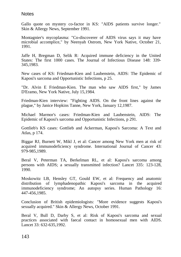#### **Notes**

Gallo quote on mystery co-factor in KS: "AIDS patients survive longer." Skin & Allergy News, September 1991.

Montagnier's mycoplasma: "Co-discoverer of AIDS virus says it may have microbial accomplice," by Neenyah Ostrom, New York Native, October 21, 1991.

Jaffe H, Bregman D, Selik R: Acquired immune deficiency in the United States: The first 1000 cases. The Journal of Infectious Disease 148: 339- 345,1983.

New cases of KS: Friedman-Kien and Laubenstein, AIDS: The Epidemic of Kaposi's sarcoma and Opportunistic Infections, p 25.

"Dr. Alvin E Friedman-Kien. The man who saw AIDS first," by James D'Eramo, New York Native, July 15,1984.

Friedman-Kien interview: "Fighting AIDS. On the front lines against the plague," by Janice Hopkins Tanne, New York, January 12,1987.

Michael Marmor's cases: Friedman-Kien and Laubenstein, AIDS: The Epidemic of Kaposi's sarcoma and Opportunistic Infections, p 291.

Gottlieb's KS cases: Gottlieb and Ackerman, Kaposi's Sarcoma: A Text and Atlas, p 174.

Biggar RJ, Burnett W, Mikl J, et al: Cancer among New York men at risk of acquired immunodeficiency syndrome. International Journal of Cancer 43: 979-985,1989.

Beral V, Peterman TA, Berkelman RL, et al: Kaposi's sarcoma among persons with AIDS; a sexually transmitted infection? Lancet 335: 123-128, 1990.

Moskowitz LB, Hensley GT, Gould EW, et al: Frequency and anatomic distribution of lymphadenopathic Kaposi's sarcoma in the acquired immunodeficiency syndrome; An autopsy series. Human Pathology 16: 447-456,1985.

Conclusion of British epidemiologists: "More evidence suggests Kaposi's sexually acquired." Skin & Allergy News, October 1991.

Beral V, Bull D, Darby S, et al: Risk of Kaposi's sarcoma and sexual practices associated with faecal contact in homosexual men with AIDS. Lancet 33: 632-635,1992.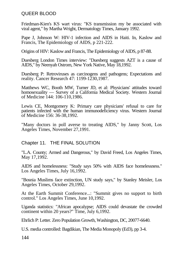## QUEER BLOOD

Friedman-Kien's KS wart virus: "KS transmission my be associated with viral agent," by Martha Wright, Dermatology Times, January 1992.

Pape J, Johnson W: HIV-1 infection and AIDS in Haiti. In, Kaslow and Francis, The Epidemiology of AIDS, p 221-222.

Origins of HIV: Kaslow and Francis, The Epidemiology of AIDS, p 87-88.

Duesberg London Times interview: "Duesberg suggests AZT is a cause of AIDS," by Neenyah Ostrom, New York Native, May 18,1992.

Duesberg P: Retroviruses as carcinogens and pathogens; Expectations and reality. Cancer Research 47: 1199-1230,1987.

Matthews WC, Booth MW, Turner JD, et al: Physicians' attitudes toward homosexuality — Survey of a California Medical Society. Western Journal of Medicine 144: 106-110,1986.

Lewis CE, Montgomery K: Primary care physicians' refusal to care for patients infected with the human immunodeficiency virus. Western Journal of Medicine 156: 36-38,1992.

"Many doctors in poll averse to treating AIDS," by Janny Scott, Los Angeles Times, November 27,1991.

## Chapter 11. THE FINAL SOLUTION

"L.A. County; Armed and Dangerous," by David Freed, Los Angeles Times, May 17,1992.

AIDS and homelessness: "Study says 50% with AIDS face homelessness." Los Angeles Times, July 16,1992.

"Bosnia Muslims face extinction, UN study says," by Stanley Meisler, Los Angeles Times, October 29,1992.

At the Earth Summit Conference...: "Summit gives no support to birth control." Los Angeles Times, June 10,1992.

Uganda statistics: "African apocalypse; AIDS could devastate the crowded continent within 20 years?" Time, July 6,1992.

Ehrlich P: Letter. Zero Population Growth, Washington, DC, 20077-6640.

U.S. media controlled: Bagdikian, The Media Monopoly (Ed3), pp 3-4.

144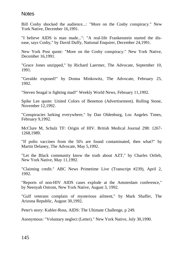#### **Notes**

Bill Cosby shocked the audience...: "More on the Cosby conspiracy." New York Native, December 16,1991.

"I believe AIDS is man made...": "A real-life Frankenstein started the disease, says Cosby," by David Duffy, National Enquirer, December 24,1991.

New York Post quote: "More on the Cosby conspiracy." New York Native, December 16,1991.

"Grace Jones unzipped," by Richard Laermer, The Advocate, September 10, 1991.

"Geraldo exposed!" by Donna Minkowitz, The Advocate, February 25, 1992.

"Steven Seagal is fighting mad!" Weekly World News, February 11,1992.

Spike Lee quote: United Colors of Benetton (Advertisement). Rolling Stone, November 12,1992.

"Conspiracies lurking everywhere," by Dan Oldenburg, Los Angeles Times, February 9,1992.

McClure M, Schulz TF: Origin of HIV. British Medical Journal 298: 1267- 1268,1989.

"If polio vaccines from the 50's are found contaminated, then what?" by Martin Delaney, The Advocate, May 5,1992.

"Let the Black community know the truth about AZT," by Charles Ortleb, New York Native, May 11,1992.

"Claiming credit." ABC News Primetime Live (Transcript #239), April 2, 1992.

"Reports of non-HIV AIDS cases explode at the Amsterdam conference," by Neenyah Ostrom, New York Native, August 3, 1992.

"Gulf veterans complain of mysterious ailment," by Mark Shaffer, The Arizona Republic, August 30,1992.

Peter's story: Kubler-Ross, AIDS: The Ultimate Challenge, p 249.

Anonymous: "Voluntary neglect (Letter)." New York Native, July 30,1990.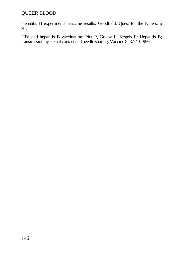Hepatitis B experimental vaccine results: Goodfield, Quest for the Killers, p 91.

HIV and hepatitis B vaccination: Piot P, Goilav L, Kegels E: Hepatitis B; transmission by sexual contact and needle sharing. Vaccine 8: 37-40,1990.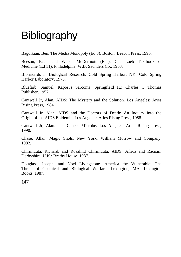# **Bibliography**

Bagdikian, Ben. The Media Monopoly (Ed 3). Boston: Beacon Press, 1990.

Beeson, Paul, and Walsh McDermott (Eds). Cecil-Loeb Textbook of Medicine (Ed 11). Philadelphia: W.B. Saunders Co., 1963.

Biohazards in Biological Research. Cold Spring Harbor, NY: Cold Spring Harbor Laboratory, 1973.

Bluefarb, Samuel. Kaposi's Sarcoma. Springfield IL: Charles C Thomas Publisher, 1957.

Cantwell Jr, Alan. AIDS: The Mystery and the Solution. Los Angeles: Aries Rising Press, 1984.

Cantwell Jr, Alan. AIDS and the Doctors of Death: An Inquiry into the Origin of the AIDS Epidemic. Los Angeles: Aries Rising Press, 1988.

Cantwell Jr, Alan. The Cancer Microbe. Los Angeles: Aries Rising Press, 1990.

Chase, Allan. Magic Shots. New York: William Morrow and Company, 1982.

Chirimuuta, Richard, and Rosalind Chirimuuta. AIDS, Africa and Racism. Derbyshire, U.K.: Brethy House, 1987.

Douglass, Joseph, and Noel Livingstone. America the Vulnerable: The Threat of Chemical and Biological Warfare. Lexington, MA: Lexington Books, 1987.

147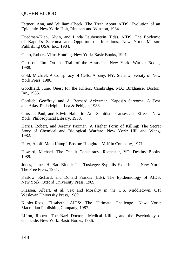#### QUEER BLOOD

Fettner, Ann, and William Check. The Truth About AIDS: Evolution of an Epidemic. New York: Holt, Rinehart and Winston, 1984.

Friedman-Kien, Alvin, and Linda Laubenstein (Eds). AIDS: The Epidemic of Kaposi's Sarcoma and Opportunistic Infections. New York: Masson Publishing USA, Inc., 1984.

Gallo, Robert. Virus Hunting. New York: Basic Books, 1991.

Garrison, Jim. On the Trail of the Assassins. New York: Warner Books, 1988.

Gold, Michael. A Conspiracy of Cells. Albany, NY: State University of New York Press, 1986.

Goodfield, June. Quest for the Killers. Cambridge, MA: Birkhauser Boston, Inc., 1985.

Gottlieb, Geoffrey, and A. Bernard Ackerman. Kaposi's Sarcoma: A Text and Atlas. Philadelphia: Lea & Febiger, 1988.

Grosser, Paul, and Edwin Halperin. Anti-Semitism: Causes and Effects. New York: Philosophical Library, 1983.

Harris, Robert, and Jeremy Paxman. A Higher Form of Killing: The Secret Story of Chemical and Biological Warfare. New York: Hill and Wang, 1982.

Hiter, Adolf. Mein Kampf. Boston: Houghton Mifflin Company, 1971.

Howard, Michael. The Occult Conspiracy. Rochester, VT: Destiny Books, 1989.

Jones, James H. Bad Blood: The Tuskegee Syphilis Experiment. New York: The Free Press, 1981.

Kaslow, Richard, and Donald Francis (Eds). The Epidemiology of AIDS. New York: Oxford University Press, 1989.

Klassen, Albert, et al. Sex and Morality in the U.S. Middletown, CT: Wesleyan University Press, 1989.

Kubler-Ross, Elisabeth. AIDS: The Ultimate Challenge. New York: Macmillan Publishing Company, 1987.

Lifton, Robert. The Nazi Doctors: Medical Killing and the Psychology of Genocide. New York: Basic Books, 1986.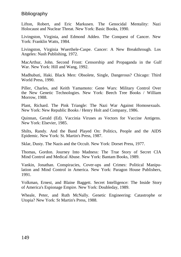#### Bibliography

Lifton, Robert, and Eric Markusen. The Genocidal Mentality: Nazi Holocaust and Nuclear Threat. New York: Basic Books, 1990.

Livingston, Virginia, and Edmond Addeo. The Conquest of Cancer. New York: Franklin Watts, 1984.

Livingston, Virginia Wuerthele-Caspe. Cancer: A New Breakthrough. Los Angeles: Nash Publishing, 1972.

MacArthur, John. Second Front: Censorship and Propaganda in the Gulf War. New York: Hill and Wang, 1992.

Madhubuti, Haki. Black Men: Obsolete, Single, Dangerous? Chicago: Third World Press, 1990.

Piller, Charles, and Keith Yamamoto: Gene Wars: Military Control Over the New Genetic Technologies. New York: Beech Tree Books / William Morrow, 1988.

Plant, Richard. The Pink Triangle: The Nazi War Against Homosexuals. New York: New Republic Books / Henry Holt and Company, 1986.

Quinnan, Gerald (Ed). Vaccinia Viruses as Vectors for Vaccine Antigens. New York: Elsevier, 1985.

Shilts, Randy. And the Band Played On: Politics, People and the AIDS Epidemic. New York: St. Martin's Press, 1987.

Sklar, Dusty. The Nazis and the Occult. New York: Dorset Press, 1977.

Thomas, Gordon. Journey Into Madness: The True Story of Secret CIA Mind Control and Medical Abuse. New York: Bantam Books, 1989.

Vankin, Jonathan. Conspiracies, Cover-ups and Crimes: Political Manipulation and Mind Control in America. New York: Paragon House Publishers, 1991.

Volkman, Ernest, and Blaine Baggett. Secret Intelligence: The Inside Story of America's Espionage Empire. New York: Doubleday, 1989.

Wheale, Peter, and Ruth McNally. Genetic Engineering: Catastrophe or Utopia? New York: St Martin's Press, 1988.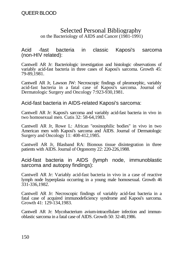# Selected Personal Bibliography on the Bacteriology of AIDS and Cancer (1981-1991)

#### Acid -fast bacteria in classic Kaposi's sarcoma (non-HIV related):

Cantwell AR Jr: Bacteriologic investigation and histologic observations of variably acid-fast bacteria in three cases of Kaposi's sarcoma. Growth 45: 79-89,1981.

Cantwell AR Jr, Lawson JW: Necroscopic findings of pleomorphic, variably acid-fast bacteria in a fatal case of Kaposi's sarcoma. Journal of Dermatologic Surgery and Oncology 7:923-930,1981.

#### Acid-fast bacteria in AIDS-related Kaposi's sarcoma:

Cantwell AR Jr: Kaposi's sarcoma and variably acid-fast bacteria in vivo in two homosexual men. Cutis 32: 58-64,1983.

Cantwell AR Jr, Rowe L: African "eosinophilic bodies" in vivo in two American men with Kaposi's sarcoma and AIDS. Journal of Dermatologic Surgery and Oncology 11: 408-412,1985.

Cantwell AR Jr, Blasband RA: Bionous tissue disintegration in three patients with AIDS. Journal of Orgonomy 22: 220-226,1988.

Acid-fast bacteria in AIDS (lymph node, immunoblastic sarcoma and autopsy findings):

Cantwell AR Jr: Variably acid-fast bacteria in vivo in a case of reactive lymph node hyperplasia occurring in a young male homosexual. Growth 46 331-336,1982.

Cantwell AR Jr: Necroscopic findings of variably acid-fast bacteria in a fatal case of acquired immunodeficiency syndrome and Kaposi's sarcoma. Growth 41: 129-134,1983.

Cantwell AR Jr: Mycobacterium avium-intracellulare infection and immunoblastic sarcoma in a fatal case of AIDS. Growth 50: 32-40,1986.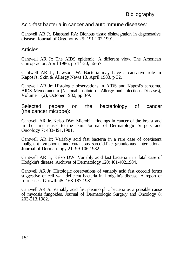# Acid-fast bacteria in cancer and autoimmune diseases:

Cantwell AR Jr, Blasband RA: Bionous tissue disintegration in degenerative disease. Journal of Orgonomy 25: 191-202,1991.

## Articles:

Cantwell AR Jr: The AIDS epidemic: A different view. The American Chiropractor, April 1986, pp 14-20, 56-57.

Cantwell AR Jr, Lawson JW: Bacteria may have a causative role in Kaposi's. Skin & Allergy News 13, April 1983, p 32.

Cantwell AR Jr: Histologic observations in AIDS and Kaposi's sarcoma. AIDS Memorandum (National Institute of Allergy and Infectious Diseases), Volume 1 (2), October 1982, pp 8-9.

Selected papers on the bacteriology of cancer (the cancer microbe):

Cantwell AR Jr, Kelso DW: Microbial findings in cancer of the breast and in their metastases to the skin. Journal of Dermatologic Surgery and Oncology 7: 483-491,1981.

Cantwell AR Jr: Variably acid fast bacteria in a rare case of coexistent malignant lymphoma and cutaneous sarcoid-like granulomas. International Journal of Dermatology 21: 99-106,1982.

Cantwell AR Jr, Kelso DW: Variably acid fast bacteria in a fatal case of Hodgkin's disease. Archives of Dermatology 120: 401-402,1984.

Cantwell AR Jr: Histologic observations of variably acid fast coccoid forms suggestive of cell wall deficient bacteria in Hodgkin's disease. A report of four cases. Growth 45: 168-187,1981.

Cantwell AR Jr: Variably acid fast pleomorphic bacteria as a possible cause of mycosis fungoides. Journal of Dermatologic Surgery and Oncology 8: 203-213,1982.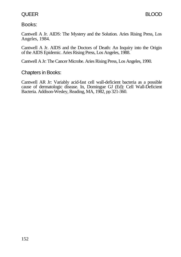# Books:

Cantwell A Jr. AIDS: The Mystery and the Solution. Aries Rising Press, Los Angeles, 1984.

Cantwell A Jr. AIDS and the Doctors of Death: An Inquiry into the Origin of the AIDS Epidemic. Aries Rising Press, Los Angeles, 1988.

Cantwell A Jr: The Cancer Microbe. Aries Rising Press, Los Angeles, 1990.

# Chapters in Books:

Cantwell AR Jr: Variably acid-fast cell wall-deficient bacteria as a possible cause of dermatologic disease. In, Domingue GJ (Ed): Cell Wall-Deficient Bacteria. Addison-Wesley, Reading, MA, 1982, pp 321-360.